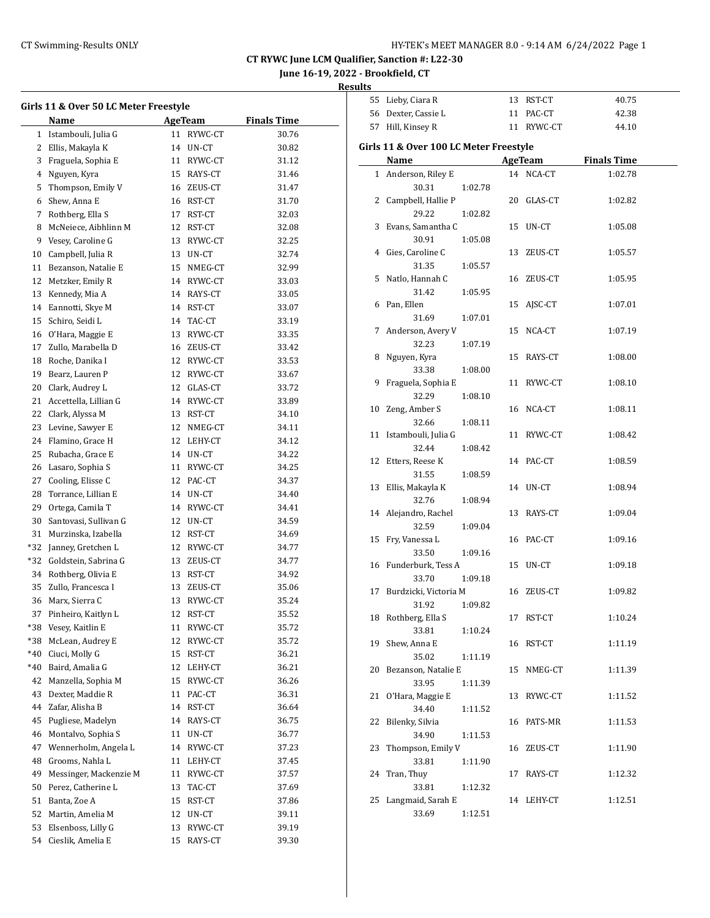**June 16-19, 2022 - Brookfield, CT**

| <b>Results</b> |                   |        |  |
|----------------|-------------------|--------|--|
|                | 55 Lieby, Ciara R | RST-CT |  |

| Girls 11 & Over 50 LC Meter Freestyle |                        |    |            |                    |  |
|---------------------------------------|------------------------|----|------------|--------------------|--|
|                                       | Name                   |    | AgeTeam    | <b>Finals Time</b> |  |
| 1                                     | Istambouli, Julia G    | 11 | RYWC-CT    | 30.76              |  |
| 2                                     | Ellis, Makayla K       |    | 14 UN-CT   | 30.82              |  |
| 3                                     | Fraguela, Sophia E     |    | 11 RYWC-CT | 31.12              |  |
| 4                                     | Nguyen, Kyra           |    | 15 RAYS-CT | 31.46              |  |
| 5                                     | Thompson, Emily V      |    | 16 ZEUS-CT | 31.47              |  |
| 6                                     | Shew, Anna E           |    | 16 RST-CT  | 31.70              |  |
| 7                                     | Rothberg, Ella S       |    | 17 RST-CT  | 32.03              |  |
| 8                                     | McNeiece, Aibhlinn M   |    | 12 RST-CT  | 32.08              |  |
| 9                                     | Vesey, Caroline G      |    | 13 RYWC-CT | 32.25              |  |
| 10                                    | Campbell, Julia R      |    | 13 UN-CT   | 32.74              |  |
| 11                                    | Bezanson, Natalie E    |    | 15 NMEG-CT | 32.99              |  |
| 12                                    | Metzker, Emily R       |    | 14 RYWC-CT | 33.03              |  |
| 13                                    | Kennedy, Mia A         |    | 14 RAYS-CT | 33.05              |  |
| 14                                    | Eannotti, Skye M       |    | 14 RST-CT  | 33.07              |  |
| 15                                    | Schiro, Seidi L        |    | 14 TAC-CT  | 33.19              |  |
| 16                                    | O'Hara, Maggie E       |    | 13 RYWC-CT | 33.35              |  |
| 17                                    | Zullo, Marabella D     |    | 16 ZEUS-CT | 33.42              |  |
| 18                                    | Roche, Danika I        |    | 12 RYWC-CT | 33.53              |  |
| 19                                    | Bearz, Lauren P        |    | 12 RYWC-CT | 33.67              |  |
| 20                                    | Clark, Audrey L        |    | 12 GLAS-CT | 33.72              |  |
| 21                                    | Accettella, Lillian G  |    | 14 RYWC-CT | 33.89              |  |
| 22                                    | Clark, Alyssa M        |    | 13 RST-CT  | 34.10              |  |
| 23                                    | Levine, Sawyer E       |    | 12 NMEG-CT | 34.11              |  |
| 24                                    | Flamino, Grace H       |    | 12 LEHY-CT | 34.12              |  |
| 25                                    | Rubacha, Grace E       |    | 14 UN-CT   | 34.22              |  |
| 26                                    | Lasaro, Sophia S       |    | 11 RYWC-CT | 34.25              |  |
| 27                                    | Cooling, Elisse C      |    | 12 PAC-CT  | 34.37              |  |
| 28                                    | Torrance, Lillian E    |    | 14 UN-CT   | 34.40              |  |
| 29                                    | Ortega, Camila T       |    | 14 RYWC-CT | 34.41              |  |
| 30                                    | Santovasi, Sullivan G  |    | 12 UN-CT   | 34.59              |  |
| 31                                    | Murzinska, Izabella    |    | 12 RST-CT  | 34.69              |  |
| *32                                   | Janney, Gretchen L     |    | 12 RYWC-CT | 34.77              |  |
| *32                                   | Goldstein, Sabrina G   |    | 13 ZEUS-CT | 34.77              |  |
| 34                                    | Rothberg, Olivia E     |    | 13 RST-CT  | 34.92              |  |
| 35                                    | Zullo, Francesca I     |    | 13 ZEUS-CT | 35.06              |  |
| 36                                    | Marx, Sierra C         |    | 13 RYWC-CT | 35.24              |  |
| 37                                    | Pinheiro, Kaitlyn L    | 12 | RST-CT     | 35.52              |  |
| *38                                   | Vesey, Kaitlin E       | 11 | RYWC-CT    | 35.72              |  |
| *38                                   | McLean, Audrey E       | 12 | RYWC-CT    | 35.72              |  |
| *40                                   | Ciuci, Molly G         | 15 | RST-CT     | 36.21              |  |
| *40                                   | Baird, Amalia G        | 12 | LEHY-CT    | 36.21              |  |
| 42                                    | Manzella, Sophia M     | 15 | RYWC-CT    | 36.26              |  |
| 43                                    | Dexter, Maddie R       | 11 | PAC-CT     | 36.31              |  |
| 44                                    | Zafar, Alisha B        | 14 | RST-CT     | 36.64              |  |
| 45                                    | Pugliese, Madelyn      | 14 | RAYS-CT    | 36.75              |  |
| 46                                    | Montalvo, Sophia S     | 11 | UN-CT      | 36.77              |  |
| 47                                    | Wennerholm, Angela L   | 14 | RYWC-CT    | 37.23              |  |
| 48                                    | Grooms, Nahla L        | 11 | LEHY-CT    | 37.45              |  |
| 49                                    | Messinger, Mackenzie M | 11 | RYWC-CT    | 37.57              |  |
| 50                                    | Perez, Catherine L     | 13 | TAC-CT     | 37.69              |  |
| 51                                    | Banta, Zoe A           | 15 | RST-CT     | 37.86              |  |
| 52                                    | Martin, Amelia M       | 12 | UN-CT      | 39.11              |  |
| 53                                    | Elsenboss, Lilly G     | 13 | RYWC-CT    | 39.19              |  |
| 54                                    | Cieslik, Amelia E      | 15 | RAYS-CT    | 39.30              |  |
|                                       |                        |    |            |                    |  |

|    | 56 Dexter, Cassie L                    |         | 11 | PAC-CT         | 42.38              |
|----|----------------------------------------|---------|----|----------------|--------------------|
|    | 57 Hill, Kinsey R                      |         |    | 11 RYWC-CT     | 44.10              |
|    |                                        |         |    |                |                    |
|    | Girls 11 & Over 100 LC Meter Freestyle |         |    |                |                    |
|    | Name                                   |         |    | <b>AgeTeam</b> | <b>Finals Time</b> |
|    | 1 Anderson, Riley E                    |         |    | 14 NCA-CT      | 1:02.78            |
|    | 30.31                                  | 1:02.78 |    |                |                    |
|    | 2 Campbell, Hallie P                   |         | 20 | GLAS-CT        | 1:02.82            |
|    | 29.22                                  | 1:02.82 |    |                |                    |
| 3  | Evans, Samantha C                      |         | 15 | UN-CT          | 1:05.08            |
|    | 30.91                                  | 1:05.08 |    |                |                    |
| 4  | Gies, Caroline C                       |         | 13 | ZEUS-CT        | 1:05.57            |
|    | 31.35                                  | 1:05.57 |    |                |                    |
| 5  | Natlo, Hannah C<br>31.42               |         | 16 | ZEUS-CT        | 1:05.95            |
|    | 6 Pan, Ellen                           | 1:05.95 |    |                |                    |
|    | 31.69                                  | 1:07.01 | 15 | AJSC-CT        | 1:07.01            |
| 7  | Anderson, Avery V                      |         | 15 | NCA-CT         | 1:07.19            |
|    | 32.23                                  | 1:07.19 |    |                |                    |
| 8  | Nguyen, Kyra                           |         | 15 | RAYS-CT        | 1:08.00            |
|    | 33.38                                  | 1:08.00 |    |                |                    |
| 9  | Fraguela, Sophia E                     |         | 11 | RYWC-CT        | 1:08.10            |
|    | 32.29                                  | 1:08.10 |    |                |                    |
| 10 | Zeng, Amber S                          |         |    | 16 NCA-CT      | 1:08.11            |
|    | 32.66                                  | 1:08.11 |    |                |                    |
| 11 | Istambouli, Julia G                    |         | 11 | RYWC-CT        | 1:08.42            |
|    | 32.44                                  | 1:08.42 |    |                |                    |
|    | 12 Etters, Reese K                     |         |    | 14 PAC-CT      | 1:08.59            |
|    | 31.55                                  | 1:08.59 |    |                |                    |
| 13 | Ellis, Makayla K                       |         |    | 14 UN-CT       | 1:08.94            |
|    | 32.76                                  | 1:08.94 |    |                |                    |
|    | 14 Alejandro, Rachel                   |         |    | 13 RAYS-CT     | 1:09.04            |
|    | 32.59                                  | 1:09.04 |    |                |                    |
| 15 | Fry, Vanessa L                         |         | 16 | PAC-CT         | 1:09.16            |
|    | 33.50                                  | 1:09.16 |    |                |                    |
|    | 16 Funderburk, Tess A                  |         | 15 | UN-CT          | 1:09.18            |
|    | 33.70                                  | 1:09.18 |    |                |                    |
|    | 17 Burdzicki, Victoria M               |         | 16 | ZEUS-CT        | 1:09.82            |
|    | 31.92                                  | 1:09.82 |    |                |                    |
|    | 18 Rothberg, Ella S                    | 1:10.24 | 17 | RST-CT         | 1:10.24            |
|    | 33.81<br>19 Shew, Anna E               |         |    | 16 RST-CT      | 1:11.19            |
|    | 35.02                                  | 1:11.19 |    |                |                    |
|    | 20 Bezanson, Natalie E                 |         | 15 | NMEG-CT        | 1:11.39            |
|    | 33.95                                  | 1:11.39 |    |                |                    |
| 21 | O'Hara, Maggie E                       |         | 13 | RYWC-CT        | 1:11.52            |
|    | 34.40                                  | 1:11.52 |    |                |                    |
| 22 | Bilenky, Silvia                        |         |    | 16 PATS-MR     | 1:11.53            |
|    | 34.90                                  | 1:11.53 |    |                |                    |
| 23 | Thompson, Emily V                      |         | 16 | ZEUS-CT        | 1:11.90            |
|    | 33.81                                  | 1:11.90 |    |                |                    |
| 24 | Tran, Thuy                             |         | 17 | RAYS-CT        | 1:12.32            |
|    | 33.81                                  | 1:12.32 |    |                |                    |
| 25 | Langmaid, Sarah E                      |         |    | 14 LEHY-CT     | 1:12.51            |
|    | 33.69                                  | 1:12.51 |    |                |                    |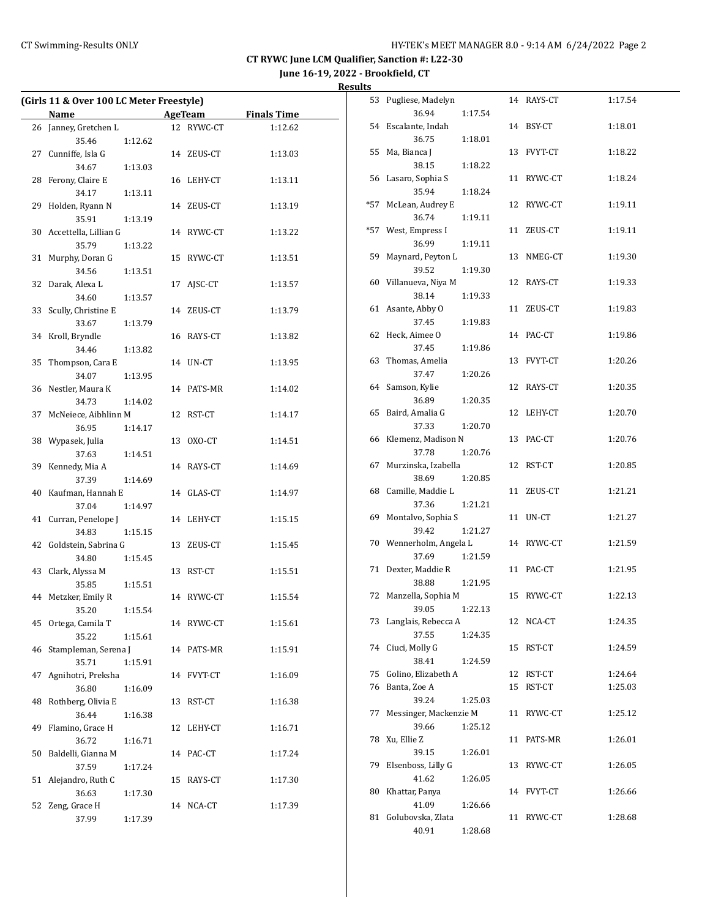**June 16-19, 2022 - Brookfield, CT**

| Results |
|---------|
|         |

| (Girls 11 & Over 100 LC Meter Freestyle) |                       |         |    |            |                    |
|------------------------------------------|-----------------------|---------|----|------------|--------------------|
|                                          | Name                  |         |    | AgeTeam    | <b>Finals Time</b> |
| 26                                       | Janney, Gretchen L    |         |    | 12 RYWC-CT | 1:12.62            |
|                                          | 35.46                 | 1:12.62 |    |            |                    |
| 27                                       | Cunniffe, Isla G      |         |    | 14 ZEUS-CT | 1:13.03            |
|                                          | 34.67                 | 1:13.03 |    |            |                    |
| 28                                       | Ferony, Claire E      |         |    | 16 LEHY-CT | 1:13.11            |
|                                          | 34.17                 | 1:13.11 |    |            |                    |
| 29                                       | Holden, Ryann N       |         |    | 14 ZEUS-CT | 1:13.19            |
|                                          | 35.91                 | 1:13.19 |    |            |                    |
| 30                                       | Accettella, Lillian G |         |    | 14 RYWC-CT | 1:13.22            |
|                                          | 35.79                 | 1:13.22 |    |            |                    |
| 31                                       | Murphy, Doran G       |         |    | 15 RYWC-CT | 1:13.51            |
|                                          | 34.56                 | 1:13.51 |    |            |                    |
| 32                                       | Darak, Alexa L        |         | 17 | AJSC-CT    | 1:13.57            |
|                                          | 34.60                 | 1:13.57 |    |            |                    |
| 33                                       | Scully, Christine E   |         |    | 14 ZEUS-CT | 1:13.79            |
|                                          | 33.67                 | 1:13.79 |    |            |                    |
| 34                                       | Kroll, Bryndle        |         |    | 16 RAYS-CT | 1:13.82            |
|                                          | 34.46                 | 1:13.82 |    |            |                    |
| 35                                       | Thompson, Cara E      |         |    | 14 UN-CT   | 1:13.95            |
|                                          | 34.07                 | 1:13.95 |    |            |                    |
| 36                                       | Nestler, Maura K      |         |    | 14 PATS-MR | 1:14.02            |
|                                          | 34.73                 | 1:14.02 |    |            |                    |
| 37                                       | McNeiece, Aibhlinn M  |         |    | 12 RST-CT  | 1:14.17            |
|                                          | 36.95                 | 1:14.17 |    |            |                    |
| 38                                       | Wypasek, Julia        |         |    | 13 OXO-CT  | 1:14.51            |
|                                          | 37.63                 | 1:14.51 |    |            |                    |
| 39                                       | Kennedy, Mia A        |         |    | 14 RAYS-CT | 1:14.69            |
|                                          | 37.39                 | 1:14.69 |    |            |                    |
|                                          | 40 Kaufman, Hannah E  |         |    | 14 GLAS-CT | 1:14.97            |
|                                          | 37.04                 | 1:14.97 |    |            |                    |
| 41                                       | Curran, Penelope J    |         |    | 14 LEHY-CT | 1:15.15            |
|                                          | 34.83                 | 1:15.15 |    |            |                    |
| 42                                       | Goldstein, Sabrina G  |         |    | 13 ZEUS-CT | 1:15.45            |
|                                          | 34.80                 | 1:15.45 |    |            |                    |
| 43                                       | Clark, Alyssa M       |         |    | 13 RST-CT  | 1:15.51            |
|                                          | 35.85                 | 1:15.51 |    |            |                    |
| 44                                       | Metzker, Emily R      |         |    | 14 RYWC-CT | 1:15.54            |
|                                          | 35.20                 | 1:15.54 |    |            |                    |
| 45                                       | Ortega, Camila T      |         |    | 14 RYWC-CT | 1:15.61            |
|                                          | 35.22                 | 1:15.61 |    |            |                    |
| 46                                       | Stampleman, Serena J  |         |    | 14 PATS-MR | 1:15.91            |
|                                          | 35.71                 | 1:15.91 |    |            |                    |
| 47                                       | Agnihotri, Preksha    |         |    | 14 FVYT-CT | 1:16.09            |
|                                          | 36.80                 | 1:16.09 |    |            |                    |
| 48                                       | Rothberg, Olivia E    |         | 13 | RST-CT     | 1:16.38            |
|                                          | 36.44                 | 1:16.38 |    |            |                    |
| 49                                       | Flamino, Grace H      |         | 12 | LEHY-CT    | 1:16.71            |
|                                          | 36.72                 | 1:16.71 |    |            |                    |
| 50                                       | Baldelli, Gianna M    |         |    | 14 PAC-CT  | 1:17.24            |
|                                          | 37.59                 | 1:17.24 |    |            |                    |
| 51                                       | Alejandro, Ruth C     |         | 15 | RAYS-CT    | 1:17.30            |
|                                          | 36.63                 | 1:17.30 |    |            |                    |
| 52                                       | Zeng, Grace H         |         |    | 14 NCA-CT  | 1:17.39            |
|                                          | 37.99                 | 1:17.39 |    |            |                    |
|                                          |                       |         |    |            |                    |

| 53  | Pugliese, Madelyn       |    | 14 RAYS-CT | 1:17.54 |
|-----|-------------------------|----|------------|---------|
|     | 36.94<br>1:17.54        |    |            |         |
| 54  | Escalante, Indah        | 14 | BSY-CT     | 1:18.01 |
|     | 36.75<br>1:18.01        |    |            |         |
| 55  | Ma, Bianca J            | 13 | FVYT-CT    | 1:18.22 |
|     | 38.15<br>1:18.22        |    |            |         |
| 56  | Lasaro, Sophia S        | 11 | RYWC-CT    | 1:18.24 |
|     | 35.94<br>1:18.24        |    |            |         |
| *57 | McLean, Audrey E        | 12 | RYWC-CT    | 1:19.11 |
|     | 36.74<br>1:19.11        |    |            |         |
| *57 | West, Empress I         | 11 | ZEUS-CT    | 1:19.11 |
|     | 36.99<br>1:19.11        |    |            |         |
| 59  | Maynard, Peyton L       | 13 | NMEG-CT    | 1:19.30 |
|     | 39.52<br>1:19.30        |    |            |         |
| 60  | Villanueva, Niya M      | 12 | RAYS-CT    | 1:19.33 |
|     | 38.14<br>1:19.33        |    |            |         |
| 61  | Asante, Abby O          | 11 | ZEUS-CT    | 1:19.83 |
|     | 37.45<br>1:19.83        |    |            |         |
| 62  | Heck, Aimee O           | 14 | PAC-CT     | 1:19.86 |
|     | 37.45<br>1:19.86        |    |            |         |
| 63  | Thomas, Amelia          | 13 | FVYT-CT    | 1:20.26 |
|     | 37.47<br>1:20.26        |    |            |         |
| 64  | Samson, Kylie           | 12 | RAYS-CT    | 1:20.35 |
|     | 36.89<br>1:20.35        |    |            |         |
|     | 65 Baird, Amalia G      | 12 | LEHY-CT    | 1:20.70 |
|     | 1:20.70<br>37.33        |    |            |         |
| 66  | Klemenz, Madison N      | 13 | PAC-CT     | 1:20.76 |
|     | 37.78<br>1:20.76        |    |            |         |
| 67  | Murzinska, Izabella     | 12 | RST-CT     | 1:20.85 |
|     | 38.69<br>1:20.85        |    |            |         |
| 68  | Camille, Maddie L       | 11 | ZEUS-CT    | 1:21.21 |
|     | 37.36<br>1:21.21        |    |            |         |
| 69  | Montalvo, Sophia S      | 11 | UN-CT      | 1:21.27 |
|     | 39.42<br>1:21.27        |    |            |         |
|     | 70 Wennerholm, Angela L |    | 14 RYWC-CT | 1:21.59 |
|     | 37.69<br>1:21.59        |    |            |         |
| 71  | Dexter, Maddie R        | 11 | PAC-CT     | 1:21.95 |
|     | 1:21.95<br>38.88        |    |            |         |
| 72  | Manzella, Sophia M      | 15 | RYWC-CT    | 1:22.13 |
|     | 39.05<br>1:22.13        |    |            |         |
| 73  | Langlais, Rebecca A     | 12 | NCA-CT     | 1:24.35 |
|     | 37.55<br>1:24.35        |    |            |         |
| 74  | Ciuci, Molly G          | 15 | RST-CT     | 1:24.59 |
|     | 38.41<br>1:24.59        |    |            |         |
| 75  | Golino, Elizabeth A     | 12 | RST-CT     | 1:24.64 |
| 76  | Banta, Zoe A            | 15 | RST-CT     | 1:25.03 |
|     | 39.24<br>1:25.03        |    |            |         |
| 77  | Messinger, Mackenzie M  | 11 | RYWC-CT    | 1:25.12 |
|     | 39.66<br>1:25.12        |    |            |         |
| 78  | Xu, Ellie Z             | 11 | PATS-MR    | 1:26.01 |
|     | 39.15<br>1:26.01        |    |            |         |
| 79  | Elsenboss, Lilly G      | 13 | RYWC-CT    | 1:26.05 |
|     | 41.62<br>1:26.05        |    |            |         |
| 80  | Khattar, Panya          |    | 14 FVYT-CT | 1:26.66 |
|     | 41.09<br>1:26.66        |    |            |         |
| 81  | Golubovska, Zlata       | 11 | RYWC-CT    | 1:28.68 |
|     | 40.91<br>1:28.68        |    |            |         |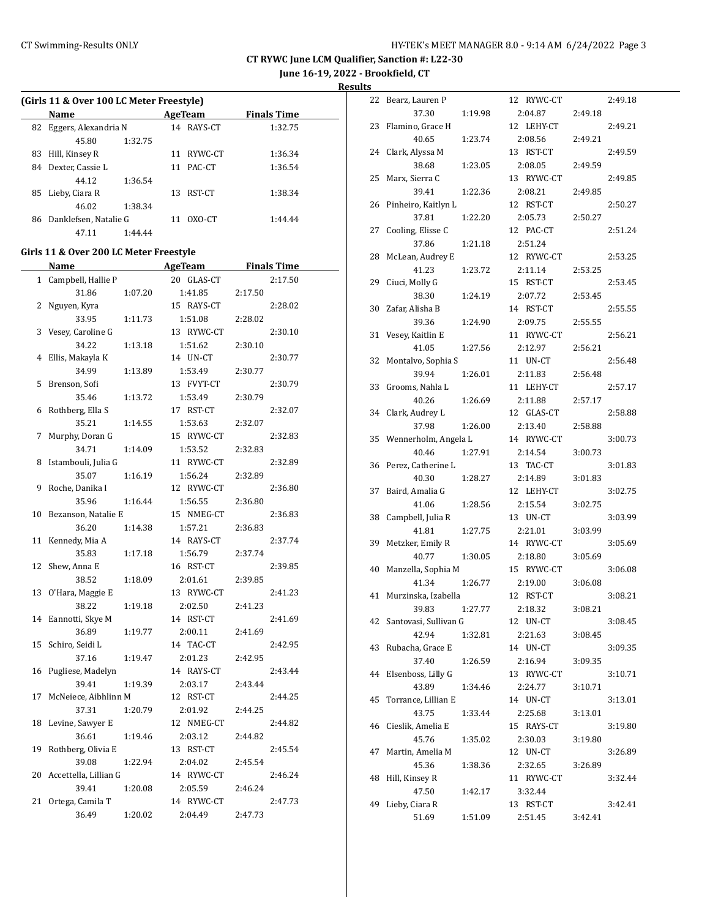**June 16-19, 2022 - Brookfield, CT**

**Results**

| (Girls 11 & Over 100 LC Meter Freestyle) |                       |         |    |         |                    |  |
|------------------------------------------|-----------------------|---------|----|---------|--------------------|--|
|                                          | <b>Name</b>           |         |    | AgeTeam | <b>Finals Time</b> |  |
| 82                                       | Eggers, Alexandria N  |         | 14 | RAYS-CT | 1:32.75            |  |
|                                          | 45.80                 | 1:32.75 |    |         |                    |  |
| 83                                       | Hill, Kinsey R        |         | 11 | RYWC-CT | 1:36.34            |  |
| 84                                       | Dexter, Cassie L      |         | 11 | PAC-CT  | 1:36.54            |  |
|                                          | 44.12                 | 1:36.54 |    |         |                    |  |
| 85                                       | Lieby, Ciara R        |         | 13 | RST-CT  | 1:38.34            |  |
|                                          | 46.02                 | 1:38.34 |    |         |                    |  |
| 86                                       | Danklefsen, Natalie G |         |    | OXO-CT  | 1:44.44            |  |

### **Girls 11 & Over 200 LC Meter Freestyle**

47.11 1:44.44

|    | <u>Name</u>           |         | <b>AgeTeam</b> | <b>Finals Time</b> |
|----|-----------------------|---------|----------------|--------------------|
| 1  | Campbell, Hallie P    |         | 20 GLAS-CT     | 2:17.50            |
|    | 31.86                 | 1:07.20 | 1:41.85        | 2:17.50            |
| 2  | Nguyen, Kyra          |         | 15 RAYS-CT     | 2:28.02            |
|    | 33.95                 | 1:11.73 | 1:51.08        | 2:28.02            |
| 3  | Vesey, Caroline G     |         | 13 RYWC-CT     | 2:30.10            |
|    | 34.22                 | 1:13.18 | 1:51.62        | 2:30.10            |
| 4  | Ellis, Makayla K      |         | 14 UN-CT       | 2:30.77            |
|    | 34.99                 | 1:13.89 | 1:53.49        | 2:30.77            |
| 5  | Brenson, Sofi         |         | 13 FVYT-CT     | 2:30.79            |
|    | 35.46                 | 1:13.72 | 1:53.49        | 2:30.79            |
| 6  | Rothberg, Ella S      |         | 17 RST-CT      | 2:32.07            |
|    | 35.21                 | 1:14.55 | 1:53.63        | 2:32.07            |
| 7  | Murphy, Doran G       |         | 15 RYWC-CT     | 2:32.83            |
|    | 34.71                 | 1:14.09 | 1:53.52        | 2:32.83            |
| 8  | Istambouli, Julia G   |         | 11 RYWC-CT     | 2:32.89            |
|    | 35.07                 | 1:16.19 | 1:56.24        | 2:32.89            |
| 9  | Roche, Danika I       |         | 12 RYWC-CT     | 2:36.80            |
|    | 35.96                 | 1:16.44 | 1:56.55        | 2:36.80            |
| 10 | Bezanson, Natalie E   |         | 15 NMEG-CT     | 2:36.83            |
|    | 36.20                 | 1:14.38 | 1:57.21        | 2:36.83            |
| 11 | Kennedy, Mia A        |         | 14 RAYS-CT     | 2:37.74            |
|    | 35.83                 | 1:17.18 | 1:56.79        | 2:37.74            |
| 12 | Shew, Anna E          |         | 16 RST-CT      | 2:39.85            |
|    | 38.52                 | 1:18.09 | 2:01.61        | 2:39.85            |
| 13 | O'Hara, Maggie E      |         | 13 RYWC-CT     | 2:41.23            |
|    | 38.22                 | 1:19.18 | 2:02.50        | 2:41.23            |
| 14 | Eannotti, Skye M      |         | 14 RST-CT      | 2:41.69            |
|    | 36.89                 | 1:19.77 | 2:00.11        | 2:41.69            |
| 15 | Schiro, Seidi L       |         | 14 TAC-CT      | 2:42.95            |
|    | 37.16                 | 1:19.47 | 2:01.23        | 2:42.95            |
| 16 | Pugliese, Madelyn     |         | 14 RAYS-CT     | 2:43.44            |
|    | 39.41                 | 1:19.39 | 2:03.17        | 2:43.44            |
| 17 | McNeiece, Aibhlinn M  |         | 12 RST-CT      | 2:44.25            |
|    | 37.31                 | 1:20.79 | 2:01.92        | 2:44.25            |
| 18 | Levine, Sawyer E      |         | 12 NMEG-CT     | 2:44.82            |
|    | 36.61                 | 1:19.46 | 2:03.12        | 2:44.82            |
| 19 | Rothberg, Olivia E    |         | 13 RST-CT      | 2:45.54            |
|    | 39.08                 | 1:22.94 | 2:04.02        | 2:45.54            |
| 20 | Accettella, Lillian G |         | 14 RYWC-CT     | 2:46.24            |
|    | 39.41                 | 1:20.08 | 2:05.59        | 2:46.24            |
| 21 | Ortega, Camila T      |         | 14 RYWC-CT     | 2:47.73            |
|    | 36.49                 | 1:20.02 | 2:04.49        | 2:47.73            |

| 22 | Bearz, Lauren P       |         | 12 RYWC-CT            |         | 2:49.18 |
|----|-----------------------|---------|-----------------------|---------|---------|
|    | 37.30                 | 1:19.98 | 2:04.87               | 2:49.18 |         |
| 23 | Flamino, Grace H      |         | 12 LEHY-CT            |         | 2:49.21 |
|    | 40.65                 | 1:23.74 | 2:08.56               | 2:49.21 |         |
| 24 | Clark, Alyssa M       |         | 13 RST-CT             |         | 2:49.59 |
|    | 38.68                 | 1:23.05 | 2:08.05               | 2:49.59 |         |
| 25 | Marx, Sierra C        |         | 13 RYWC-CT            |         | 2:49.85 |
|    | 39.41                 | 1:22.36 | 2:08.21               | 2:49.85 |         |
| 26 | Pinheiro, Kaitlyn L   |         | 12 RST-CT             |         | 2:50.27 |
|    | 37.81                 | 1:22.20 | 2:05.73               | 2:50.27 |         |
| 27 | Cooling, Elisse C     |         | 12 PAC-CT             |         | 2:51.24 |
|    | 37.86                 | 1:21.18 | 2:51.24               |         |         |
| 28 | McLean, Audrey E      |         | 12 RYWC-CT            |         | 2:53.25 |
|    | 41.23                 | 1:23.72 | 2:11.14               | 2:53.25 |         |
| 29 | Ciuci, Molly G        |         | 15 RST-CT             |         | 2:53.45 |
|    | 38.30                 | 1:24.19 | 2:07.72               | 2:53.45 |         |
| 30 | Zafar, Alisha B       |         | 14 RST-CT             |         | 2:55.55 |
|    | 39.36                 | 1:24.90 | 2:09.75               | 2:55.55 |         |
| 31 | Vesey, Kaitlin E      |         | 11 RYWC-CT            |         | 2:56.21 |
|    | 41.05                 | 1:27.56 | 2:12.97               | 2:56.21 |         |
| 32 | Montalvo, Sophia S    |         | 11 UN-CT              |         | 2:56.48 |
|    | 39.94                 | 1:26.01 | 2:11.83               | 2:56.48 |         |
| 33 | Grooms, Nahla L       |         | 11 LEHY-CT            |         | 2:57.17 |
|    | 40.26                 | 1:26.69 | 2:11.88               | 2:57.17 |         |
| 34 | Clark, Audrey L       |         | 12 GLAS-CT            |         | 2:58.88 |
|    | 37.98                 | 1:26.00 | 2:13.40               | 2:58.88 |         |
| 35 | Wennerholm, Angela L  |         | 14 RYWC-CT            |         | 3:00.73 |
|    | 40.46                 | 1:27.91 | 2:14.54               | 3:00.73 |         |
| 36 | Perez, Catherine L    |         | 13 TAC-CT             |         | 3:01.83 |
|    | 40.30                 | 1:28.27 | 2:14.89               | 3:01.83 |         |
| 37 | Baird, Amalia G       |         | 12 LEHY-CT            |         | 3:02.75 |
|    | 41.06                 | 1:28.56 | 2:15.54               | 3:02.75 |         |
| 38 | Campbell, Julia R     |         | 13 UN-CT              |         | 3:03.99 |
|    | 41.81                 | 1:27.75 | 2:21.01               | 3:03.99 |         |
| 39 | Metzker, Emily R      |         | 14 RYWC-CT            |         | 3:05.69 |
|    | 40.77                 | 1:30.05 | 2:18.80               | 3:05.69 |         |
| 40 | Manzella, Sophia M    |         | 15 RYWC-CT            |         | 3:06.08 |
|    | 41.34                 | 1:26.77 | 2:19.00               | 3:06.08 |         |
| 41 | Murzinska, Izabella   |         | 12 RST-CT             |         | 3:08.21 |
|    | 39.83                 | 1:27.77 | 2:18.32               | 3:08.21 |         |
| 42 | Santovasi, Sullivan G |         | 12 UN-CT              |         | 3:08.45 |
|    | 42.94                 | 1:32.81 | 2:21.63               | 3:08.45 |         |
| 43 | Rubacha, Grace E      |         | 14 UN-CT              |         | 3:09.35 |
|    | 37.40                 | 1:26.59 | 2:16.94               | 3:09.35 |         |
| 44 | Elsenboss, Lilly G    |         | 13 RYWC-CT            |         | 3:10.71 |
|    | 43.89                 | 1:34.46 | 2:24.77               | 3:10.71 |         |
| 45 | Torrance, Lillian E   |         | 14 UN-CT              |         | 3:13.01 |
|    | 43.75                 |         |                       |         |         |
| 46 | Cieslik, Amelia E     | 1:33.44 | 2:25.68<br>15 RAYS-CT | 3:13.01 | 3:19.80 |
|    | 45.76                 |         | 2:30.03               |         |         |
| 47 | Martin, Amelia M      | 1:35.02 | 12 UN-CT              | 3:19.80 | 3:26.89 |
|    | 45.36                 |         | 2:32.65               | 3:26.89 |         |
| 48 | Hill, Kinsey R        | 1:38.36 | 11 RYWC-CT            |         | 3:32.44 |
|    | 47.50                 | 1:42.17 | 3:32.44               |         |         |
| 49 | Lieby, Ciara R        |         | 13 RST-CT             |         | 3:42.41 |
|    | 51.69                 | 1:51.09 | 2:51.45               | 3:42.41 |         |
|    |                       |         |                       |         |         |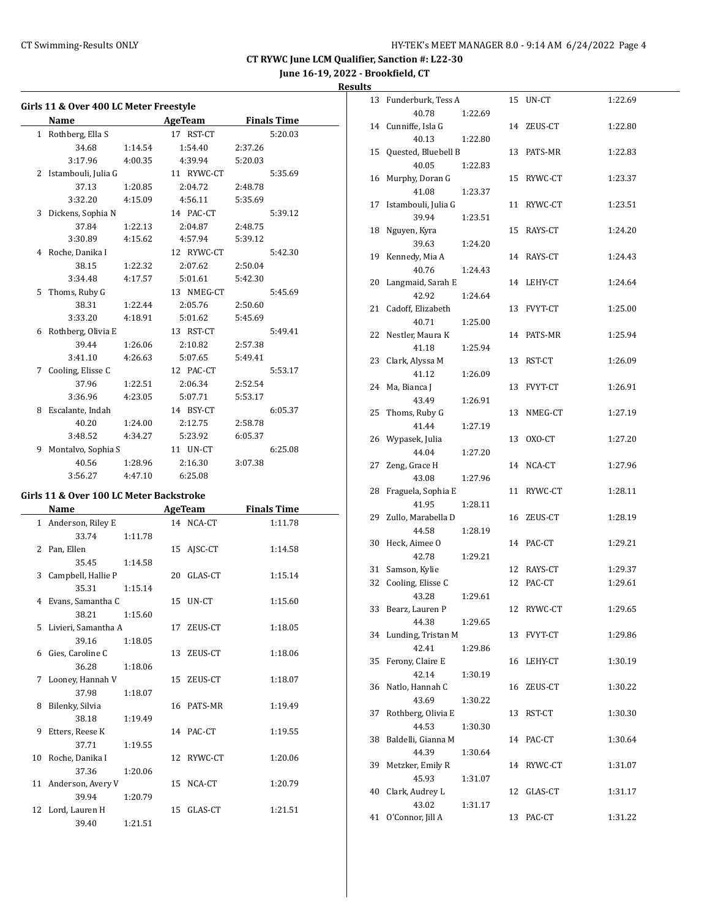13 Funderburk, Tess A 15 UN-CT 1:22.69

**CT RYWC June LCM Qualifier, Sanction #: L22-30**

**June 16-19, 2022 - Brookfield, CT**

**Results**

| Girls 11 & Over 400 LC Meter Freestyle |                                         |         |                |                    |  |  |
|----------------------------------------|-----------------------------------------|---------|----------------|--------------------|--|--|
|                                        | <b>Name</b>                             |         | <b>AgeTeam</b> | <b>Finals Time</b> |  |  |
| $\mathbf{1}$                           | Rothberg, Ella S                        |         | 17 RST-CT      | 5:20.03            |  |  |
|                                        | 34.68                                   | 1:14.54 | 1:54.40        | 2:37.26            |  |  |
|                                        | 3:17.96                                 | 4:00.35 | 4:39.94        | 5:20.03            |  |  |
| 2                                      | Istambouli, Julia G                     |         | 11 RYWC-CT     | 5:35.69            |  |  |
|                                        | 37.13                                   | 1:20.85 | 2:04.72        | 2:48.78            |  |  |
|                                        | 3:32.20                                 | 4:15.09 | 4:56.11        | 5:35.69            |  |  |
| 3                                      | Dickens, Sophia N                       |         | 14 PAC-CT      | 5:39.12            |  |  |
|                                        | 37.84                                   | 1:22.13 | 2:04.87        | 2:48.75            |  |  |
|                                        | 3:30.89                                 | 4:15.62 | 4:57.94        | 5:39.12            |  |  |
| 4                                      | Roche, Danika I                         |         | 12 RYWC-CT     | 5:42.30            |  |  |
|                                        | 38.15                                   | 1:22.32 | 2:07.62        | 2:50.04            |  |  |
|                                        | 3:34.48                                 | 4:17.57 | 5:01.61        | 5:42.30            |  |  |
| 5                                      | Thoms, Ruby G                           |         | 13 NMEG-CT     | 5:45.69            |  |  |
|                                        | 38.31                                   | 1:22.44 | 2:05.76        | 2:50.60            |  |  |
|                                        | 3:33.20                                 | 4:18.91 | 5:01.62        | 5:45.69            |  |  |
| 6                                      | Rothberg, Olivia E                      |         | 13 RST-CT      | 5:49.41            |  |  |
|                                        | 39.44                                   | 1:26.06 | 2:10.82        | 2:57.38            |  |  |
|                                        | 3:41.10                                 | 4:26.63 | 5:07.65        | 5:49.41            |  |  |
|                                        | 7 Cooling, Elisse C                     |         | 12 PAC-CT      | 5:53.17            |  |  |
|                                        | 37.96                                   | 1:22.51 | 2:06.34        | 2:52.54            |  |  |
|                                        | 3:36.96                                 | 4:23.05 | 5:07.71        | 5:53.17            |  |  |
| 8                                      | Escalante, Indah                        |         | 14 BSY-CT      | 6:05.37            |  |  |
|                                        | 40.20                                   | 1:24.00 | 2:12.75        | 2:58.78            |  |  |
|                                        | 3:48.52                                 | 4:34.27 | 5:23.92        | 6:05.37            |  |  |
| 9                                      | Montalvo, Sophia S                      |         | 11 UN-CT       | 6:25.08            |  |  |
|                                        | 40.56                                   | 1:28.96 | 2:16.30        | 3:07.38            |  |  |
|                                        | 3:56.27                                 | 4:47.10 | 6:25.08        |                    |  |  |
|                                        | Girls 11 & Over 100 LC Meter Backstroke |         |                |                    |  |  |
|                                        | Name                                    |         | <b>AgeTeam</b> | <b>Finals Time</b> |  |  |
| $\mathbf{1}$                           | Anderson, Riley E                       |         | 14 NCA-CT      | 1:11.78            |  |  |
|                                        | 33.74                                   | 1:11.78 |                |                    |  |  |
| 2                                      | Pan, Ellen                              |         | 15 AJSC-CT     | 1:14.58            |  |  |
|                                        | 35.45                                   | 1:14.58 |                |                    |  |  |
| 3                                      | Campbell, Hallie P                      |         | 20 GLAS-CT     | 1:15.14            |  |  |
|                                        | 35.31                                   | 1:15.14 |                |                    |  |  |
| 4                                      | Evans, Samantha C                       |         | 15<br>UN-CT    | 1:15.60            |  |  |
|                                        | 38.21                                   | 1:15.60 |                |                    |  |  |

5 Livieri, Samantha A 17 ZEUS-CT 1:18.05

6 Gies, Caroline C 13 ZEUS-CT 1:18.06

7 Looney, Hannah V 15 ZEUS-CT 1:18.07

8 Bilenky, Silvia 16 PATS-MR 1:19.49

9 Etters, Reese K 14 PAC-CT 1:19.55

10 Roche, Danika I 12 RYWC-CT 1:20.06

11 Anderson, Avery V 15 NCA-CT 1:20.79

12 Lord, Lauren H 15 GLAS-CT 1:21.51

39.16 1:18.05

36.28 1:18.06

37.98 1:18.07

38.18 1:19.49

37.71 1:19.55

37.36 1:20.06

39.94 1:20.79

39.40 1:21.51

|    | 40.78               | 1:22.69 |    |            |         |
|----|---------------------|---------|----|------------|---------|
|    | 14 Cunniffe, Isla G |         |    | 14 ZEUS-CT | 1:22.80 |
|    | 40.13               | 1:22.80 |    |            |         |
| 15 | Quested, Bluebell B |         | 13 | PATS-MR    | 1:22.83 |
|    | 40.05               | 1:22.83 |    |            |         |
| 16 | Murphy, Doran G     |         | 15 | RYWC-CT    | 1:23.37 |
|    | 41.08               | 1:23.37 |    |            |         |
| 17 | Istambouli, Julia G |         | 11 | RYWC-CT    | 1:23.51 |
|    | 39.94               | 1:23.51 |    |            |         |
| 18 | Nguyen, Kyra        |         | 15 | RAYS-CT    | 1:24.20 |
|    | 39.63               | 1:24.20 |    |            |         |
| 19 | Kennedy, Mia A      |         |    | 14 RAYS-CT | 1:24.43 |
|    | 40.76               | 1:24.43 |    |            |         |
| 20 | Langmaid, Sarah E   |         |    | 14 LEHY-CT | 1:24.64 |
|    | 42.92               | 1:24.64 |    |            |         |
| 21 | Cadoff, Elizabeth   |         |    | 13 FVYT-CT | 1:25.00 |
|    | 40.71               | 1:25.00 |    |            |         |
| 22 | Nestler, Maura K    |         |    | 14 PATS-MR | 1:25.94 |
|    | 41.18               | 1:25.94 |    |            |         |
| 23 | Clark, Alyssa M     |         | 13 | RST-CT     | 1:26.09 |
|    | 41.12               | 1:26.09 |    |            |         |
| 24 | Ma, Bianca J        |         | 13 | FVYT-CT    | 1:26.91 |
|    | 43.49               | 1:26.91 |    |            |         |
| 25 | Thoms, Ruby G       |         | 13 | NMEG-CT    | 1:27.19 |
|    | 41.44               | 1:27.19 |    |            |         |
|    | 26 Wypasek, Julia   |         | 13 | OXO-CT     | 1:27.20 |
|    | 44.04               | 1:27.20 |    |            |         |
| 27 | Zeng, Grace H       |         |    | 14 NCA-CT  | 1:27.96 |
|    | 43.08               | 1:27.96 |    |            |         |
| 28 | Fraguela, Sophia E  |         |    | 11 RYWC-CT | 1:28.11 |
|    | 41.95               | 1:28.11 |    |            |         |
| 29 | Zullo, Marabella D  |         | 16 | ZEUS-CT    | 1:28.19 |
|    | 44.58               | 1:28.19 |    |            |         |
| 30 | Heck, Aimee O       |         |    | 14 PAC-CT  | 1:29.21 |
|    | 42.78               | 1:29.21 |    |            |         |
| 31 | Samson, Kylie       |         | 12 | RAYS-CT    | 1:29.37 |
| 32 | Cooling, Elisse C   |         | 12 | PAC-CT     | 1:29.61 |
|    | 43.28               | 1:29.61 |    |            |         |
| 33 | Bearz, Lauren P     |         | 12 | RYWC-CT    | 1:29.65 |
|    | 44.38               | 1:29.65 |    |            |         |
| 34 | Lunding, Tristan M  |         | 13 | FVYT-CT    | 1:29.86 |
|    | 42.41               | 1:29.86 |    |            |         |
| 35 | Ferony, Claire E    |         | 16 | LEHY-CT    | 1:30.19 |
|    | 42.14               | 1:30.19 |    |            |         |
| 36 | Natlo, Hannah C     |         | 16 | ZEUS-CT    | 1:30.22 |
|    | 43.69               | 1:30.22 |    |            |         |
| 37 | Rothberg, Olivia E  |         | 13 | RST-CT     | 1:30.30 |
|    | 44.53               | 1:30.30 |    |            |         |
| 38 | Baldelli, Gianna M  |         | 14 | PAC-CT     | 1:30.64 |
|    | 44.39               | 1:30.64 |    |            |         |
| 39 | Metzker, Emily R    |         | 14 | RYWC-CT    | 1:31.07 |
|    | 45.93               | 1:31.07 |    |            |         |
| 40 | Clark, Audrey L     |         | 12 | GLAS-CT    | 1:31.17 |
|    | 43.02               | 1:31.17 |    |            |         |
| 41 | O'Connor, Jill A    |         | 13 | PAC-CT     | 1:31.22 |
|    |                     |         |    |            |         |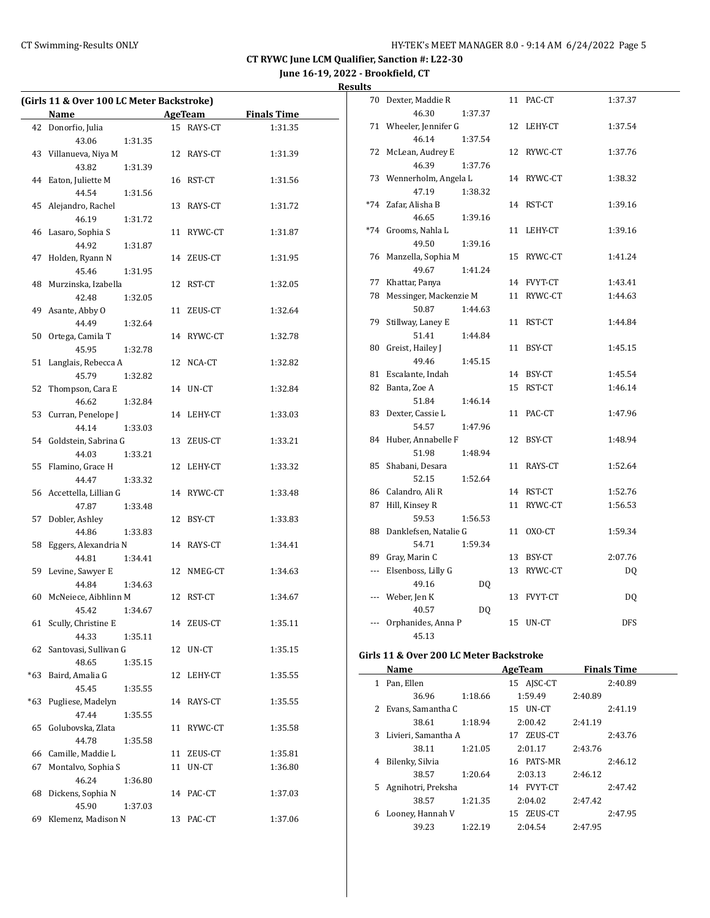**June 16-19, 2022 - Brookfield, CT**

**Results**

| (Girls 11 & Over 100 LC Meter Backstroke) |                                        |    |            |                    |  |  |
|-------------------------------------------|----------------------------------------|----|------------|--------------------|--|--|
|                                           | Name                                   |    | AgeTeam    | <b>Finals Time</b> |  |  |
|                                           | 42 Donorfio, Julia                     |    | 15 RAYS-CT | 1:31.35            |  |  |
|                                           | 43.06<br>1:31.35                       |    |            |                    |  |  |
| 43                                        | Villanueva, Niya M                     |    | 12 RAYS-CT | 1:31.39            |  |  |
|                                           | 43.82<br>1:31.39                       |    |            |                    |  |  |
|                                           | 44 Eaton, Juliette M                   |    | 16 RST-CT  | 1:31.56            |  |  |
|                                           | 44.54<br>1:31.56                       |    |            |                    |  |  |
| 45                                        | Alejandro, Rachel                      |    | 13 RAYS-CT | 1:31.72            |  |  |
|                                           | 46.19<br>1:31.72                       |    |            |                    |  |  |
| 46                                        | Lasaro, Sophia S                       |    | 11 RYWC-CT | 1:31.87            |  |  |
|                                           | 44.92<br>1:31.87                       |    |            |                    |  |  |
| 47                                        | Holden, Ryann N                        |    | 14 ZEUS-CT | 1:31.95            |  |  |
|                                           | 45.46<br>1:31.95                       |    |            |                    |  |  |
| 48                                        | Murzinska, Izabella                    |    | 12 RST-CT  | 1:32.05            |  |  |
|                                           | 42.48<br>1:32.05                       |    |            |                    |  |  |
| 49                                        | Asante, Abby O                         |    | 11 ZEUS-CT | 1:32.64            |  |  |
|                                           | 44.49<br>1:32.64                       |    |            |                    |  |  |
| 50                                        | Ortega, Camila T                       |    | 14 RYWC-CT | 1:32.78            |  |  |
|                                           | 45.95<br>1:32.78                       |    |            |                    |  |  |
| 51                                        | Langlais, Rebecca A                    |    | 12 NCA-CT  | 1:32.82            |  |  |
|                                           | 45.79<br>1:32.82                       |    |            |                    |  |  |
| 52                                        | Thompson, Cara E                       |    | 14 UN-CT   | 1:32.84            |  |  |
|                                           |                                        |    |            |                    |  |  |
|                                           | 46.62<br>1:32.84<br>Curran, Penelope J |    |            |                    |  |  |
| 53                                        |                                        |    | 14 LEHY-CT | 1:33.03            |  |  |
|                                           | 44.14<br>1:33.03                       |    |            |                    |  |  |
|                                           | 54 Goldstein, Sabrina G                |    | 13 ZEUS-CT | 1:33.21            |  |  |
|                                           | 44.03<br>1:33.21                       |    |            |                    |  |  |
| 55                                        | Flamino, Grace H                       |    | 12 LEHY-CT | 1:33.32            |  |  |
|                                           | 44.47<br>1:33.32                       |    |            |                    |  |  |
|                                           | 56 Accettella, Lillian G               |    | 14 RYWC-CT | 1:33.48            |  |  |
|                                           | 47.87<br>1:33.48                       |    |            |                    |  |  |
| 57                                        | Dobler, Ashley                         |    | 12 BSY-CT  | 1:33.83            |  |  |
|                                           | 44.86<br>1:33.83                       |    |            |                    |  |  |
| 58                                        | Eggers, Alexandria N                   |    | 14 RAYS-CT | 1:34.41            |  |  |
|                                           | 44.81<br>1:34.41                       |    |            |                    |  |  |
| 59                                        | Levine, Sawyer E                       |    | 12 NMEG-CT | 1:34.63            |  |  |
|                                           | 44.84<br>1:34.63                       |    |            |                    |  |  |
| 60                                        | McNeiece, Aibhlinn M                   |    | 12 RST-CT  | 1:34.67            |  |  |
|                                           | 45.42<br>1:34.67                       |    |            |                    |  |  |
| 61                                        | Scully, Christine E                    | 14 | ZEUS-CT    | 1:35.11            |  |  |
|                                           | 44.33<br>1:35.11                       |    |            |                    |  |  |
| 62                                        | Santovasi, Sullivan G                  | 12 | UN-CT      | 1:35.15            |  |  |
|                                           | 48.65<br>1:35.15                       |    |            |                    |  |  |
| *63                                       | Baird, Amalia G                        | 12 | LEHY-CT    | 1:35.55            |  |  |
|                                           | 45.45<br>1:35.55                       |    |            |                    |  |  |
| *63                                       | Pugliese, Madelyn                      | 14 | RAYS-CT    | 1:35.55            |  |  |
|                                           | 47.44<br>1:35.55                       |    |            |                    |  |  |
| 65                                        | Golubovska, Zlata                      | 11 | RYWC-CT    | 1:35.58            |  |  |
|                                           | 44.78<br>1:35.58                       |    |            |                    |  |  |
| 66                                        | Camille, Maddie L                      |    | 11 ZEUS-CT | 1:35.81            |  |  |
| 67                                        | Montalvo, Sophia S                     | 11 | UN-CT      | 1:36.80            |  |  |
|                                           | 46.24<br>1:36.80                       |    |            |                    |  |  |
| 68                                        | Dickens, Sophia N                      | 14 | PAC-CT     | 1:37.03            |  |  |
|                                           | 45.90<br>1:37.03                       |    |            |                    |  |  |
| 69                                        | Klemenz, Madison N                     | 13 | PAC-CT     | 1:37.06            |  |  |
|                                           |                                        |    |            |                    |  |  |

| 70             | Dexter, Maddie R       |         | 11 | PAC-CT     | 1:37.37 |  |
|----------------|------------------------|---------|----|------------|---------|--|
|                | 46.30                  | 1:37.37 |    |            |         |  |
| 71             | Wheeler, Jennifer G    |         | 12 | LEHY-CT    | 1:37.54 |  |
|                | 46.14                  | 1:37.54 |    |            |         |  |
| 72             | McLean, Audrey E       |         | 12 | RYWC-CT    | 1:37.76 |  |
|                | 46.39                  | 1:37.76 |    |            |         |  |
| 73             | Wennerholm, Angela L   |         |    | 14 RYWC-CT | 1:38.32 |  |
|                | 47.19                  | 1:38.32 |    |            |         |  |
| $*74$          | Zafar, Alisha B        |         |    | 14 RST-CT  | 1:39.16 |  |
|                | 46.65                  | 1:39.16 |    |            |         |  |
| $*74$          | Grooms, Nahla L        |         | 11 | LEHY-CT    | 1:39.16 |  |
|                | 49.50                  | 1:39.16 |    |            |         |  |
| 76             | Manzella, Sophia M     |         | 15 | RYWC-CT    | 1:41.24 |  |
|                | 49.67                  | 1:41.24 |    |            |         |  |
| 77             | Khattar, Panya         |         |    | 14 FVYT-CT | 1:43.41 |  |
| 78             | Messinger, Mackenzie M |         | 11 | RYWC-CT    | 1:44.63 |  |
|                | 50.87                  | 1:44.63 |    |            |         |  |
| 79             | Stillway, Laney E      |         | 11 | RST-CT     | 1:44.84 |  |
|                | 51.41                  | 1:44.84 |    |            |         |  |
| 80             | Greist, Hailey J       |         | 11 | BSY-CT     | 1:45.15 |  |
|                | 49.46                  | 1:45.15 |    |            |         |  |
| 81             | Escalante, Indah       |         |    | 14 BSY-CT  | 1:45.54 |  |
| 82             | Banta, Zoe A           |         | 15 | RST-CT     | 1:46.14 |  |
|                | 51.84                  | 1:46.14 |    |            |         |  |
| 83             | Dexter, Cassie L       |         | 11 | PAC-CT     | 1:47.96 |  |
|                | 54.57                  | 1:47.96 |    |            |         |  |
| 84             | Huber, Annabelle F     |         | 12 | BSY-CT     | 1:48.94 |  |
|                | 51.98                  | 1:48.94 |    |            |         |  |
| 85             | Shabani, Desara        |         | 11 | RAYS-CT    | 1:52.64 |  |
|                | 52.15                  | 1:52.64 |    |            |         |  |
| 86             | Calandro, Ali R        |         | 14 | RST-CT     | 1:52.76 |  |
| 87             | Hill, Kinsey R         |         | 11 | RYWC-CT    | 1:56.53 |  |
|                | 59.53                  | 1:56.53 |    |            |         |  |
| 88             | Danklefsen, Natalie G  |         | 11 | OXO-CT     | 1:59.34 |  |
|                | 54.71                  | 1:59.34 |    |            |         |  |
| 89             | Gray, Marin C          |         | 13 | BSY-CT     | 2:07.76 |  |
| ---            | Elsenboss, Lilly G     |         | 13 | RYWC-CT    | DQ      |  |
|                | 49.16                  | DQ      |    |            |         |  |
| $\overline{a}$ | Weber, Jen K           |         |    | 13 FVYT-CT | DQ      |  |
|                | 40.57                  | DQ      |    |            |         |  |
|                | Orphanides, Anna P     |         | 15 | UN-CT      | DFS     |  |
|                | 45.13                  |         |    |            |         |  |

#### **Girls 11 & Over 200 LC Meter Backstroke**

|   | Name                 |         | AgeTeam    | <b>Finals Time</b> |
|---|----------------------|---------|------------|--------------------|
| 1 | Pan, Ellen           |         | 15 AJSC-CT | 2:40.89            |
|   | 36.96                | 1:18.66 | 1:59.49    | 2:40.89            |
| 2 | Evans, Samantha C    |         | 15 UN-CT   | 2:41.19            |
|   | 38.61                | 1:18.94 | 2:00.42    | 2:41.19            |
| 3 | Livieri, Samantha A  |         | 17 ZEUS-CT | 2:43.76            |
|   | 38.11                | 1:21.05 | 2:01.17    | 2:43.76            |
| 4 | Bilenky, Silvia      |         | 16 PATS-MR | 2:46.12            |
|   | 38.57                | 1:20.64 | 2:03.13    | 2:46.12            |
|   | 5 Agnihotri, Preksha |         | 14 FVYT-CT | 2:47.42            |
|   | 38.57                | 1:21.35 | 2:04.02    | 2:47.42            |
| 6 | Looney, Hannah V     |         | 15 ZEUS-CT | 2:47.95            |
|   | 39.23                | 1:22.19 | 2:04.54    | 2:47.95            |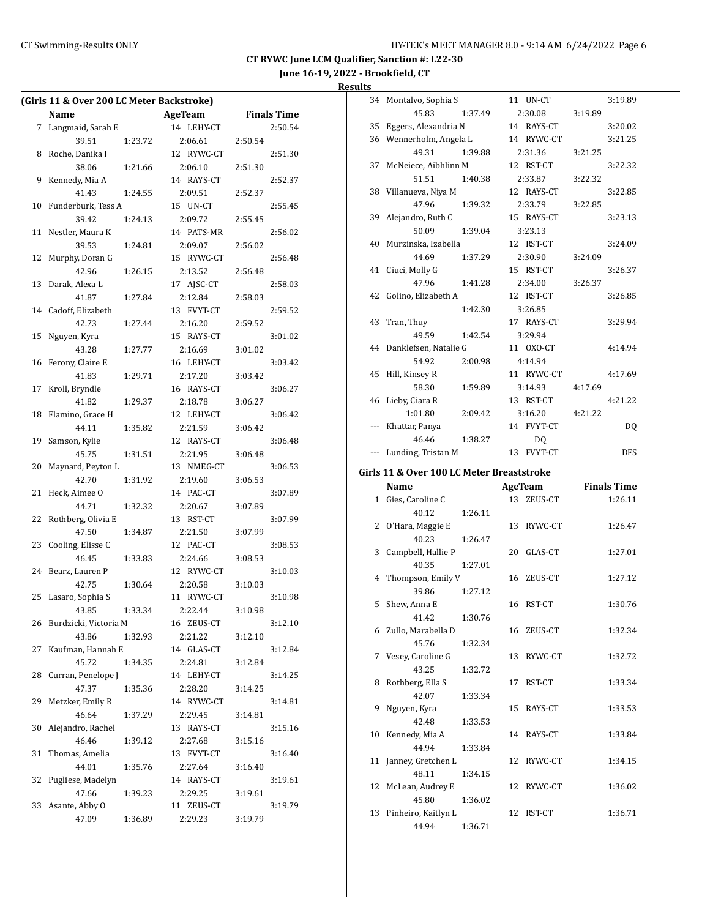# **June 16-19, 2022 - Brookfield, CT Results**

|    | (Girls 11 & Over 200 LC Meter Backstroke) |         |            |         |                    |
|----|-------------------------------------------|---------|------------|---------|--------------------|
|    | Name                                      |         | AgeTeam    |         | <b>Finals Time</b> |
| 7  | Langmaid, Sarah E                         |         | 14 LEHY-CT |         | 2:50.54            |
|    | 39.51                                     | 1:23.72 | 2:06.61    | 2:50.54 |                    |
| 8  | Roche, Danika I                           |         | 12 RYWC-CT |         | 2:51.30            |
|    | 38.06                                     | 1:21.66 | 2:06.10    | 2:51.30 |                    |
| 9  | Kennedy, Mia A                            |         | 14 RAYS-CT |         | 2:52.37            |
|    | 41.43                                     | 1:24.55 | 2:09.51    | 2:52.37 |                    |
| 10 | Funderburk, Tess A                        |         | 15 UN-CT   |         | 2:55.45            |
|    | 39.42                                     | 1:24.13 | 2:09.72    | 2:55.45 |                    |
| 11 | Nestler, Maura K                          |         | 14 PATS-MR |         | 2:56.02            |
|    | 39.53                                     | 1:24.81 | 2:09.07    | 2:56.02 |                    |
| 12 | Murphy, Doran G                           |         | 15 RYWC-CT |         | 2:56.48            |
|    | 42.96                                     | 1:26.15 | 2:13.52    | 2:56.48 |                    |
| 13 | Darak, Alexa L                            |         | 17 AJSC-CT |         | 2:58.03            |
|    | 41.87                                     | 1:27.84 | 2:12.84    | 2:58.03 |                    |
| 14 | Cadoff, Elizabeth                         |         | 13 FVYT-CT |         | 2:59.52            |
|    | 42.73                                     | 1:27.44 | 2:16.20    | 2:59.52 |                    |
| 15 | Nguyen, Kyra                              |         | 15 RAYS-CT |         | 3:01.02            |
|    | 43.28                                     | 1:27.77 | 2:16.69    | 3:01.02 |                    |
| 16 | Ferony, Claire E                          |         | 16 LEHY-CT |         | 3:03.42            |
|    | 41.83                                     | 1:29.71 | 2:17.20    | 3:03.42 |                    |
| 17 | Kroll, Bryndle                            |         | 16 RAYS-CT |         | 3:06.27            |
|    | 41.82                                     | 1:29.37 | 2:18.78    | 3:06.27 |                    |
| 18 | Flamino, Grace H                          |         | 12 LEHY-CT |         | 3:06.42            |
|    | 44.11                                     | 1:35.82 | 2:21.59    | 3:06.42 |                    |
| 19 | Samson, Kylie                             |         | 12 RAYS-CT |         | 3:06.48            |
|    | 45.75                                     | 1:31.51 | 2:21.95    | 3:06.48 |                    |
| 20 | Maynard, Peyton L                         |         | 13 NMEG-CT |         | 3:06.53            |
|    | 42.70                                     | 1:31.92 | 2:19.60    | 3:06.53 |                    |
| 21 | Heck, Aimee O                             |         | 14 PAC-CT  |         | 3:07.89            |
|    | 44.71                                     | 1:32.32 | 2:20.67    | 3:07.89 |                    |
| 22 | Rothberg, Olivia E                        |         | 13 RST-CT  |         | 3:07.99            |
|    | 47.50                                     | 1:34.87 | 2:21.50    | 3:07.99 |                    |
| 23 | Cooling, Elisse C                         |         | 12 PAC-CT  |         | 3:08.53            |
|    | 46.45                                     | 1:33.83 | 2:24.66    | 3:08.53 |                    |
| 24 | Bearz, Lauren P                           |         | 12 RYWC-CT |         | 3:10.03            |
|    | 42.75                                     | 1:30.64 | 2:20.58    | 3:10.03 |                    |
| 25 | Lasaro, Sophia S                          |         | 11 RYWC-CT |         | 3:10.98            |
|    | 43.85                                     | 1:33.34 | 2:22.44    | 3:10.98 |                    |
| 26 | Burdzicki, Victoria M                     |         | 16 ZEUS-CT |         | 3:12.10            |
|    | 43.86                                     | 1:32.93 | 2:21.22    | 3:12.10 |                    |
| 27 | Kaufman, Hannah E                         |         | 14 GLAS-CT |         | 3:12.84            |
|    | 45.72                                     | 1:34.35 | 2:24.81    | 3:12.84 |                    |
| 28 | Curran, Penelope J                        |         | 14 LEHY-CT |         | 3:14.25            |
|    | 47.37                                     | 1:35.36 | 2:28.20    | 3:14.25 |                    |
| 29 | Metzker, Emily R                          |         | 14 RYWC-CT |         | 3:14.81            |
|    | 46.64                                     | 1:37.29 | 2:29.45    | 3:14.81 |                    |
| 30 | Alejandro, Rachel                         |         | 13 RAYS-CT |         | 3:15.16            |
|    | 46.46                                     | 1:39.12 | 2:27.68    | 3:15.16 |                    |
| 31 | Thomas, Amelia                            |         | 13 FVYT-CT |         | 3:16.40            |
|    | 44.01                                     | 1:35.76 | 2:27.64    | 3:16.40 |                    |
| 32 | Pugliese, Madelyn                         |         | 14 RAYS-CT |         | 3:19.61            |
|    | 47.66                                     | 1:39.23 | 2:29.25    | 3:19.61 |                    |
| 33 | Asante, Abby O                            |         | 11 ZEUS-CT |         | 3:19.79            |
|    | 47.09                                     | 1:36.89 | 2:29.23    | 3:19.79 |                    |
|    |                                           |         |            |         |                    |

|    | 34 Montalvo, Sophia S    |         | 11 UN-CT       |         | 3:19.89    |
|----|--------------------------|---------|----------------|---------|------------|
|    | 45.83                    | 1:37.49 | 2:30.08        | 3:19.89 |            |
| 35 | Eggers, Alexandria N     |         | 14 RAYS-CT     |         | 3:20.02    |
| 36 | Wennerholm, Angela L     |         | 14 RYWC-CT     |         | 3:21.25    |
|    | 49.31                    | 1:39.88 | 2:31.36        | 3:21.25 |            |
| 37 | McNeiece, Aibhlinn M     |         | 12 RST-CT      |         | 3:22.32    |
|    | 51.51                    | 1:40.38 | 2:33.87        | 3:22.32 |            |
| 38 | Villanueva, Niya M       |         | 12 RAYS-CT     |         | 3:22.85    |
|    | 47.96                    | 1:39.32 | 2:33.79        | 3:22.85 |            |
| 39 | Alejandro, Ruth C        |         | 15 RAYS-CT     |         | 3:23.13    |
|    | 50.09                    | 1:39.04 | 3:23.13        |         |            |
| 40 | Murzinska, Izabella      |         | 12 RST-CT      |         | 3:24.09    |
|    | 44.69                    | 1:37.29 | 2:30.90        | 3:24.09 |            |
| 41 | Ciuci, Molly G           |         | 15 RST-CT      |         | 3:26.37    |
|    | 47.96                    | 1:41.28 | 2:34.00        | 3:26.37 |            |
| 42 | Golino, Elizabeth A      |         | 12 RST-CT      |         | 3:26.85    |
|    |                          | 1:42.30 | 3:26.85        |         |            |
| 43 | Tran, Thuy               |         | 17 RAYS-CT     |         | 3:29.94    |
|    | 49.59                    | 1:42.54 | 3:29.94        |         |            |
|    | 44 Danklefsen, Natalie G |         | 11 OXO-CT      |         | 4:14.94    |
|    | 54.92                    | 2:00.98 | 4:14.94        |         |            |
| 45 | Hill, Kinsey R           |         | 11 RYWC-CT     |         | 4:17.69    |
|    | 58.30                    | 1:59.89 | 3:14.93        | 4:17.69 |            |
|    | 46 Lieby, Ciara R        |         | 13 RST-CT      |         | 4:21.22    |
|    | 1:01.80                  | 2:09.42 | 3:16.20        | 4:21.22 |            |
|    | Khattar, Panya           |         | 14 FVYT-CT     |         | DQ         |
|    | 46.46                    | 1:38.27 | D <sub>0</sub> |         |            |
|    | --- Lunding, Tristan M   |         | 13 FVYT-CT     |         | <b>DFS</b> |

# **Girls 11 & Over 100 LC Meter Breaststroke**

| Name                   |         | <b>AgeTeam</b> | <b>Finals Time</b> |
|------------------------|---------|----------------|--------------------|
| 1 Gies, Caroline C     |         | 13 ZEUS-CT     | 1:26.11            |
| 40.12                  | 1:26.11 |                |                    |
| 2 O'Hara, Maggie E     |         | 13 RYWC-CT     | 1:26.47            |
| 40.23                  | 1:26.47 |                |                    |
| 3 Campbell, Hallie P   |         | 20 GLAS-CT     | 1:27.01            |
| 40.35                  | 1:27.01 |                |                    |
| 4 Thompson, Emily V    |         | 16 ZEUS-CT     | 1:27.12            |
| 39.86                  | 1:27.12 |                |                    |
| 5 Shew, Anna E         |         | 16 RST-CT      | 1:30.76            |
| 41.42                  | 1:30.76 |                |                    |
| 6 Zullo, Marabella D   |         | 16 ZEUS-CT     | 1:32.34            |
| 45.76                  | 1:32.34 |                |                    |
| 7 Vesey, Caroline G    |         | 13 RYWC-CT     | 1:32.72            |
| 43.25                  | 1:32.72 |                |                    |
| 8 Rothberg, Ella S     |         | 17 RST-CT      | 1:33.34            |
| 42.07                  | 1:33.34 |                |                    |
| 9 Nguyen, Kyra         |         | 15 RAYS-CT     | 1:33.53            |
| 42.48                  | 1:33.53 |                |                    |
| 10 Kennedy, Mia A      |         | 14 RAYS-CT     | 1:33.84            |
| 44.94                  | 1:33.84 |                |                    |
| 11 Janney, Gretchen L  |         | 12 RYWC-CT     | 1:34.15            |
| 48.11                  | 1:34.15 |                |                    |
| 12 McLean, Audrey E    |         | 12 RYWC-CT     | 1:36.02            |
| 45.80                  | 1:36.02 |                |                    |
| 13 Pinheiro, Kaitlyn L |         | 12 RST-CT      | 1:36.71            |
| 44.94                  | 1:36.71 |                |                    |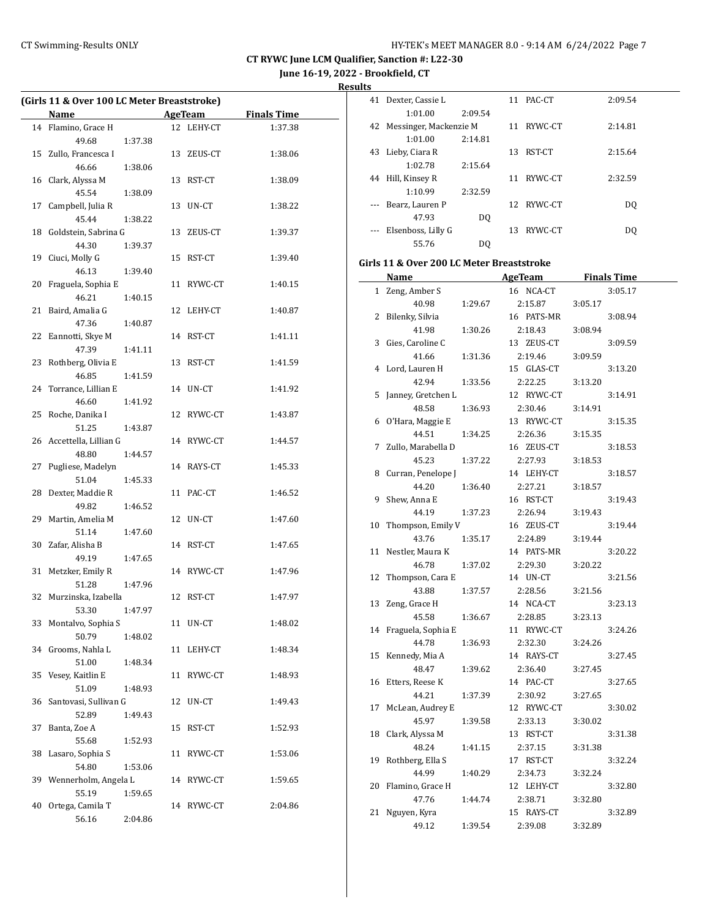**June 16-19, 2022 - Brookfield, CT**

**Results**

 $\equiv$ 

|    | (Girls 11 & Over 100 LC Meter Breaststroke) |         |    |                |                    |
|----|---------------------------------------------|---------|----|----------------|--------------------|
|    | Name                                        |         |    | <b>AgeTeam</b> | <b>Finals Time</b> |
|    | 14 Flamino, Grace H                         |         |    | 12 LEHY-CT     | 1:37.38            |
|    | 49.68                                       | 1:37.38 |    |                |                    |
| 15 | Zullo, Francesca I                          |         |    | 13 ZEUS-CT     | 1:38.06            |
|    | 46.66                                       | 1:38.06 |    |                |                    |
| 16 | Clark, Alyssa M                             |         |    | 13 RST-CT      | 1:38.09            |
|    | 45.54                                       | 1:38.09 |    |                |                    |
| 17 | Campbell, Julia R                           |         |    | 13 UN-CT       | 1:38.22            |
|    | 45.44                                       | 1:38.22 |    |                |                    |
| 18 | Goldstein, Sabrina G                        |         |    | 13 ZEUS-CT     | 1:39.37            |
|    | 44.30                                       | 1:39.37 |    |                |                    |
| 19 | Ciuci, Molly G                              |         |    | 15 RST-CT      | 1:39.40            |
|    | 46.13                                       | 1:39.40 |    |                |                    |
| 20 | Fraguela, Sophia E                          |         |    | 11 RYWC-CT     | 1:40.15            |
|    | 46.21                                       | 1:40.15 |    |                |                    |
| 21 | Baird, Amalia G                             |         |    | 12 LEHY-CT     | 1:40.87            |
|    | 47.36                                       | 1:40.87 |    |                |                    |
| 22 | Eannotti, Skye M                            |         |    | 14 RST-CT      | 1:41.11            |
|    | 47.39                                       | 1:41.11 |    |                |                    |
| 23 | Rothberg, Olivia E                          |         |    | 13 RST-CT      | 1:41.59            |
|    | 46.85                                       | 1:41.59 |    |                |                    |
| 24 | Torrance, Lillian E                         |         |    | 14 UN-CT       | 1:41.92            |
|    | 46.60                                       | 1:41.92 |    |                |                    |
| 25 | Roche, Danika I                             |         |    | 12 RYWC-CT     | 1:43.87            |
|    | 51.25                                       | 1:43.87 |    |                |                    |
|    | 26 Accettella, Lillian G                    |         |    | 14 RYWC-CT     | 1:44.57            |
|    | 48.80                                       | 1:44.57 |    |                |                    |
| 27 | Pugliese, Madelyn                           |         |    | 14 RAYS-CT     | 1:45.33            |
|    | 51.04                                       | 1:45.33 |    |                |                    |
| 28 | Dexter, Maddie R                            |         |    | 11 PAC-CT      | 1:46.52            |
|    | 49.82                                       | 1:46.52 |    |                |                    |
| 29 | Martin, Amelia M                            |         |    | 12 UN-CT       | 1:47.60            |
|    | 51.14                                       | 1:47.60 |    |                |                    |
| 30 | Zafar, Alisha B                             |         |    | 14 RST-CT      | 1:47.65            |
|    | 49.19                                       | 1:47.65 |    |                |                    |
| 31 | Metzker, Emily R                            |         |    | 14 RYWC-CT     | 1:47.96            |
|    | 51.28                                       | 1:47.96 |    |                |                    |
|    | 32 Murzinska, Izabella                      |         |    | 12 RST-CT      | 1:47.97            |
|    | 53.30 1:47.97                               |         |    |                |                    |
|    | 33 Montalvo, Sophia S                       |         |    | 11 UN-CT       | 1:48.02            |
|    | 50.79                                       | 1:48.02 |    |                |                    |
| 34 | Grooms, Nahla L                             |         |    | 11 LEHY-CT     | 1:48.34            |
|    | 51.00                                       | 1:48.34 |    |                |                    |
| 35 | Vesey, Kaitlin E                            |         |    | 11 RYWC-CT     | 1:48.93            |
|    | 51.09                                       | 1:48.93 |    |                |                    |
| 36 | Santovasi, Sullivan G                       |         |    | 12 UN-CT       | 1:49.43            |
|    | 52.89                                       | 1:49.43 |    |                |                    |
| 37 | Banta, Zoe A                                |         | 15 | RST-CT         | 1:52.93            |
|    | 55.68                                       | 1:52.93 |    |                |                    |
| 38 | Lasaro, Sophia S                            |         | 11 | RYWC-CT        | 1:53.06            |
|    | 54.80                                       | 1:53.06 |    |                |                    |
|    | 39 Wennerholm, Angela L                     |         |    | 14 RYWC-CT     | 1:59.65            |
|    | 55.19                                       | 1:59.65 |    |                |                    |
| 40 | Ortega, Camila T                            |         |    | 14 RYWC-CT     | 2:04.86            |
|    | 56.16                                       | 2:04.86 |    |                |                    |
|    |                                             |         |    |                |                    |

| LS |                           |         |    |            |                |  |
|----|---------------------------|---------|----|------------|----------------|--|
| 41 | Dexter, Cassie L          |         |    | 11 PAC-CT  | 2:09.54        |  |
|    | 1:01.00                   | 2:09.54 |    |            |                |  |
|    | 42 Messinger, Mackenzie M |         |    | 11 RYWC-CT | 2:14.81        |  |
|    | 1:01.00                   | 2:14.81 |    |            |                |  |
| 43 | Lieby, Ciara R            |         | 13 | RST-CT     | 2:15.64        |  |
|    | 1:02.78                   | 2:15.64 |    |            |                |  |
| 44 | Hill, Kinsey R            |         | 11 | RYWC-CT    | 2:32.59        |  |
|    | 1:10.99                   | 2:32.59 |    |            |                |  |
|    | Bearz, Lauren P           |         |    | 12 RYWC-CT | D <sub>0</sub> |  |
|    | 47.93                     | DO.     |    |            |                |  |
|    | Elsenboss, Lilly G        |         | 13 | RYWC-CT    | DO.            |  |
|    | 55.76                     | DO      |    |            |                |  |

## **Girls 11 & Over 200 LC Meter Breaststroke**

|    | <u>Name</u>        |         | <b>AgeTeam</b> |         | <b>Finals Time</b> |
|----|--------------------|---------|----------------|---------|--------------------|
| 1  | Zeng, Amber S      |         | 16 NCA-CT      |         | 3:05.17            |
|    | 40.98              | 1:29.67 | 2:15.87        | 3:05.17 |                    |
| 2  | Bilenky, Silvia    |         | 16 PATS-MR     |         | 3:08.94            |
|    | 41.98              | 1:30.26 | 2:18.43        | 3:08.94 |                    |
| 3  | Gies, Caroline C   |         | 13 ZEUS-CT     |         | 3:09.59            |
|    | 41.66              | 1:31.36 | 2:19.46        | 3:09.59 |                    |
| 4  | Lord, Lauren H     |         | 15 GLAS-CT     |         | 3:13.20            |
|    | 42.94              | 1:33.56 | 2:22.25        | 3:13.20 |                    |
| 5  | Janney, Gretchen L |         | 12 RYWC-CT     |         | 3:14.91            |
|    | 48.58              | 1:36.93 | 2:30.46        | 3:14.91 |                    |
| 6  | O'Hara, Maggie E   |         | 13 RYWC-CT     |         | 3:15.35            |
|    | 44.51              | 1:34.25 | 2:26.36        | 3:15.35 |                    |
| 7  | Zullo, Marabella D |         | 16 ZEUS-CT     |         | 3:18.53            |
|    | 45.23              | 1:37.22 | 2:27.93        | 3:18.53 |                    |
| 8  | Curran, Penelope J |         | 14 LEHY-CT     |         | 3:18.57            |
|    | 44.20              | 1:36.40 | 2:27.21        | 3:18.57 |                    |
| 9  | Shew, Anna E       |         | 16 RST-CT      |         | 3:19.43            |
|    | 44.19              | 1:37.23 | 2:26.94        | 3:19.43 |                    |
| 10 | Thompson, Emily V  |         | 16 ZEUS-CT     |         | 3:19.44            |
|    | 43.76              | 1:35.17 | 2:24.89        | 3:19.44 |                    |
| 11 | Nestler, Maura K   |         | 14 PATS-MR     |         | 3:20.22            |
|    | 46.78              | 1:37.02 | 2:29.30        | 3:20.22 |                    |
| 12 | Thompson, Cara E   |         | 14 UN-CT       |         | 3:21.56            |
|    | 43.88              | 1:37.57 | 2:28.56        | 3:21.56 |                    |
| 13 | Zeng, Grace H      |         | 14 NCA-CT      |         | 3:23.13            |
|    | 45.58              | 1:36.67 | 2:28.85        | 3:23.13 |                    |
| 14 | Fraguela, Sophia E |         | 11 RYWC-CT     |         | 3:24.26            |
|    | 44.78              | 1:36.93 | 2:32.30        | 3:24.26 |                    |
| 15 | Kennedy, Mia A     |         | 14 RAYS-CT     |         | 3:27.45            |
|    | 48.47              | 1:39.62 | 2:36.40        | 3:27.45 |                    |
| 16 | Etters, Reese K    |         | 14 PAC-CT      |         | 3:27.65            |
|    | 44.21              | 1:37.39 | 2:30.92        | 3:27.65 |                    |
| 17 | McLean, Audrey E   |         | 12 RYWC-CT     |         | 3:30.02            |
|    | 45.97              | 1:39.58 | 2:33.13        | 3:30.02 |                    |
| 18 | Clark, Alyssa M    |         | 13 RST-CT      |         | 3:31.38            |
|    | 48.24              | 1:41.15 | 2:37.15        | 3:31.38 |                    |
| 19 | Rothberg, Ella S   |         | 17 RST-CT      |         | 3:32.24            |
|    | 44.99              | 1:40.29 | 2:34.73        | 3:32.24 |                    |
| 20 | Flamino, Grace H   |         | 12 LEHY-CT     |         | 3:32.80            |
|    | 47.76              | 1:44.74 | 2:38.71        | 3:32.80 |                    |
| 21 | Nguyen, Kyra       |         | 15 RAYS-CT     |         | 3:32.89            |
|    | 49.12              | 1:39.54 | 2:39.08        | 3:32.89 |                    |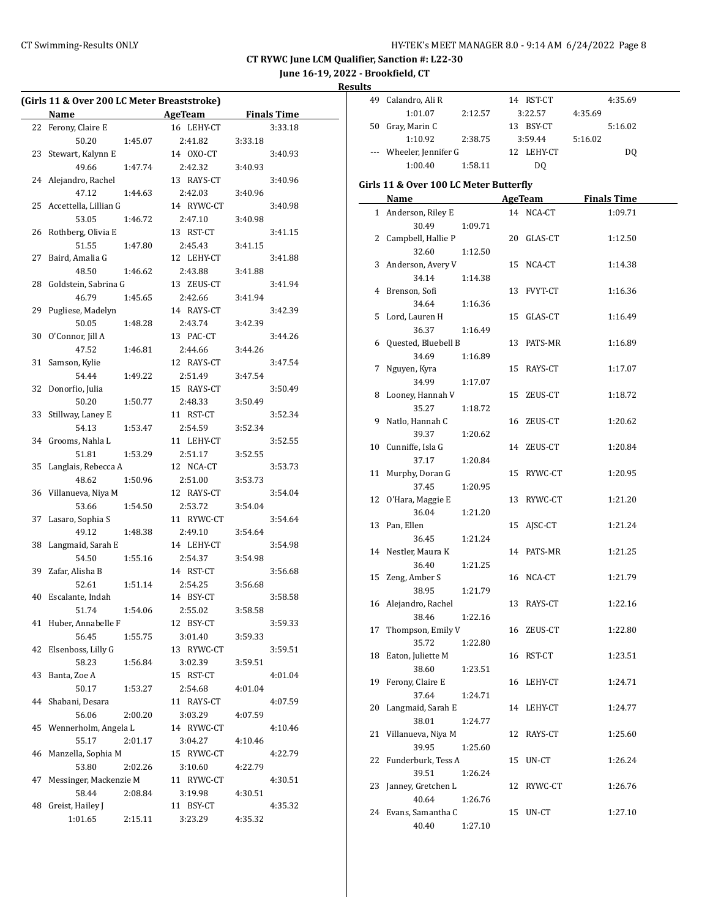**June 16-19, 2022 - Brookfield, CT**

**Results**

|    | (Girls 11 & Over 200 LC Meter Breaststroke) |                          |                    |
|----|---------------------------------------------|--------------------------|--------------------|
|    | Name                                        | <b>Example 2 AgeTeam</b> | <b>Finals Time</b> |
|    | 22 Ferony, Claire E                         | 16 LEHY-CT               | 3:33.18            |
|    | 50.20<br>1:45.07                            | 2:41.82                  | 3:33.18            |
| 23 | Stewart, Kalynn E                           | 14 OXO-CT                | 3:40.93            |
|    | 49.66<br>1:47.74                            | 2:42.32                  | 3:40.93            |
|    | 24 Alejandro, Rachel                        | 13 RAYS-CT               | 3:40.96            |
|    | 47.12<br>1:44.63                            | 2:42.03                  | 3:40.96            |
|    | 25 Accettella, Lillian G                    | 14 RYWC-CT               | 3:40.98            |
|    | 53.05<br>1:46.72                            | 2:47.10                  | 3:40.98            |
| 26 | Rothberg, Olivia E                          | 13 RST-CT                | 3:41.15            |
|    | 51.55<br>1:47.80                            | 2:45.43                  | 3:41.15            |
| 27 | Baird, Amalia G                             | 12 LEHY-CT               | 3:41.88            |
|    | 48.50<br>1:46.62                            | 2:43.88                  | 3:41.88            |
| 28 | Goldstein, Sabrina G                        | 13 ZEUS-CT               | 3:41.94            |
|    | 46.79                                       |                          |                    |
|    | 1:45.65                                     | 2:42.66                  | 3:41.94            |
| 29 | Pugliese, Madelyn                           | 14 RAYS-CT               | 3:42.39            |
|    | 50.05<br>1:48.28                            | 2:43.74                  | 3:42.39            |
| 30 | O'Connor, Jill A                            | 13 PAC-CT                | 3:44.26            |
|    | 47.52<br>1:46.81                            | 2:44.66                  | 3:44.26            |
| 31 | Samson, Kylie                               | 12 RAYS-CT               | 3:47.54            |
|    | 54.44<br>1:49.22                            | 2:51.49                  | 3:47.54            |
| 32 | Donorfio, Julia                             | 15 RAYS-CT               | 3:50.49            |
|    | 50.20<br>1:50.77                            | 2:48.33                  | 3:50.49            |
| 33 | Stillway, Laney E                           | 11 RST-CT                | 3:52.34            |
|    | 54.13<br>1:53.47                            | 2:54.59                  | 3:52.34            |
| 34 | Grooms, Nahla L                             | 11 LEHY-CT               | 3:52.55            |
|    | 1:53.29<br>51.81                            | 2:51.17                  | 3:52.55            |
| 35 | Langlais, Rebecca A                         | 12 NCA-CT                | 3:53.73            |
|    | 48.62<br>1:50.96                            | 2:51.00                  | 3:53.73            |
| 36 | Villanueva, Niya M                          | 12 RAYS-CT               | 3:54.04            |
|    | 53.66<br>1:54.50                            | 2:53.72                  | 3:54.04            |
| 37 | Lasaro, Sophia S                            | 11 RYWC-CT               | 3:54.64            |
|    | 49.12<br>1:48.38                            | 2:49.10                  | 3:54.64            |
| 38 | Langmaid, Sarah E                           | 14 LEHY-CT               | 3:54.98            |
|    | 54.50<br>1:55.16                            | 2:54.37                  | 3:54.98            |
| 39 | Zafar, Alisha B                             | 14 RST-CT                | 3:56.68            |
|    | 52.61<br>1:51.14                            | 2:54.25                  | 3:56.68            |
| 40 | Escalante, Indah                            | 14 BSY-CT                | 3:58.58            |
|    | 1:54.06<br>51.74                            | 2:55.02                  | 3:58.58            |
| 41 | Huber, Annabelle F                          | 12 BSY-CT                | 3:59.33            |
|    | 56.45<br>1:55.75                            | 3:01.40                  | 3:59.33            |
| 42 | Elsenboss, Lilly G                          | 13 RYWC-CT               | 3:59.51            |
|    | 58.23<br>1:56.84                            | 3:02.39                  | 3:59.51            |
| 43 | Banta, Zoe A                                | 15 RST-CT                | 4:01.04            |
|    | 50.17<br>1:53.27                            | 2:54.68                  | 4:01.04            |
| 44 | Shabani, Desara                             | 11 RAYS-CT               | 4:07.59            |
|    | 56.06<br>2:00.20                            | 3:03.29                  | 4:07.59            |
| 45 | Wennerholm, Angela L                        | 14 RYWC-CT               |                    |
|    | 55.17<br>2:01.17                            |                          | 4:10.46            |
|    |                                             | 3:04.27                  | 4:10.46            |
| 46 | Manzella, Sophia M                          | 15 RYWC-CT               | 4:22.79            |
|    | 53.80<br>2:02.26                            | 3:10.60                  | 4:22.79            |
| 47 | Messinger, Mackenzie M                      | 11 RYWC-CT               | 4:30.51            |
|    | 58.44<br>2:08.84                            | 3:19.98                  | 4:30.51            |
| 48 | Greist, Hailey J                            | 11 BSY-CT                | 4:35.32            |
|    | 1:01.65<br>2:15.11                          | 3:23.29                  | 4:35.32            |
|    |                                             |                          |                    |

| ıэ |                         |         |               |         |         |
|----|-------------------------|---------|---------------|---------|---------|
| 49 | Calandro, Ali R         |         | 14 RST-CT     |         | 4:35.69 |
|    | 1:01.07                 | 2:12.57 | 3:22.57       | 4:35.69 |         |
| 50 | Gray, Marin C           |         | BSY-CT<br>13. |         | 5:16.02 |
|    | 1:10.92                 | 2:38.75 | 3:59.44       | 5:16.02 |         |
|    | --- Wheeler, Jennifer G |         | LEHY-CT       |         | DO.     |
|    | 1:00.40                 | 1:58.11 | DO.           |         |         |
|    |                         |         |               |         |         |

# **Girls 11 & Over 100 LC Meter Butterfly**

|    | <b>Name</b>                |         |    | <b>AgeTeam</b> | <b>Finals Time</b> |
|----|----------------------------|---------|----|----------------|--------------------|
|    | 1 Anderson, Riley E        |         |    | 14 NCA-CT      | 1:09.71            |
|    | 30.49                      | 1:09.71 |    |                |                    |
|    | 2 Campbell, Hallie P       |         |    | 20 GLAS-CT     | 1:12.50            |
|    | 32.60                      | 1:12.50 |    |                |                    |
|    | 3 Anderson, Avery V        |         |    | 15 NCA-CT      | 1:14.38            |
|    | 34.14                      | 1:14.38 |    |                |                    |
|    | 4 Brenson, Sofi            |         |    | 13 FVYT-CT     | 1:16.36            |
|    | 34.64                      | 1:16.36 |    |                |                    |
|    | 5 Lord, Lauren H           |         |    | 15 GLAS-CT     | 1:16.49            |
|    | 36.37                      | 1:16.49 |    |                |                    |
|    | 6 Quested, Bluebell B      |         |    | 13 PATS-MR     | 1:16.89            |
|    | 34.69                      | 1:16.89 |    |                |                    |
| 7  | Nguyen, Kyra               |         |    | 15 RAYS-CT     | 1:17.07            |
|    | 34.99                      | 1:17.07 |    |                |                    |
| 8  | Looney, Hannah V           |         |    | 15 ZEUS-CT     | 1:18.72            |
|    | 35.27                      | 1:18.72 |    |                |                    |
| 9  | Natlo, Hannah C            |         |    | 16 ZEUS-CT     | 1:20.62            |
|    | 39.37                      | 1:20.62 |    |                |                    |
|    | 10 Cunniffe, Isla G        |         |    | 14 ZEUS-CT     | 1:20.84            |
|    | 37.17                      | 1:20.84 |    |                |                    |
|    | 11 Murphy, Doran G         |         |    | 15 RYWC-CT     | 1:20.95            |
|    | 37.45                      | 1:20.95 |    |                |                    |
|    | 12 O'Hara, Maggie E        |         |    | 13 RYWC-CT     | 1:21.20            |
|    | 36.04                      | 1:21.20 |    |                |                    |
|    | 13 Pan, Ellen              |         |    | 15 AJSC-CT     | 1:21.24            |
|    | 36.45                      | 1:21.24 |    |                |                    |
|    | 14 Nestler, Maura K        |         |    | 14 PATS-MR     | 1:21.25            |
|    | 36.40                      | 1:21.25 |    |                |                    |
| 15 | Zeng, Amber S              |         |    | 16 NCA-CT      | 1:21.79            |
|    | 38.95                      | 1:21.79 |    |                |                    |
| 16 | Alejandro, Rachel<br>38.46 |         |    | 13 RAYS-CT     | 1:22.16            |
| 17 |                            | 1:22.16 |    | 16 ZEUS-CT     | 1:22.80            |
|    | Thompson, Emily V<br>35.72 | 1:22.80 |    |                |                    |
|    | 18 Eaton, Juliette M       |         |    | 16 RST-CT      | 1:23.51            |
|    | 38.60                      | 1:23.51 |    |                |                    |
|    | 19 Ferony, Claire E        |         |    | 16 LEHY-CT     | 1:24.71            |
|    | 37.64                      | 1:24.71 |    |                |                    |
|    | 20 Langmaid, Sarah E       |         |    | 14 LEHY-CT     | 1:24.77            |
|    | 38.01                      | 1:24.77 |    |                |                    |
|    | 21 Villanueva, Niya M      |         |    | 12 RAYS-CT     | 1:25.60            |
|    | 39.95                      | 1:25.60 |    |                |                    |
| 22 | Funderburk, Tess A         |         | 15 | UN-CT          | 1:26.24            |
|    | 39.51                      | 1:26.24 |    |                |                    |
| 23 | Janney, Gretchen L         |         | 12 | RYWC-CT        | 1:26.76            |
|    | 40.64                      | 1:26.76 |    |                |                    |
|    | 24 Evans, Samantha C       |         | 15 | $_{\rm UN-CT}$ | 1:27.10            |
|    | 40.40                      | 1:27.10 |    |                |                    |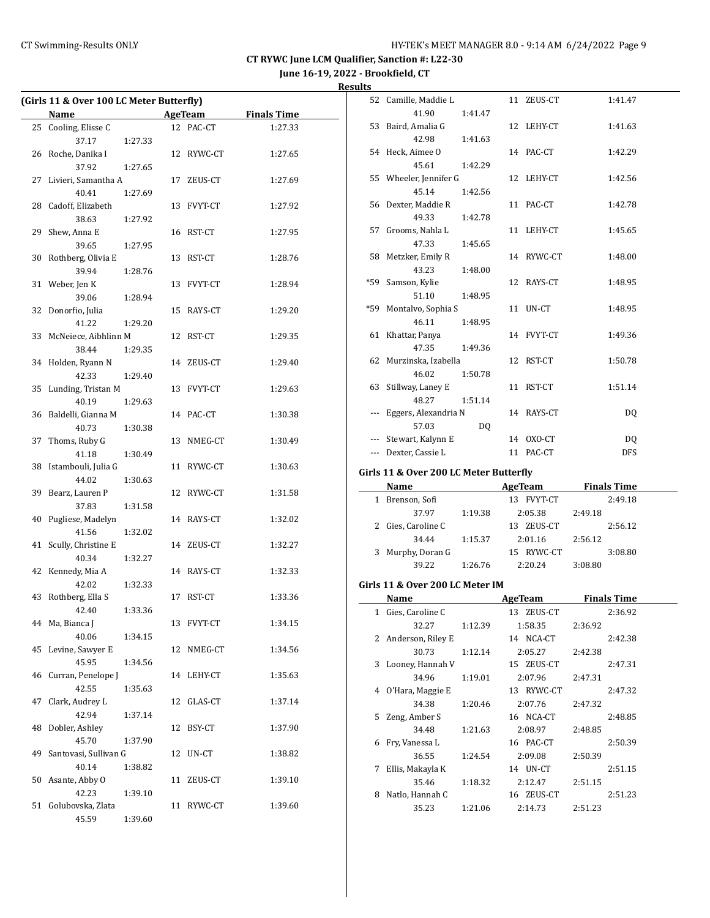**June 16-19, 2022 - Brookfield, CT**

|--|

| (Girls 11 & Over 100 LC Meter Butterfly) |                                                           |         |    |            |                    |  |
|------------------------------------------|-----------------------------------------------------------|---------|----|------------|--------------------|--|
|                                          | Name<br><u> 1989 - Johann Barnett, fransk politiker (</u> |         |    | AgeTeam    | <b>Finals Time</b> |  |
| 25                                       | Cooling, Elisse C                                         |         |    | 12 PAC-CT  | 1:27.33            |  |
|                                          | 37.17                                                     | 1:27.33 |    |            |                    |  |
| 26                                       | Roche, Danika I                                           |         |    | 12 RYWC-CT | 1:27.65            |  |
|                                          | 37.92                                                     | 1:27.65 |    |            |                    |  |
| 27                                       | Livieri, Samantha A                                       |         | 17 | ZEUS-CT    | 1:27.69            |  |
|                                          | 40.41                                                     | 1:27.69 |    |            |                    |  |
| 28                                       | Cadoff, Elizabeth                                         |         |    | 13 FVYT-CT | 1:27.92            |  |
|                                          | 38.63                                                     | 1:27.92 |    |            |                    |  |
| 29                                       | Shew, Anna E                                              |         |    | 16 RST-CT  | 1:27.95            |  |
|                                          | 39.65                                                     |         |    |            |                    |  |
|                                          |                                                           | 1:27.95 |    |            |                    |  |
| 30                                       | Rothberg, Olivia E                                        |         | 13 | RST-CT     | 1:28.76            |  |
|                                          | 39.94                                                     | 1:28.76 |    |            |                    |  |
|                                          | 31 Weber, Jen K                                           |         |    | 13 FVYT-CT | 1:28.94            |  |
|                                          | 39.06                                                     | 1:28.94 |    |            |                    |  |
| 32                                       | Donorfio, Julia                                           |         |    | 15 RAYS-CT | 1:29.20            |  |
|                                          | 41.22                                                     | 1:29.20 |    |            |                    |  |
| 33                                       | McNeiece, Aibhlinn M                                      |         |    | 12 RST-CT  | 1:29.35            |  |
|                                          | 38.44                                                     | 1:29.35 |    |            |                    |  |
| 34                                       | Holden, Ryann N                                           |         |    | 14 ZEUS-CT | 1:29.40            |  |
|                                          | 42.33                                                     | 1:29.40 |    |            |                    |  |
| 35                                       | Lunding, Tristan M                                        |         |    | 13 FVYT-CT | 1:29.63            |  |
|                                          | 40.19                                                     | 1:29.63 |    |            |                    |  |
| 36                                       | Baldelli, Gianna M                                        |         |    | 14 PAC-CT  | 1:30.38            |  |
|                                          | 40.73                                                     | 1:30.38 |    |            |                    |  |
| 37                                       | Thoms, Ruby G                                             |         | 13 | NMEG-CT    | 1:30.49            |  |
|                                          | 41.18                                                     | 1:30.49 |    |            |                    |  |
| 38                                       | Istambouli, Julia G                                       |         |    | 11 RYWC-CT | 1:30.63            |  |
|                                          | 44.02                                                     | 1:30.63 |    |            |                    |  |
| 39                                       | Bearz, Lauren P                                           |         |    | 12 RYWC-CT | 1:31.58            |  |
|                                          | 37.83                                                     | 1:31.58 |    |            |                    |  |
| 40                                       | Pugliese, Madelyn                                         |         |    | 14 RAYS-CT | 1:32.02            |  |
|                                          | 41.56                                                     | 1:32.02 |    |            |                    |  |
| 41                                       | Scully, Christine E                                       |         |    | 14 ZEUS-CT | 1:32.27            |  |
|                                          | 40.34                                                     | 1:32.27 |    |            |                    |  |
| 42                                       | Kennedy, Mia A                                            |         |    | 14 RAYS-CT | 1:32.33            |  |
|                                          | 42.02                                                     |         |    |            |                    |  |
| 43                                       | Rothberg, Ella S                                          | 1:32.33 | 17 | RST-CT     | 1:33.36            |  |
|                                          | 42.40                                                     | 1:33.36 |    |            |                    |  |
|                                          |                                                           |         |    |            |                    |  |
| 44                                       | Ma, Bianca J                                              |         |    | 13 FVYT-CT | 1:34.15            |  |
|                                          | 40.06                                                     | 1:34.15 |    |            |                    |  |
| 45                                       | Levine, Sawyer E                                          |         | 12 | NMEG-CT    | 1:34.56            |  |
|                                          | 45.95                                                     | 1:34.56 |    |            |                    |  |
| 46                                       | Curran, Penelope J                                        |         | 14 | LEHY-CT    | 1:35.63            |  |
|                                          | 42.55                                                     | 1:35.63 |    |            |                    |  |
| 47                                       | Clark, Audrey L                                           |         | 12 | GLAS-CT    | 1:37.14            |  |
|                                          | 42.94                                                     | 1:37.14 |    |            |                    |  |
| 48                                       | Dobler, Ashley                                            |         | 12 | BSY-CT     | 1:37.90            |  |
|                                          | 45.70                                                     | 1:37.90 |    |            |                    |  |
| 49                                       | Santovasi, Sullivan G                                     |         | 12 | UN-CT      | 1:38.82            |  |
|                                          | 40.14                                                     | 1:38.82 |    |            |                    |  |
| 50                                       | Asante, Abby O                                            |         | 11 | ZEUS-CT    | 1:39.10            |  |
|                                          | 42.23                                                     | 1:39.10 |    |            |                    |  |
| 51                                       | Golubovska, Zlata                                         |         | 11 | RYWC-CT    | 1:39.60            |  |
|                                          | 45.59                                                     | 1:39.60 |    |            |                    |  |

| ults |                                        |         |                         |         |                    |  |
|------|----------------------------------------|---------|-------------------------|---------|--------------------|--|
|      | 52 Camille, Maddie L                   |         | 11 ZEUS-CT              |         | 1:41.47            |  |
|      | 41.90                                  | 1:41.47 |                         |         |                    |  |
|      | 53 Baird, Amalia G                     |         | 12 LEHY-CT              |         | 1:41.63            |  |
|      | 42.98                                  | 1:41.63 |                         |         |                    |  |
|      | 54 Heck, Aimee O                       |         | 14 PAC-CT               |         | 1:42.29            |  |
|      | 45.61                                  | 1:42.29 |                         |         |                    |  |
|      | 55 Wheeler, Jennifer G                 |         | 12 LEHY-CT              |         | 1:42.56            |  |
|      | 45.14                                  | 1:42.56 |                         |         |                    |  |
|      | 56 Dexter, Maddie R                    |         | 11 PAC-CT               |         | 1:42.78            |  |
|      | 49.33                                  | 1:42.78 |                         |         |                    |  |
|      | 57 Grooms, Nahla L                     |         | 11 LEHY-CT              |         | 1:45.65            |  |
|      | 47.33                                  | 1:45.65 |                         |         |                    |  |
|      | 58 Metzker, Emily R                    |         | 14 RYWC-CT              |         | 1:48.00            |  |
|      | 43.23                                  | 1:48.00 |                         |         |                    |  |
|      | *59 Samson, Kylie                      |         | 12 RAYS-CT              |         | 1:48.95            |  |
|      | 51.10                                  | 1:48.95 |                         |         |                    |  |
|      | *59 Montalvo, Sophia S                 |         | 11 UN-CT                |         | 1:48.95            |  |
|      | 46.11                                  | 1:48.95 |                         |         |                    |  |
|      | 61 Khattar, Panya                      |         | 14 FVYT-CT              |         | 1:49.36            |  |
|      | 47.35                                  | 1:49.36 |                         |         |                    |  |
|      | 62 Murzinska, Izabella                 |         | 12 RST-CT               |         | 1:50.78            |  |
|      | 46.02                                  | 1:50.78 |                         |         |                    |  |
|      | 63 Stillway, Laney E                   |         | 11 RST-CT               |         | 1:51.14            |  |
|      | 48.27                                  | 1:51.14 |                         |         |                    |  |
|      | --- Eggers, Alexandria N               |         | 14 RAYS-CT              |         | DQ                 |  |
|      | 57.03                                  | DQ      |                         |         |                    |  |
|      | --- Stewart, Kalynn E                  |         | 14 OXO-CT               |         | DQ                 |  |
|      | --- Dexter, Cassie L                   |         | 11 PAC-CT               |         | DFS.               |  |
|      | Girls 11 & Over 200 LC Meter Butterfly |         |                         |         |                    |  |
|      | Name AgeTeam Finals Time               |         |                         |         |                    |  |
|      | 1 Brenson, Sofi                        |         | 13 FVYT-CT              |         | 2:49.18            |  |
|      | 37.97                                  | 1:19.38 | 2:05.38 2:49.18         |         |                    |  |
|      | 2 Gies, Caroline C                     |         | 13 ZEUS-CT              |         | 2:56.12            |  |
|      | 34.44                                  |         | 1:15.37 2:01.16 2:56.12 |         |                    |  |
|      | 3 Murphy, Doran G                      |         | 15 RYWC-CT              |         | 3:08.80            |  |
|      | 39.22                                  |         | 1:26.76 2:20.24         | 3:08.80 |                    |  |
|      |                                        |         |                         |         |                    |  |
|      | Girls 11 & Over 200 LC Meter IM        |         |                         |         |                    |  |
|      | Name                                   |         | AgeTeam                 |         | <b>Finals Time</b> |  |
|      | 1 Gies, Caroline C                     |         | 13 ZEUS-CT              |         | 2:36.92            |  |
|      | 32.27                                  | 1:12.39 | 1:58.35                 | 2:36.92 |                    |  |
| 2    | Anderson, Riley E                      |         | 14 NCA-CT               |         | 2:42.38            |  |
|      | 30.73                                  | 1:12.14 | 2:05.27                 | 2:42.38 |                    |  |
| 3    | Looney, Hannah V                       |         | 15 ZEUS-CT              |         | 2:47.31            |  |
|      | 34.96                                  | 1:19.01 | 2:07.96                 | 2:47.31 |                    |  |
|      | 4 O'Hara, Maggie E                     |         | 13 RYWC-CT              |         | 2:47.32            |  |

34.38 1:20.46 2:07.76 2:47.32 5 Zeng, Amber S 16 NCA-CT 2:48.85 34.48 1:21.63 2:08.97 2:48.85 6 Fry, Vanessa L 16 PAC-CT 2:50.39 36.55 1:24.54 2:09.08 2:50.39 7 Ellis, Makayla K 14 UN-CT 2:51.15 35.46 1:18.32 2:12.47 2:51.15 8 Natlo, Hannah C 16 ZEUS-CT 2:51.23 35.23 1:21.06 2:14.73 2:51.23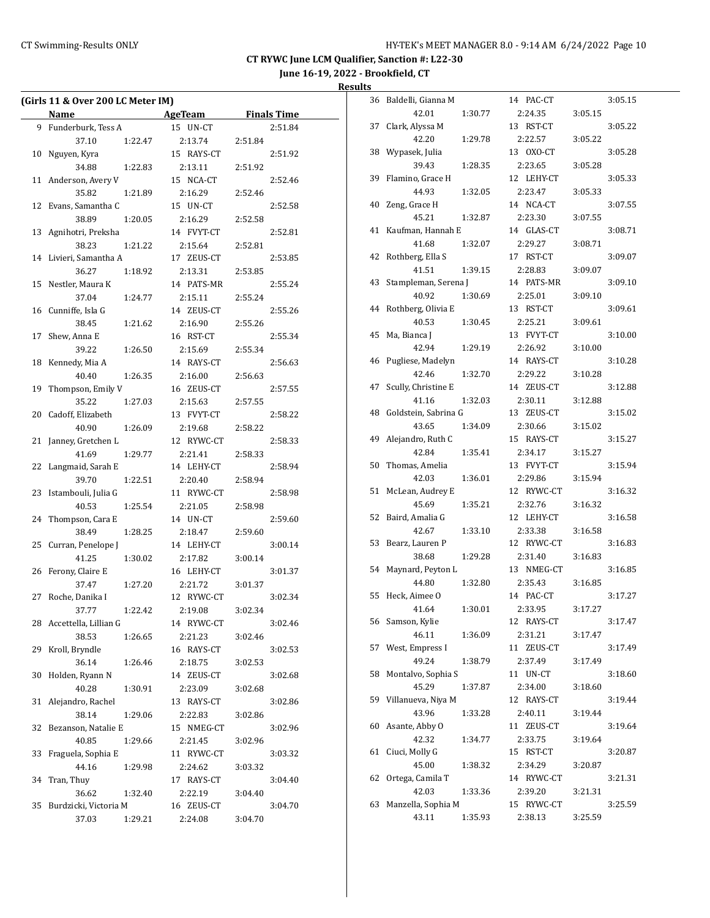**June 16-19, 2022 - Brookfield, CT**

**Results**

|    | (Girls 11 & Over 200 LC Meter IM) |         |            |         |                    |
|----|-----------------------------------|---------|------------|---------|--------------------|
|    | Name                              |         | AgeTeam    |         | <b>Finals Time</b> |
| 9  | Funderburk, Tess A                |         | 15 UN-CT   |         | 2:51.84            |
|    | 37.10                             | 1:22.47 | 2:13.74    | 2:51.84 |                    |
| 10 | Nguyen, Kyra                      |         | 15 RAYS-CT |         | 2:51.92            |
|    | 34.88                             | 1:22.83 | 2:13.11    | 2:51.92 |                    |
| 11 | Anderson, Avery V                 |         | 15 NCA-CT  |         | 2:52.46            |
|    | 35.82                             | 1:21.89 | 2:16.29    | 2:52.46 |                    |
| 12 | Evans, Samantha C                 |         | 15 UN-CT   |         | 2:52.58            |
|    | 38.89                             | 1:20.05 | 2:16.29    | 2:52.58 |                    |
| 13 | Agnihotri, Preksha                |         | 14 FVYT-CT |         | 2:52.81            |
|    | 38.23                             | 1:21.22 | 2:15.64    | 2:52.81 |                    |
| 14 | Livieri, Samantha A               |         | 17 ZEUS-CT |         | 2:53.85            |
|    | 36.27                             | 1:18.92 | 2:13.31    |         |                    |
| 15 | Nestler, Maura K                  |         | 14 PATS-MR | 2:53.85 | 2:55.24            |
|    |                                   |         |            |         |                    |
|    | 37.04                             | 1:24.77 | 2:15.11    | 2:55.24 |                    |
| 16 | Cunniffe, Isla G                  |         | 14 ZEUS-CT |         | 2:55.26            |
|    | 38.45                             | 1:21.62 | 2:16.90    | 2:55.26 |                    |
| 17 | Shew, Anna E                      |         | 16 RST-CT  |         | 2:55.34            |
|    | 39.22                             | 1:26.50 | 2:15.69    | 2:55.34 |                    |
| 18 | Kennedy, Mia A                    |         | 14 RAYS-CT |         | 2:56.63            |
|    | 40.40                             | 1:26.35 | 2:16.00    | 2:56.63 |                    |
| 19 | Thompson, Emily V                 |         | 16 ZEUS-CT |         | 2:57.55            |
|    | 35.22                             | 1:27.03 | 2:15.63    | 2:57.55 |                    |
| 20 | Cadoff, Elizabeth                 |         | 13 FVYT-CT |         | 2:58.22            |
|    | 40.90                             | 1:26.09 | 2:19.68    | 2:58.22 |                    |
| 21 | Janney, Gretchen L                |         | 12 RYWC-CT |         | 2:58.33            |
|    | 41.69                             | 1:29.77 | 2:21.41    | 2:58.33 |                    |
| 22 | Langmaid, Sarah E                 |         | 14 LEHY-CT |         | 2:58.94            |
|    | 39.70                             | 1:22.51 | 2:20.40    | 2:58.94 |                    |
| 23 | Istambouli, Julia G               |         | 11 RYWC-CT |         | 2:58.98            |
|    | 40.53                             | 1:25.54 | 2:21.05    | 2:58.98 |                    |
| 24 | Thompson, Cara E                  |         | 14 UN-CT   |         | 2:59.60            |
|    | 38.49                             | 1:28.25 | 2:18.47    | 2:59.60 |                    |
| 25 | Curran, Penelope J                |         | 14 LEHY-CT |         | 3:00.14            |
|    | 41.25                             | 1:30.02 | 2:17.82    | 3:00.14 |                    |
| 26 | Ferony, Claire E                  |         | 16 LEHY-CT |         | 3:01.37            |
|    | 37.47                             | 1:27.20 | 2:21.72    | 3:01.37 |                    |
| 27 | Roche, Danika I                   |         | 12 RYWC-CT |         | 3:02.34            |
|    | 37.77                             | 1:22.42 | 2:19.08    | 3:02.34 |                    |
| 28 | Accettella, Lillian G             |         | 14 RYWC-CT |         | 3:02.46            |
|    | 38.53                             | 1:26.65 | 2:21.23    | 3:02.46 |                    |
| 29 | Kroll, Bryndle                    |         | 16 RAYS-CT |         | 3:02.53            |
|    | 36.14                             | 1:26.46 | 2:18.75    | 3:02.53 |                    |
| 30 | Holden, Ryann N                   |         | 14 ZEUS-CT |         | 3:02.68            |
|    | 40.28                             | 1:30.91 | 2:23.09    | 3:02.68 |                    |
| 31 | Alejandro, Rachel                 |         | 13 RAYS-CT |         | 3:02.86            |
|    | 38.14                             | 1:29.06 | 2:22.83    | 3:02.86 |                    |
| 32 | Bezanson, Natalie E               |         | 15 NMEG-CT |         | 3:02.96            |
|    | 40.85                             | 1:29.66 | 2:21.45    | 3:02.96 |                    |
| 33 | Fraguela, Sophia E                |         | 11 RYWC-CT |         | 3:03.32            |
|    | 44.16                             | 1:29.98 | 2:24.62    | 3:03.32 |                    |
| 34 | Tran, Thuy                        |         | 17 RAYS-CT |         | 3:04.40            |
|    | 36.62                             | 1:32.40 | 2:22.19    | 3:04.40 |                    |
| 35 | Burdzicki, Victoria M             |         | 16 ZEUS-CT |         | 3:04.70            |
|    | 37.03                             | 1:29.21 | 2:24.08    | 3:04.70 |                    |
|    |                                   |         |            |         |                    |

| 36 | Baldelli, Gianna M          |         | 14 PAC-CT             |         | 3:05.15 |
|----|-----------------------------|---------|-----------------------|---------|---------|
|    | 42.01                       | 1:30.77 | 2:24.35               | 3:05.15 |         |
| 37 | Clark, Alyssa M             |         | RST-CT<br>13          |         | 3:05.22 |
|    | 42.20                       | 1:29.78 | 2:22.57               | 3:05.22 |         |
| 38 | Wypasek, Julia              |         | 13 OXO-CT             |         | 3:05.28 |
|    | 39.43                       | 1:28.35 | 2:23.65               | 3:05.28 |         |
| 39 | Flamino, Grace H            |         | 12 LEHY-CT            |         | 3:05.33 |
|    | 44.93                       | 1:32.05 | 2:23.47               | 3:05.33 |         |
| 40 | Zeng, Grace H               |         | 14 NCA-CT             |         | 3:07.55 |
|    | 45.21                       | 1:32.87 | 2:23.30               | 3:07.55 |         |
| 41 | Kaufman, Hannah E           |         | 14 GLAS-CT            |         | 3:08.71 |
|    | 41.68                       | 1:32.07 | 2:29.27               | 3:08.71 |         |
| 42 | Rothberg, Ella S            |         | 17 RST-CT             |         | 3:09.07 |
|    | 41.51                       | 1:39.15 | 2:28.83               | 3:09.07 |         |
| 43 | Stampleman, Serena J        |         | 14 PATS-MR            |         | 3:09.10 |
|    | 40.92                       | 1:30.69 | 2:25.01               | 3:09.10 |         |
| 44 | Rothberg, Olivia E          |         | 13 RST-CT             |         | 3:09.61 |
|    | 40.53                       | 1:30.45 | 2:25.21               | 3:09.61 |         |
| 45 | Ma, Bianca J                |         | <b>FVYT-CT</b><br>13  |         | 3:10.00 |
|    | 42.94                       | 1:29.19 | 2:26.92               | 3:10.00 |         |
| 46 | Pugliese, Madelyn           |         | 14 RAYS-CT            |         | 3:10.28 |
|    | 42.46                       | 1:32.70 | 2:29.22               | 3:10.28 |         |
| 47 | Scully, Christine E         |         | 14 ZEUS-CT            |         | 3:12.88 |
|    | 41.16                       | 1:32.03 | 2:30.11               | 3:12.88 |         |
| 48 | Goldstein, Sabrina G        |         | 13 ZEUS-CT            |         | 3:15.02 |
|    | 43.65                       | 1:34.09 | 2:30.66               | 3:15.02 |         |
| 49 | Alejandro, Ruth C           |         | 15 RAYS-CT            |         | 3:15.27 |
|    | 42.84                       | 1:35.41 | 2:34.17               | 3:15.27 |         |
| 50 | Thomas, Amelia              |         | 13 FVYT-CT            |         | 3:15.94 |
|    | 42.03                       | 1:36.01 | 2:29.86               | 3:15.94 |         |
| 51 | McLean, Audrey E            |         | 12 RYWC-CT            |         | 3:16.32 |
|    | 45.69                       | 1:35.21 | 2:32.76               | 3:16.32 |         |
| 52 | Baird, Amalia G             |         | 12 LEHY-CT            |         | 3:16.58 |
|    | 42.67                       | 1:33.10 | 2:33.38               | 3:16.58 |         |
| 53 | Bearz, Lauren P             |         | 12<br>RYWC-CT         |         | 3:16.83 |
|    | 38.68                       | 1:29.28 | 2:31.40               | 3:16.83 |         |
| 54 | Maynard, Peyton L           |         | 13 NMEG-CT            |         | 3:16.85 |
|    | 44.80                       | 1:32.80 | 2:35.43               | 3:16.85 |         |
| 55 | Heck, Aimee O               |         | 14 PAC-CT             |         | 3:17.27 |
|    | 41.64                       | 1:30.01 | 2:33.95               | 3:17.27 |         |
| 56 | Samson, Kylie               |         | 12 RAYS-CT            |         | 3:17.47 |
|    | 46.11                       | 1:36.09 | 2:31.21               | 3:17.47 |         |
| 57 | West, Empress I<br>49.24    |         | 11<br>ZEUS-CT         |         | 3:17.49 |
|    |                             | 1:38.79 | 2:37.49               | 3:17.49 |         |
| 58 | Montalvo, Sophia S<br>45.29 |         | 11 UN-CT              |         | 3:18.60 |
| 59 | Villanueva, Niya M          | 1:37.87 | 2:34.00<br>12 RAYS-CT | 3:18.60 | 3:19.44 |
|    | 43.96                       | 1:33.28 | 2:40.11               |         |         |
|    | Asante, Abby O              |         | 11 ZEUS-CT            | 3:19.44 |         |
| 60 | 42.32                       | 1:34.77 | 2:33.75               | 3:19.64 | 3:19.64 |
| 61 | Ciuci, Molly G              |         | 15 RST-CT             |         | 3:20.87 |
|    | 45.00                       | 1:38.32 | 2:34.29               | 3:20.87 |         |
| 62 | Ortega, Camila T            |         | 14 RYWC-CT            |         | 3:21.31 |
|    | 42.03                       | 1:33.36 | 2:39.20               | 3:21.31 |         |
| 63 | Manzella, Sophia M          |         | 15 RYWC-CT            |         | 3:25.59 |
|    | 43.11                       | 1:35.93 | 2:38.13               | 3:25.59 |         |
|    |                             |         |                       |         |         |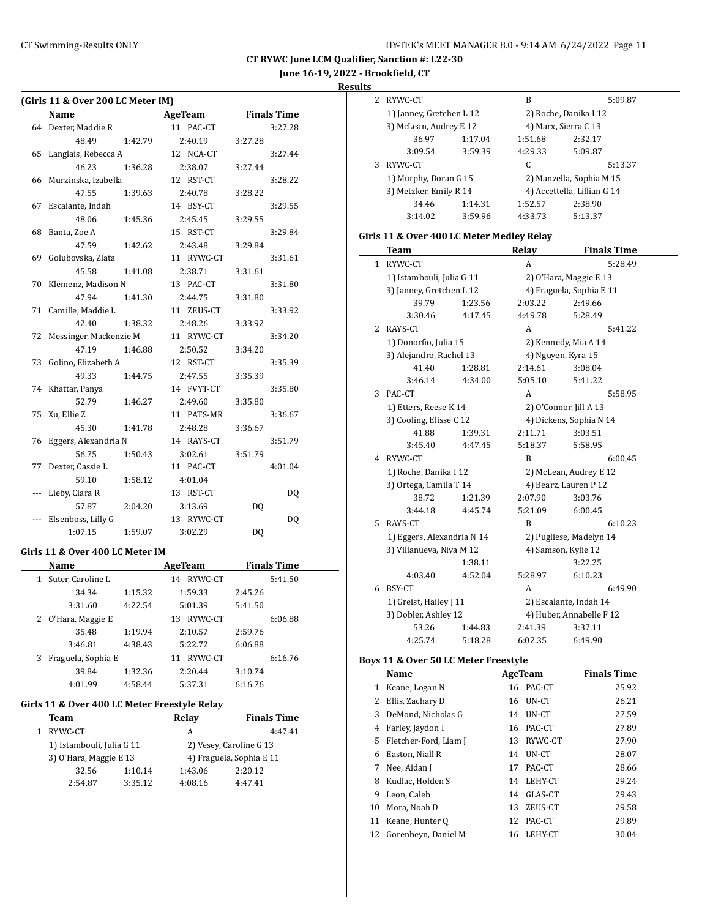**June 16-19, 2022 - Brookfield, CT**

**Results**

|           | (Girls 11 & Over 200 LC Meter IM)            |         |                                      |         |                    |  |
|-----------|----------------------------------------------|---------|--------------------------------------|---------|--------------------|--|
|           | Name                                         |         | <b>Example 2 AgeTeam</b> Finals Time |         |                    |  |
|           | 64 Dexter, Maddie R                          |         | 11 PAC-CT                            |         | 3:27.28            |  |
|           | 48.49                                        | 1:42.79 | 2:40.19                              | 3:27.28 |                    |  |
|           | 65 Langlais, Rebecca A                       |         | 12 NCA-CT                            |         | 3:27.44            |  |
|           | 46.23                                        | 1:36.28 | 2:38.07                              | 3:27.44 |                    |  |
|           | 66 Murzinska, Izabella                       |         | 12 RST-CT                            |         | 3:28.22            |  |
|           | 47.55                                        | 1:39.63 | 2:40.78                              | 3:28.22 |                    |  |
|           | 67 Escalante, Indah                          |         | 14 BSY-CT                            |         | 3:29.55            |  |
|           | 48.06                                        | 1:45.36 | 2:45.45                              | 3:29.55 |                    |  |
|           | 68 Banta, Zoe A                              |         | 15 RST-CT                            |         | 3:29.84            |  |
|           | 47.59                                        | 1:42.62 | 2:43.48                              | 3:29.84 |                    |  |
|           | 69 Golubovska, Zlata                         |         | 11 RYWC-CT                           |         | 3:31.61            |  |
|           | 45.58                                        | 1:41.08 | 2:38.71                              | 3:31.61 |                    |  |
| 70        | Klemenz, Madison N                           |         | 13 PAC-CT                            |         | 3:31.80            |  |
|           | 47.94                                        | 1:41.30 | 2:44.75                              | 3:31.80 |                    |  |
| 71        | Camille, Maddie L                            |         | 11 ZEUS-CT                           |         | 3:33.92            |  |
|           | 42.40                                        | 1:38.32 | 2:48.26                              | 3:33.92 |                    |  |
| 72        | Messinger, Mackenzie M                       |         | 11 RYWC-CT                           |         | 3:34.20            |  |
|           | 47.19                                        | 1:46.88 | 2:50.52                              | 3:34.20 |                    |  |
| 73        | Golino, Elizabeth A                          |         | 12 RST-CT                            |         | 3:35.39            |  |
|           | 49.33                                        | 1:44.75 | 2:47.55                              | 3:35.39 |                    |  |
|           | 74 Khattar, Panya                            |         | 14 FVYT-CT                           |         | 3:35.80            |  |
|           | 52.79                                        | 1:46.27 | 2:49.60                              | 3:35.80 |                    |  |
|           | 75 Xu, Ellie Z                               |         | 11 PATS-MR                           |         | 3:36.67            |  |
|           | 45.30                                        | 1:41.78 | 2:48.28                              | 3:36.67 |                    |  |
|           | 76 Eggers, Alexandria N                      |         | 14 RAYS-CT                           |         | 3:51.79            |  |
|           | 56.75                                        | 1:50.43 | 3:02.61                              | 3:51.79 |                    |  |
|           | 77 Dexter, Cassie L                          |         | 11 PAC-CT                            |         | 4:01.04            |  |
|           | 59.10                                        | 1:58.12 | 4:01.04                              |         |                    |  |
| $---$     | Lieby, Ciara R                               |         | 13 RST-CT                            |         | DQ                 |  |
|           | 57.87                                        | 2:04.20 | 3:13.69                              | DQ      |                    |  |
|           | Elsenboss, Lilly G                           |         | 13 RYWC-CT                           |         | DQ                 |  |
|           | 1:07.15                                      | 1:59.07 | 3:02.29                              | DQ      |                    |  |
|           | Girls 11 & Over 400 LC Meter IM              |         |                                      |         |                    |  |
|           | Name                                         |         | AgeTeam Finals Time                  |         |                    |  |
| $1 \quad$ | Suter, Caroline L                            |         | 14 RYWC-CT                           |         | 5:41.50            |  |
|           | 34.34                                        | 1:15.32 | 1:59.33                              | 2:45.26 |                    |  |
|           | 3:31.60                                      | 4:22.54 | 5:01.39                              | 5:41.50 |                    |  |
|           | 2 O'Hara, Maggie E                           |         | 13 RYWC-CT                           |         | 6:06.88            |  |
|           | 35.48                                        | 1:19.94 | 2:10.57                              | 2:59.76 |                    |  |
|           | 3:46.81                                      | 4:38.43 | 5:22.72                              | 6:06.88 |                    |  |
| 3         | Fraguela, Sophia E                           |         | 11 RYWC-CT                           |         | 6:16.76            |  |
|           | 39.84                                        | 1:32.36 | 2:20.44                              | 3:10.74 |                    |  |
|           | 4:01.99                                      | 4:58.44 | 5:37.31                              | 6:16.76 |                    |  |
|           |                                              |         |                                      |         |                    |  |
|           | Girls 11 & Over 400 LC Meter Freestyle Relay |         |                                      |         |                    |  |
|           | <b>Team</b>                                  |         | Relay                                |         | <b>Finals Time</b> |  |
|           | 1 RYWC-CT                                    |         | A                                    |         | 4:47.41            |  |
|           | 1) Istambouli Julia C 11                     |         | 2) Vecey Caroline C 13               |         |                    |  |

| RYWC-CT                   |         | А                       | 4:47.41                  |  |  |  |
|---------------------------|---------|-------------------------|--------------------------|--|--|--|
| 1) Istambouli, Julia G 11 |         | 2) Vesey, Caroline G 13 |                          |  |  |  |
| 3) O'Hara, Maggie E 13    |         |                         | 4) Fraguela, Sophia E 11 |  |  |  |
| 32.56                     | 1:10.14 | 1:43.06                 | 2:20.12                  |  |  |  |
| 2:54.87                   | 3:35.12 | 4:08.16                 | 4:47.41                  |  |  |  |
|                           |         |                         |                          |  |  |  |

| 2 | RYWC-CT                                   |         | B                    | 5:09.87                     |
|---|-------------------------------------------|---------|----------------------|-----------------------------|
|   | 1) Janney, Gretchen L 12                  |         |                      | 2) Roche, Danika I 12       |
|   | 3) McLean, Audrey E 12                    |         | 4) Marx, Sierra C 13 |                             |
|   | 36.97                                     | 1:17.04 | 1:51.68              | 2:32.17                     |
|   | 3:09.54                                   | 3:59.39 | 4:29.33              | 5:09.87                     |
| 3 | RYWC-CT                                   |         | C                    | 5:13.37                     |
|   | 1) Murphy, Doran G 15                     |         |                      | 2) Manzella, Sophia M 15    |
|   | 3) Metzker, Emily R 14                    |         |                      | 4) Accettella, Lillian G 14 |
|   | 34.46                                     | 1:14.31 | 1:52.57              | 2:38.90                     |
|   | 3:14.02                                   | 3:59.96 | 4:33.73              | 5:13.37                     |
|   | Girls 11 & Over 400 LC Meter Medley Relay |         |                      |                             |
|   | Team                                      |         | Relay                | <b>Finals Time</b>          |
| 1 | RYWC-CT                                   |         | A                    | 5:28.49                     |
|   | 1) Istambouli, Julia G 11                 |         |                      | 2) O'Hara, Maggie E 13      |
|   | 3) Janney, Gretchen L 12                  |         |                      | 4) Fraguela, Sophia E 11    |
|   | 39.79                                     | 1:23.56 | 2:03.22              | 2:49.66                     |
|   | 3:30.46                                   | 4:17.45 | 4:49.78              | 5:28.49                     |
| 2 | RAYS-CT                                   |         | A                    | 5:41.22                     |
|   | 1) Donorfio, Julia 15                     |         |                      | 2) Kennedy, Mia A 14        |
|   | 3) Alejandro, Rachel 13                   |         | 4) Nguyen, Kyra 15   |                             |
|   | 41.40                                     | 1:28.81 | 2:14.61              | 3:08.04                     |
|   | 3:46.14                                   | 4:34.00 | 5:05.10              | 5:41.22                     |
| 3 | PAC-CT                                    |         | A                    | 5:58.95                     |
|   | 1) Etters, Reese K 14                     |         |                      | 2) O'Connor, Jill A 13      |
|   | 3) Cooling, Elisse C 12                   |         |                      | 4) Dickens, Sophia N 14     |
|   | 41.88                                     | 1:39.31 | 2:11.71              | 3:03.51                     |
|   | 3:45.40                                   | 4:47.45 | 5:18.37              | 5:58.95                     |
|   | 4 RYWC-CT                                 |         | B                    | 6:00.45                     |
|   | 1) Roche, Danika I 12                     |         |                      | 2) McLean, Audrey E 12      |
|   | 3) Ortega, Camila T 14                    |         |                      | 4) Bearz, Lauren P 12       |
|   | 38.72                                     | 1:21.39 | 2:07.90              | 3:03.76                     |
|   | 3:44.18                                   | 4:45.74 | 5:21.09              | 6:00.45                     |
| 5 | RAYS-CT                                   |         | B                    | 6:10.23                     |
|   | 1) Eggers, Alexandria N 14                |         |                      | 2) Pugliese, Madelyn 14     |
|   | 3) Villanueva, Niya M 12                  |         | 4) Samson, Kylie 12  |                             |
|   |                                           | 1:38.11 |                      | 3:22.25                     |
|   | 4:03.40                                   | 4:52.04 | 5:28.97              | 6:10.23                     |

### 6 BSY-CT A 6:49.90 1) Greist, Hailey J 11 2) Escalante, Indah 14 3) Dobler, Ashley 12 4) Huber, Annabelle F 12 53.26 1:44.83 2:41.39 3:37.11 4:25.74 5:18.28 6:02.35 6:49.90

## **Boys 11 & Over 50 LC Meter Freestyle**

|    | Name                   |    | AgeTeam   | <b>Finals Time</b> |
|----|------------------------|----|-----------|--------------------|
| 1  | Keane, Logan N         |    | 16 PAC-CT | 25.92              |
| 2  | Ellis, Zachary D       | 16 | UN-CT     | 26.21              |
| 3  | DeMond, Nicholas G     | 14 | UN-CT     | 27.59              |
| 4  | Farley, Jaydon I       |    | 16 PAC-CT | 27.89              |
| 5. | Fletcher-Ford, Liam J  | 13 | RYWC-CT   | 27.90              |
| 6  | Easton, Niall R        | 14 | UN-CT     | 28.07              |
| 7  | Nee, Aidan J           | 17 | PAC-CT    | 28.66              |
| 8  | Kudlac, Holden S       | 14 | LEHY-CT   | 29.24              |
| 9  | Leon, Caleb            | 14 | GLAS-CT   | 29.43              |
| 10 | Mora, Noah D           | 13 | ZEUS-CT   | 29.58              |
| 11 | Keane, Hunter Q        | 12 | PAC-CT    | 29.89              |
|    | 12 Gorenbeyn, Daniel M | 16 | LEHY-CT   | 30.04              |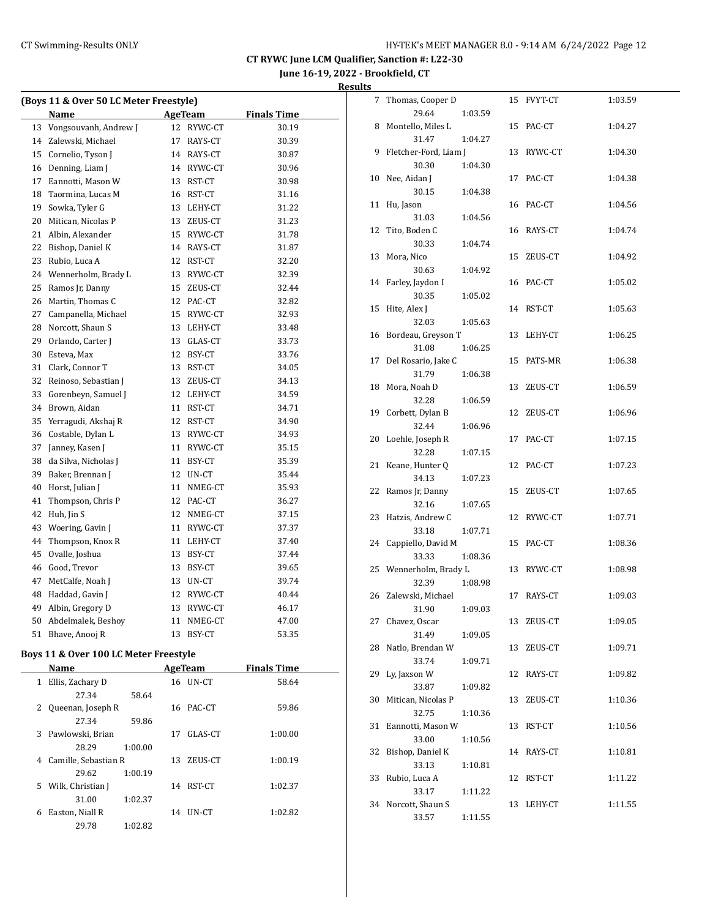**June 16-19, 2022 - Brookfield, CT**

| Results |  |
|---------|--|
|         |  |

| (Boys 11 & Over 50 LC Meter Freestyle) |                       |    |                |                    |  |  |  |
|----------------------------------------|-----------------------|----|----------------|--------------------|--|--|--|
|                                        | Name                  |    | <b>AgeTeam</b> | <b>Finals Time</b> |  |  |  |
| 13                                     | Vongsouvanh, Andrew J | 12 | RYWC-CT        | 30.19              |  |  |  |
| 14                                     | Zalewski, Michael     | 17 | RAYS-CT        | 30.39              |  |  |  |
| 15                                     | Cornelio, Tyson J     |    | 14 RAYS-CT     | 30.87              |  |  |  |
| 16                                     | Denning, Liam J       |    | 14 RYWC-CT     | 30.96              |  |  |  |
| 17                                     | Eannotti, Mason W     |    | 13 RST-CT      | 30.98              |  |  |  |
| 18                                     | Taormina, Lucas M     | 16 | RST-CT         | 31.16              |  |  |  |
| 19                                     | Sowka, Tyler G        | 13 | LEHY-CT        | 31.22              |  |  |  |
| 20                                     | Mitican, Nicolas P    | 13 | ZEUS-CT        | 31.23              |  |  |  |
| 21                                     | Albin, Alexander      |    | 15 RYWC-CT     | 31.78              |  |  |  |
| 22                                     | Bishop, Daniel K      |    | 14 RAYS-CT     | 31.87              |  |  |  |
| 23                                     | Rubio, Luca A         |    | 12 RST-CT      | 32.20              |  |  |  |
| 24                                     | Wennerholm, Brady L   | 13 | RYWC-CT        | 32.39              |  |  |  |
| 25                                     | Ramos Jr, Danny       | 15 | ZEUS-CT        | 32.44              |  |  |  |
| 26                                     | Martin, Thomas C      |    | 12 PAC-CT      | 32.82              |  |  |  |
| 27                                     | Campanella, Michael   |    | 15 RYWC-CT     | 32.93              |  |  |  |
| 28                                     | Norcott, Shaun S      |    | 13 LEHY-CT     | 33.48              |  |  |  |
| 29                                     | Orlando, Carter J     |    | 13 GLAS-CT     | 33.73              |  |  |  |
| 30                                     | Esteva, Max           | 12 | BSY-CT         | 33.76              |  |  |  |
| 31                                     | Clark, Connor T       | 13 | RST-CT         | 34.05              |  |  |  |
| 32                                     | Reinoso, Sebastian J  | 13 | ZEUS-CT        | 34.13              |  |  |  |
| 33                                     | Gorenbeyn, Samuel J   |    | 12 LEHY-CT     | 34.59              |  |  |  |
| 34                                     | Brown, Aidan          |    | 11 RST-CT      | 34.71              |  |  |  |
| 35                                     | Yerragudi, Akshaj R   |    | 12 RST-CT      | 34.90              |  |  |  |
| 36                                     | Costable, Dylan L     | 13 | RYWC-CT        | 34.93              |  |  |  |
| 37                                     | Janney, Kasen J       | 11 | RYWC-CT        | 35.15              |  |  |  |
| 38                                     | da Silva, Nicholas J  | 11 | BSY-CT         | 35.39              |  |  |  |
| 39                                     | Baker, Brennan J      |    | 12 UN-CT       | 35.44              |  |  |  |
| 40                                     | Horst, Julian J       | 11 | NMEG-CT        | 35.93              |  |  |  |
| 41                                     | Thompson, Chris P     |    | 12 PAC-CT      | 36.27              |  |  |  |
| 42                                     | Huh, Jin S            | 12 | NMEG-CT        | 37.15              |  |  |  |
| 43                                     | Woering, Gavin J      | 11 | RYWC-CT        | 37.37              |  |  |  |
| 44                                     | Thompson, Knox R      | 11 | LEHY-CT        | 37.40              |  |  |  |
| 45                                     | Ovalle, Joshua        | 13 | BSY-CT         | 37.44              |  |  |  |
| 46                                     | Good, Trevor          |    | 13 BSY-CT      | 39.65              |  |  |  |
| 47                                     | MetCalfe, Noah J      |    | 13 UN-CT       | 39.74              |  |  |  |
| 48                                     | Haddad, Gavin J       | 12 | RYWC-CT        | 40.44              |  |  |  |
| 49                                     | Albin, Gregory D      |    | 13 RYWC-CT     | 46.17              |  |  |  |
| 50                                     | Abdelmalek, Beshoy    | 11 | NMEG-CT        | 47.00              |  |  |  |
| 51                                     | Bhave, Anooj R        | 13 | BSY-CT         | 53.35              |  |  |  |

## **Boys 11 & Over 100 LC Meter Freestyle**

| <b>Name</b>                      |         |    | AgeTeam  | <b>Finals Time</b> |  |
|----------------------------------|---------|----|----------|--------------------|--|
| Ellis, Zachary D<br>$\mathbf{1}$ |         |    | 16 UN-CT | 58.64              |  |
| 27.34                            | 58.64   |    |          |                    |  |
| 2 Queenan, Joseph R              |         | 16 | PAC-CT   | 59.86              |  |
| 27.34                            | 59.86   |    |          |                    |  |
| Pawlowski, Brian<br>3.           |         | 17 | GLAS-CT  | 1:00.00            |  |
| 28.29                            | 1:00.00 |    |          |                    |  |
| Camille, Sebastian R<br>4        |         | 13 | ZEUS-CT  | 1:00.19            |  |
| 29.62                            | 1:00.19 |    |          |                    |  |
| Wilk, Christian J<br>5.          |         | 14 | RST-CT   | 1:02.37            |  |
| 31.00                            | 1:02.37 |    |          |                    |  |
| Easton, Niall R<br>6             |         | 14 | UN-CT    | 1:02.82            |  |
| 29.78                            | 1:02.82 |    |          |                    |  |

| 7  | Thomas, Cooper D       |         | 15 | FVYT-CT   | 1:03.59 |
|----|------------------------|---------|----|-----------|---------|
|    | 29.64                  | 1:03.59 |    |           |         |
| 8  | Montello, Miles L      |         | 15 | PAC-CT    | 1:04.27 |
|    | 31.47                  | 1:04.27 |    |           |         |
| 9  | Fletcher-Ford, Liam J  |         | 13 | RYWC-CT   | 1:04.30 |
|    | 30.30                  | 1:04.30 |    |           |         |
| 10 | Nee, Aidan J           |         |    | 17 PAC-CT | 1:04.38 |
|    | 30.15                  | 1:04.38 |    |           |         |
| 11 | Hu, Jason              |         | 16 | PAC-CT    | 1:04.56 |
|    | 31.03                  | 1:04.56 |    |           |         |
| 12 | Tito, Boden C          |         | 16 | RAYS-CT   | 1:04.74 |
|    | 30.33                  | 1:04.74 |    |           |         |
| 13 | Mora, Nico             |         | 15 | ZEUS-CT   | 1:04.92 |
|    | 30.63                  | 1:04.92 |    |           |         |
| 14 | Farley, Jaydon I       |         | 16 | PAC-CT    | 1:05.02 |
|    | 30.35                  | 1:05.02 |    |           |         |
| 15 | Hite, Alex J           |         | 14 | RST-CT    | 1:05.63 |
|    | 32.03                  | 1:05.63 |    |           |         |
| 16 | Bordeau, Greyson T     |         | 13 | LEHY-CT   | 1:06.25 |
|    | 31.08                  | 1:06.25 |    |           |         |
| 17 | Del Rosario, Jake C    |         | 15 | PATS-MR   | 1:06.38 |
|    | 31.79                  | 1:06.38 |    |           |         |
| 18 | Mora, Noah D           |         | 13 | ZEUS-CT   | 1:06.59 |
|    | 32.28                  | 1:06.59 |    |           |         |
| 19 | Corbett, Dylan B       |         | 12 | ZEUS-CT   | 1:06.96 |
|    | 32.44                  | 1:06.96 |    |           |         |
| 20 | Loehle, Joseph R       |         | 17 | PAC-CT    | 1:07.15 |
|    | 32.28                  | 1:07.15 |    |           |         |
| 21 | Keane, Hunter Q        |         | 12 | PAC-CT    | 1:07.23 |
|    | 34.13                  | 1:07.23 |    |           |         |
| 22 | Ramos Jr, Danny        |         | 15 | ZEUS-CT   | 1:07.65 |
|    | 32.16                  | 1:07.65 |    |           |         |
| 23 | Hatzis, Andrew C       |         | 12 | RYWC-CT   | 1:07.71 |
|    | 33.18                  | 1:07.71 |    |           |         |
| 24 | Cappiello, David M     |         | 15 | PAC-CT    | 1:08.36 |
|    | 33.33                  | 1:08.36 |    |           |         |
| 25 | Wennerholm, Brady L    |         | 13 | RYWC-CT   | 1:08.98 |
|    | 32.39                  | 1:08.98 |    |           |         |
| 26 | Zalewski, Michael      |         | 17 | RAYS-CT   | 1:09.03 |
|    | 31.90                  | 1:09.03 |    |           |         |
| 27 | Chavez, Oscar          |         | 13 | ZEUS-CT   | 1:09.05 |
|    | 31.49                  | 1:09.05 |    |           |         |
| 28 | Natlo, Brendan W       |         | 13 | ZEUS-CT   | 1:09.71 |
|    | 33.74                  | 1:09.71 |    |           |         |
| 29 | Ly, Jaxson W           |         | 12 | RAYS-CT   | 1:09.82 |
|    | 33.87                  | 1:09.82 |    |           |         |
| 30 | Mitican, Nicolas P     |         | 13 | ZEUS-CT   | 1:10.36 |
|    | 32.75                  | 1:10.36 |    |           |         |
|    | Eannotti, Mason W      |         | 13 | RST-CT    | 1:10.56 |
| 31 | 33.00                  |         |    |           |         |
|    | Bishop, Daniel K       | 1:10.56 |    |           |         |
| 32 |                        |         | 14 | RAYS-CT   | 1:10.81 |
|    | 33.13                  | 1:10.81 |    |           |         |
| 33 | Rubio, Luca A<br>33.17 |         | 12 | RST-CT    | 1:11.22 |
| 34 | Norcott, Shaun S       | 1:11.22 | 13 | LEHY-CT   | 1:11.55 |
|    | 33.57                  |         |    |           |         |
|    |                        | 1:11.55 |    |           |         |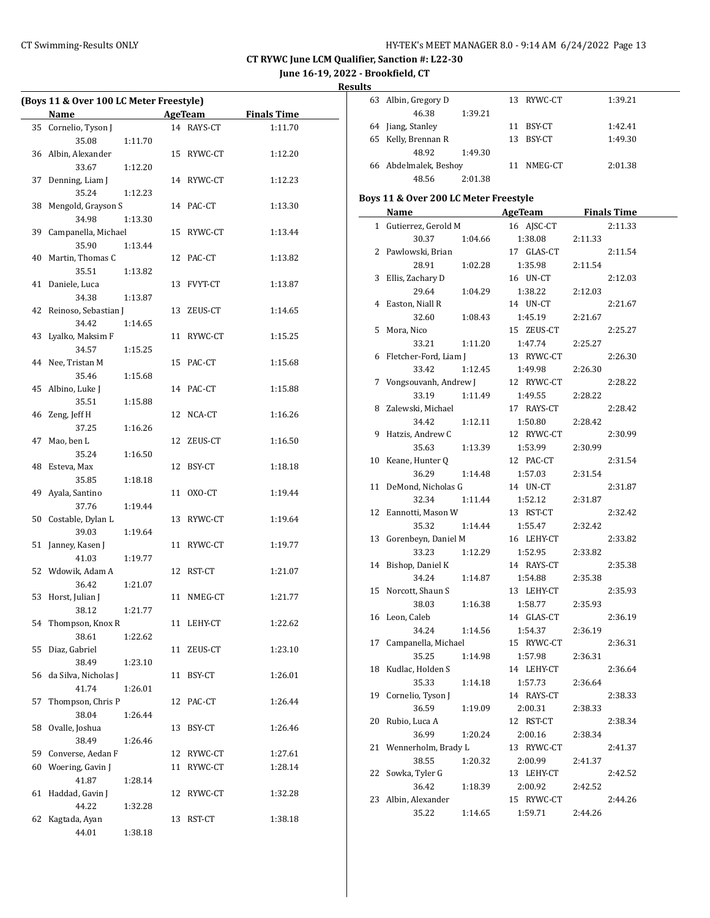**June 16-19, 2022 - Brookfield, CT**

**Results**

 $\overline{\phantom{a}}$ 

| (Boys 11 & Over 100 LC Meter Freestyle) |                          |         |    |            |         |
|-----------------------------------------|--------------------------|---------|----|------------|---------|
|                                         | Name AgeTeam Finals Time |         |    |            |         |
| 35                                      | Cornelio, Tyson J        |         |    | 14 RAYS-CT | 1:11.70 |
|                                         | 35.08                    | 1:11.70 |    |            |         |
|                                         | 36 Albin, Alexander      |         |    | 15 RYWC-CT | 1:12.20 |
|                                         | 33.67                    | 1:12.20 |    |            |         |
|                                         | 37 Denning, Liam J       |         |    | 14 RYWC-CT | 1:12.23 |
|                                         | 35.24                    | 1:12.23 |    |            |         |
| 38                                      | Mengold, Grayson S       |         |    | 14 PAC-CT  | 1:13.30 |
|                                         | 34.98                    | 1:13.30 |    |            |         |
| 39                                      | Campanella, Michael      |         |    | 15 RYWC-CT | 1:13.44 |
|                                         | 35.90                    | 1:13.44 |    |            |         |
| 40                                      | Martin, Thomas C         |         |    | 12 PAC-CT  | 1:13.82 |
|                                         | 35.51                    | 1:13.82 |    |            |         |
| 41                                      | Daniele, Luca            |         |    | 13 FVYT-CT | 1:13.87 |
|                                         | 34.38                    | 1:13.87 |    |            |         |
| 42                                      | Reinoso, Sebastian J     |         |    | 13 ZEUS-CT | 1:14.65 |
|                                         | 34.42                    | 1:14.65 |    |            |         |
| 43                                      | Lyalko, Maksim F         |         |    | 11 RYWC-CT | 1:15.25 |
|                                         | 34.57                    | 1:15.25 |    |            |         |
| 44                                      | Nee, Tristan M           |         |    | 15 PAC-CT  | 1:15.68 |
|                                         | 35.46                    | 1:15.68 |    |            |         |
| 45                                      | Albino, Luke J           |         |    | 14 PAC-CT  | 1:15.88 |
|                                         | 35.51                    | 1:15.88 |    |            |         |
| 46                                      | Zeng, Jeff H             |         |    | 12 NCA-CT  | 1:16.26 |
|                                         | 37.25                    | 1:16.26 |    |            |         |
| 47                                      | Mao, ben L               |         |    | 12 ZEUS-CT | 1:16.50 |
|                                         | 35.24                    | 1:16.50 |    |            |         |
| 48                                      | Esteva, Max              |         | 12 | BSY-CT     | 1:18.18 |
|                                         | 35.85                    | 1:18.18 |    |            |         |
| 49                                      | Ayala, Santino           |         | 11 | OXO-CT     | 1:19.44 |
|                                         | 37.76                    | 1:19.44 |    |            |         |
|                                         | 50 Costable, Dylan L     |         |    | 13 RYWC-CT | 1:19.64 |
|                                         | 39.03                    | 1:19.64 |    |            |         |
|                                         | 51 Janney, Kasen J       |         |    | 11 RYWC-CT | 1:19.77 |
|                                         | 41.03                    | 1:19.77 |    |            |         |
|                                         | 52 Wdowik, Adam A        |         |    | 12 RST-CT  | 1:21.07 |
|                                         | 36.42                    | 1:21.07 |    |            |         |
| 53                                      | Horst, Julian J          |         |    | 11 NMEG-CT | 1:21.77 |
|                                         | 38.12 1:21.77            |         |    |            |         |
|                                         | 54 Thompson, Knox R      |         |    | 11 LEHY-CT | 1:22.62 |
|                                         | 38.61                    | 1:22.62 |    |            |         |
| 55                                      | Diaz, Gabriel            |         | 11 | ZEUS-CT    | 1:23.10 |
|                                         | 38.49                    | 1:23.10 |    |            |         |
| 56                                      | da Silva, Nicholas J     |         | 11 | BSY-CT     | 1:26.01 |
|                                         | 41.74                    | 1:26.01 |    |            |         |
| 57                                      | Thompson, Chris P        |         | 12 | PAC-CT     | 1:26.44 |
|                                         | 38.04                    | 1:26.44 |    |            |         |
| 58                                      | Ovalle, Joshua           |         | 13 | BSY-CT     | 1:26.46 |
|                                         | 38.49                    | 1:26.46 |    |            |         |
| 59                                      | Converse, Aedan F        |         |    | 12 RYWC-CT | 1:27.61 |
| 60                                      | Woering, Gavin J         |         | 11 | RYWC-CT    | 1:28.14 |
|                                         | 41.87                    | 1:28.14 |    |            |         |
| 61                                      | Haddad, Gavin J          |         | 12 | RYWC-CT    | 1:32.28 |
|                                         | 44.22                    | 1:32.28 |    |            |         |
| 62                                      | Kagtada, Ayan            |         | 13 | RST-CT     | 1:38.18 |
|                                         | 44.01                    | 1:38.18 |    |            |         |

| ILS                                   |                       |         |    |            |         |                    |  |  |
|---------------------------------------|-----------------------|---------|----|------------|---------|--------------------|--|--|
| 63                                    | Albin, Gregory D      |         |    | 13 RYWC-CT |         | 1:39.21            |  |  |
|                                       | 46.38                 | 1:39.21 |    |            |         |                    |  |  |
|                                       | 64 Jiang, Stanley     |         | 11 | BSY-CT     |         | 1:42.41            |  |  |
| 65                                    | Kelly, Brennan R      |         | 13 | BSY-CT     |         | 1:49.30            |  |  |
|                                       | 48.92                 | 1:49.30 |    |            |         |                    |  |  |
|                                       | 66 Abdelmalek, Beshoy |         |    | 11 NMEG-CT |         | 2:01.38            |  |  |
|                                       | 48.56                 | 2:01.38 |    |            |         |                    |  |  |
| Boys 11 & Over 200 LC Meter Freestyle |                       |         |    |            |         |                    |  |  |
|                                       | Name                  |         |    | AgeTeam    |         | <b>Finals Time</b> |  |  |
|                                       |                       |         |    |            |         |                    |  |  |
| $\mathbf{1}$                          | Gutierrez, Gerold M   |         |    | 16 AISC-CT |         | 2:11.33            |  |  |
|                                       | 30.37                 | 1:04.66 |    | 1:38.08    | 2:11.33 |                    |  |  |
|                                       | 2 Pawlowski, Brian    |         |    | 17 GLAS-CT |         | 2:11.54            |  |  |
|                                       | 28.91                 | 1:02.28 |    | 1:35.98    | 2:11.54 |                    |  |  |
| 3                                     | Ellis, Zachary D      |         |    | 16 UN-CT   |         | 2:12.03            |  |  |
|                                       | 29.64                 | 1:04.29 |    | 1:38.22    | 2:12.03 |                    |  |  |
| 4                                     | Easton, Niall R       |         |    | 14 UN-CT   |         | 2:21.67            |  |  |
|                                       | 32.60                 | 1:08.43 |    | 1:45.19    | 2:21.67 |                    |  |  |
| 5                                     | Mora, Nico            |         |    | 15 ZEUS-CT |         | 2:25.27            |  |  |

|    | <b>Name</b>                  | AgeTeam               | <b>Example 1</b> Finals Time |  |  |
|----|------------------------------|-----------------------|------------------------------|--|--|
|    | 1 Gutierrez, Gerold M        | 16 AJSC-CT            | 2:11.33                      |  |  |
|    | 30.37<br>1:04.66             | 1:38.08               | 2:11.33                      |  |  |
| 2  | Pawlowski, Brian             | 17 GLAS-CT            | 2:11.54                      |  |  |
|    | 28.91<br>1:02.28             | 1:35.98               | 2:11.54                      |  |  |
| 3  | Ellis, Zachary D             | 16 UN-CT              | 2:12.03                      |  |  |
|    | 29.64<br>1:04.29             | 1:38.22               | 2:12.03                      |  |  |
| 4  | Easton, Niall R              | 14 UN-CT              | 2:21.67                      |  |  |
|    | 32.60<br>1:08.43             | 1:45.19               | 2:21.67                      |  |  |
| 5  | Mora, Nico                   | 15 ZEUS-CT            | 2:25.27                      |  |  |
|    | 33.21<br>1:11.20             | 1:47.74               | 2:25.27                      |  |  |
| 6  | Fletcher-Ford, Liam J        | 13 RYWC-CT            | 2:26.30                      |  |  |
|    | 1:12.45<br>33.42             | 1:49.98               | 2:26.30                      |  |  |
| 7  | Vongsouvanh, Andrew J        | 12 RYWC-CT            | 2:28.22                      |  |  |
|    | 33.19<br>1:11.49             | 1:49.55               | 2:28.22                      |  |  |
| 8  | Zalewski, Michael            | 17 RAYS-CT            | 2:28.42                      |  |  |
|    | 34.42<br>1:12.11             | 1:50.80               | 2:28.42                      |  |  |
| 9  | Hatzis, Andrew C             | 12 RYWC-CT            | 2:30.99                      |  |  |
|    | 35.63<br>1:13.39             | 1:53.99               | 2:30.99                      |  |  |
| 10 | Keane, Hunter Q              | 12 PAC-CT             | 2:31.54                      |  |  |
|    | 36.29<br>1:14.48             | 1:57.03               | 2:31.54                      |  |  |
| 11 | DeMond, Nicholas G           | 14 UN-CT              | 2:31.87                      |  |  |
|    | 32.34<br>1:11.44             | 1:52.12               | 2:31.87                      |  |  |
|    | 12 Eannotti, Mason W         | 13 RST-CT             | 2:32.42                      |  |  |
|    | 35.32<br>1:14.44             | 1:55.47               | 2:32.42                      |  |  |
|    | 13 Gorenbeyn, Daniel M       | 16 LEHY-CT            | 2:33.82                      |  |  |
|    | 1:12.29<br>33.23             | 1:52.95               | 2:33.82                      |  |  |
| 14 | Bishop, Daniel K             | 14 RAYS-CT            | 2:35.38                      |  |  |
|    | 34.24<br>1:14.87             | 1:54.88               | 2:35.38                      |  |  |
| 15 | Norcott, Shaun S             | 13 LEHY-CT            | 2:35.93                      |  |  |
|    | 38.03<br>1:16.38             | 1:58.77               | 2:35.93                      |  |  |
| 16 | Leon, Caleb                  | 14 GLAS-CT            | 2:36.19                      |  |  |
|    | 34.24<br>1:14.56             | 1:54.37               | 2:36.19                      |  |  |
| 17 | Campanella, Michael          | 15 RYWC-CT            | 2:36.31                      |  |  |
|    | 35.25<br>1:14.98             | 1:57.98               | 2:36.31                      |  |  |
| 18 | Kudlac, Holden S             | 14 LEHY-CT            | 2:36.64                      |  |  |
|    | 35.33<br>1:14.18             | 1:57.73               | 2:36.64                      |  |  |
|    | 19 Cornelio, Tyson J         | 14 RAYS-CT            | 2:38.33                      |  |  |
|    | 1:19.09<br>36.59             | 2:00.31               | 2:38.33                      |  |  |
|    | 20 Rubio, Luca A             | 12 RST-CT             | 2:38.34                      |  |  |
|    | 36.99<br>1:20.24             | 2:00.16               | 2:38.34                      |  |  |
| 21 | Wennerholm, Brady L<br>38.55 | 13 RYWC-CT            | 2:41.37                      |  |  |
|    | 1:20.32                      | 2:00.99               | 2:41.37                      |  |  |
| 22 | Sowka, Tyler G<br>36.42      | 13 LEHY-CT            | 2:42.52                      |  |  |
|    | 1:18.39                      | 2:00.92<br>15 RYWC-CT | 2:42.52                      |  |  |
| 23 | Albin, Alexander<br>35.22    |                       | 2:44.26                      |  |  |
|    | 1:14.65                      | 1:59.71               | 2:44.26                      |  |  |
|    |                              |                       |                              |  |  |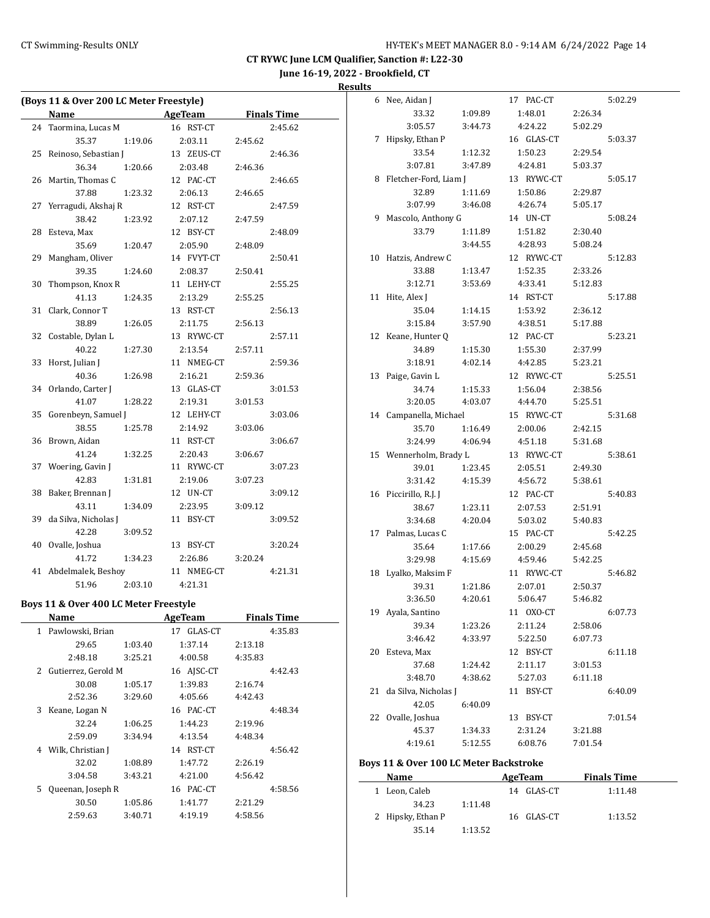## CT Swimming-Results ONLY **CT Swimming-Results ONLY** 14

**CT RYWC June LCM Qualifier, Sanction #: L22-30**

**June 16-19, 2022 - Brookfield, CT**

### **Results**

|    | (Boys 11 & Over 200 LC Meter Freestyle) |         |                |         |                    |
|----|-----------------------------------------|---------|----------------|---------|--------------------|
|    | Name                                    |         | AgeTeam        |         | <b>Finals Time</b> |
| 24 | Taormina, Lucas M                       |         | 16 RST-CT      |         | 2:45.62            |
|    | 35.37                                   | 1:19.06 | 2:03.11        | 2:45.62 |                    |
|    | 25 Reinoso, Sebastian J                 |         | 13 ZEUS-CT     |         | 2:46.36            |
|    | 36.34                                   | 1:20.66 | 2:03.48        | 2:46.36 |                    |
|    | 26 Martin, Thomas C                     |         | 12 PAC-CT      |         | 2:46.65            |
|    | 37.88                                   | 1:23.32 | 2:06.13        | 2:46.65 |                    |
| 27 | Yerragudi, Akshaj R                     |         | 12 RST-CT      |         | 2:47.59            |
|    | 38.42                                   | 1:23.92 | 2:07.12        | 2:47.59 |                    |
| 28 | Esteva, Max                             |         | 12 BSY-CT      |         | 2:48.09            |
|    | 35.69                                   | 1:20.47 | 2:05.90        | 2:48.09 |                    |
| 29 | Mangham, Oliver                         |         | 14 FVYT-CT     |         | 2:50.41            |
|    | 39.35                                   | 1:24.60 | 2:08.37        | 2:50.41 |                    |
| 30 | Thompson, Knox R                        |         | 11 LEHY-CT     |         | 2:55.25            |
|    | 41.13                                   | 1:24.35 | 2:13.29        | 2:55.25 |                    |
| 31 | Clark, Connor T                         |         | 13 RST-CT      |         | 2:56.13            |
|    | 38.89                                   | 1:26.05 | 2:11.75        | 2:56.13 |                    |
| 32 | Costable, Dylan L                       |         | 13 RYWC-CT     |         | 2:57.11            |
|    | 40.22                                   | 1:27.30 | 2:13.54        | 2:57.11 |                    |
| 33 | Horst, Julian J                         |         | 11 NMEG-CT     |         | 2:59.36            |
|    | 40.36                                   | 1:26.98 | 2:16.21        | 2:59.36 |                    |
|    | 34 Orlando, Carter J                    |         | 13 GLAS-CT     |         | 3:01.53            |
|    | 41.07                                   | 1:28.22 | 2:19.31        | 3:01.53 |                    |
|    | 35 Gorenbeyn, Samuel J                  |         | 12 LEHY-CT     |         | 3:03.06            |
|    | 38.55                                   | 1:25.78 | 2:14.92        | 3:03.06 |                    |
|    | 36 Brown, Aidan                         |         | 11 RST-CT      |         | 3:06.67            |
|    | 41.24                                   | 1:32.25 | 2:20.43        | 3:06.67 |                    |
| 37 | Woering, Gavin J                        |         | 11 RYWC-CT     |         | 3:07.23            |
|    | 42.83                                   | 1:31.81 | 2:19.06        | 3:07.23 |                    |
| 38 | Baker, Brennan J                        |         | 12 UN-CT       |         | 3:09.12            |
|    | 43.11                                   | 1:34.09 | 2:23.95        | 3:09.12 |                    |
| 39 | da Silva, Nicholas J                    |         | 11 BSY-CT      |         | 3:09.52            |
|    | 42.28                                   | 3:09.52 |                |         |                    |
| 40 | Ovalle, Joshua                          |         | 13 BSY-CT      |         | 3:20.24            |
|    | 41.72                                   | 1:34.23 | 2:26.86        | 3:20.24 |                    |
|    | 41 Abdelmalek, Beshoy                   |         | 11 NMEG-CT     |         | 4:21.31            |
|    | 51.96                                   | 2:03.10 | 4:21.31        |         |                    |
|    | Boys 11 & Over 400 LC Meter Freestyle   |         |                |         |                    |
|    | Name                                    |         | <b>AgeTeam</b> |         | <b>Finals Time</b> |
|    | 1 Pawlowski, Brian                      |         | 17 GLAS-CT     |         | 4:35.83            |
|    | 29.65                                   | 1:03.40 | 1:37.14        | 2:13.18 |                    |
|    | 2:48.18                                 | 3:25.21 | 4:00.58        | 4:35.83 |                    |
|    | 2 Gutierrez, Gerold M                   |         | 16 AJSC-CT     |         | 4:42.43            |
|    | 30.08                                   | 1:05.17 | 1:39.83        | 2:16.74 |                    |
|    | 2:52.36                                 | 3:29.60 | 4:05.66        | 4:42.43 |                    |
|    | 3 Keane, Logan N                        |         | 16 PAC-CT      |         | 4:48.34            |
|    | 32.24                                   | 1:06.25 | 1:44.23        | 2:19.96 |                    |
|    | 2:59.09                                 | 3:34.94 | 4:13.54        | 4:48.34 |                    |
|    | 4 Wilk, Christian J                     |         | 14 RST-CT      |         | 4:56.42            |
|    | 32.02                                   | 1:08.89 | 1:47.72        | 2:26.19 |                    |
|    | 3:04.58                                 | 3:43.21 | 4:21.00        | 4:56.42 |                    |
| 5  | Queenan, Joseph R                       |         | 16 PAC-CT      |         | 4:58.56            |
|    | 30.50                                   | 1:05.86 | 1:41.77        | 2:21.29 |                    |
|    | 2:59.63                                 | 3:40.71 | 4:19.19        | 4:58.56 |                    |
|    |                                         |         |                |         |                    |

| 6  | Nee, Aidan J           |         | 17 PAC-CT  |         | 5:02.29 |
|----|------------------------|---------|------------|---------|---------|
|    | 33.32                  | 1:09.89 | 1:48.01    | 2:26.34 |         |
|    | 3:05.57                | 3:44.73 | 4:24.22    | 5:02.29 |         |
| 7  | Hipsky, Ethan P        |         | 16 GLAS-CT |         | 5:03.37 |
|    | 33.54                  | 1:12.32 | 1:50.23    | 2:29.54 |         |
|    | 3:07.81                | 3:47.89 | 4:24.81    | 5:03.37 |         |
| 8  | Fletcher-Ford, Liam J  |         | 13 RYWC-CT |         | 5:05.17 |
|    | 32.89                  | 1:11.69 | 1:50.86    | 2:29.87 |         |
|    | 3:07.99                | 3:46.08 | 4:26.74    | 5:05.17 |         |
| 9  | Mascolo, Anthony G     |         | 14 UN-CT   |         | 5:08.24 |
|    | 33.79                  | 1:11.89 | 1:51.82    | 2:30.40 |         |
|    |                        | 3:44.55 | 4:28.93    | 5:08.24 |         |
| 10 | Hatzis, Andrew C       |         | 12 RYWC-CT |         | 5:12.83 |
|    | 33.88                  | 1:13.47 | 1:52.35    | 2:33.26 |         |
|    | 3:12.71                | 3:53.69 | 4:33.41    | 5:12.83 |         |
| 11 | Hite, Alex J           |         | 14 RST-CT  |         | 5:17.88 |
|    | 35.04                  | 1:14.15 | 1:53.92    | 2:36.12 |         |
|    | 3:15.84                | 3:57.90 | 4:38.51    | 5:17.88 |         |
| 12 | Keane, Hunter Q        |         | 12 PAC-CT  |         | 5:23.21 |
|    | 34.89                  | 1:15.30 | 1:55.30    | 2:37.99 |         |
|    | 3:18.91                | 4:02.14 | 4:42.85    | 5:23.21 |         |
| 13 | Paige, Gavin L         |         | 12 RYWC-CT |         | 5:25.51 |
|    | 34.74                  | 1:15.33 | 1:56.04    | 2:38.56 |         |
|    | 3:20.05                | 4:03.07 | 4:44.70    | 5:25.51 |         |
|    | 14 Campanella, Michael |         | 15 RYWC-CT |         | 5:31.68 |
|    | 35.70                  | 1:16.49 | 2:00.06    | 2:42.15 |         |
|    | 3:24.99                | 4:06.94 | 4:51.18    | 5:31.68 |         |
| 15 | Wennerholm, Brady L    |         | 13 RYWC-CT |         | 5:38.61 |
|    |                        |         |            |         |         |
|    | 39.01                  | 1:23.45 | 2:05.51    | 2:49.30 |         |
|    | 3:31.42                | 4:15.39 | 4:56.72    | 5:38.61 |         |
| 16 | Piccirillo, R.J. J     |         | 12 PAC-CT  |         | 5:40.83 |
|    | 38.67                  | 1:23.11 | 2:07.53    | 2:51.91 |         |
|    | 3:34.68                | 4:20.04 | 5:03.02    | 5:40.83 |         |
| 17 | Palmas, Lucas C        |         | 15 PAC-CT  |         | 5:42.25 |
|    | 35.64                  | 1:17.66 | 2:00.29    | 2:45.68 |         |
|    | 3:29.98                | 4:15.69 | 4:59.46    | 5:42.25 |         |
| 18 | Lyalko, Maksim F       |         | 11 RYWC-CT |         | 5:46.82 |
|    | 39.31                  | 1:21.86 | 2:07.01    | 2:50.37 |         |
|    | 3:36.50                | 4:20.61 | 5:06.47    | 5:46.82 |         |
|    | 19 Ayala, Santino      |         | 11 OXO-CT  |         | 6:07.73 |
|    | 39.34                  | 1:23.26 | 2:11.24    | 2:58.06 |         |
|    | 3:46.42                | 4:33.97 | 5:22.50    | 6:07.73 |         |
| 20 | Esteva, Max            |         | 12 BSY-CT  |         | 6:11.18 |
|    | 37.68                  | 1:24.42 | 2:11.17    | 3:01.53 |         |
|    | 3:48.70                | 4:38.62 | 5:27.03    | 6:11.18 |         |
| 21 | da Silva, Nicholas J   |         | 11 BSY-CT  |         | 6:40.09 |
|    | 42.05                  | 6:40.09 |            |         |         |
| 22 | Ovalle, Joshua         |         | 13 BSY-CT  |         | 7:01.54 |
|    | 45.37                  | 1:34.33 | 2:31.24    | 3:21.88 |         |
|    | 4:19.61                | 5:12.55 | 6:08.76    | 7:01.54 |         |

### **Boys 11 & Over 100 LC Meter Backstroke**

| Name              |         | AgeTeam    | <b>Finals Time</b> |  |
|-------------------|---------|------------|--------------------|--|
| 1 Leon, Caleb     |         | 14 GLAS-CT | 1:11.48            |  |
| 34.23             | 1:11.48 |            |                    |  |
| 2 Hipsky, Ethan P |         | 16 GLAS-CT | 1:13.52            |  |
| 35.14             | 1:13.52 |            |                    |  |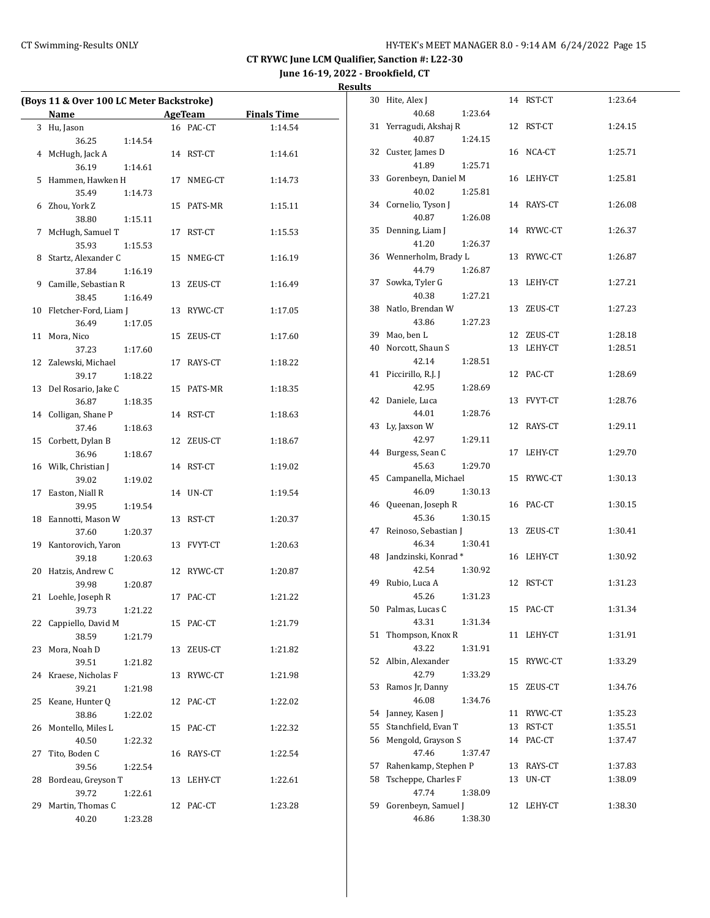## CT Swimming-Results ONLY **CT Swimming-Results ONLY** 15

**CT RYWC June LCM Qualifier, Sanction #: L22-30**

**June 16-19, 2022 - Brookfield, CT**

| Results |  |
|---------|--|
|         |  |

|    | (Boys 11 & Over 100 LC Meter Backstroke) |         |            |                    |
|----|------------------------------------------|---------|------------|--------------------|
|    | <b>Name</b>                              |         | AgeTeam    | <b>Finals Time</b> |
|    | 3 Hu, Jason                              |         | 16 PAC-CT  | 1:14.54            |
|    | 36.25                                    | 1:14.54 |            |                    |
|    | 4 McHugh, Jack A                         |         | 14 RST-CT  | 1:14.61            |
|    | 36.19                                    | 1:14.61 |            |                    |
|    | 5 Hammen, Hawken H                       |         | 17 NMEG-CT | 1:14.73            |
|    | 35.49                                    | 1:14.73 |            |                    |
|    | 6 Zhou, York Z                           |         | 15 PATS-MR | 1:15.11            |
|    | 38.80                                    | 1:15.11 |            |                    |
| 7  | McHugh, Samuel T                         |         | 17 RST-CT  | 1:15.53            |
|    | 35.93                                    | 1:15.53 |            |                    |
|    | 8 Startz, Alexander C                    |         | 15 NMEG-CT | 1:16.19            |
|    | 37.84                                    | 1:16.19 |            |                    |
|    | 9 Camille, Sebastian R                   |         | 13 ZEUS-CT | 1:16.49            |
|    | 38.45                                    | 1:16.49 |            |                    |
|    | 10 Fletcher-Ford, Liam J                 |         | 13 RYWC-CT | 1:17.05            |
|    | 36.49                                    | 1:17.05 |            |                    |
| 11 | Mora, Nico                               |         | 15 ZEUS-CT | 1:17.60            |
|    | 37.23                                    | 1:17.60 |            |                    |
|    | 12 Zalewski, Michael                     |         | 17 RAYS-CT | 1:18.22            |
|    | 39.17                                    | 1:18.22 |            |                    |
|    | 13 Del Rosario, Jake C                   |         | 15 PATS-MR | 1:18.35            |
|    | 36.87                                    | 1:18.35 |            |                    |
|    | 14 Colligan, Shane P                     |         | 14 RST-CT  | 1:18.63            |
|    | 37.46                                    | 1:18.63 |            |                    |
|    | 15 Corbett, Dylan B                      |         | 12 ZEUS-CT | 1:18.67            |
|    | 36.96                                    | 1:18.67 |            |                    |
|    | 16 Wilk, Christian J                     |         | 14 RST-CT  | 1:19.02            |
|    | 39.02                                    | 1:19.02 |            |                    |
|    | 17 Easton, Niall R                       |         | 14 UN-CT   | 1:19.54            |
|    | 39.95                                    | 1:19.54 |            |                    |
|    | 18 Eannotti, Mason W                     |         | 13 RST-CT  | 1:20.37            |
|    | 37.60                                    | 1:20.37 |            |                    |
|    | 19 Kantorovich, Yaron                    |         | 13 FVYT-CT | 1:20.63            |
|    | 39.18                                    | 1:20.63 |            |                    |
|    | 20 Hatzis, Andrew C                      |         | 12 RYWC-CT | 1:20.87            |
|    | 39.98                                    | 1:20.87 |            |                    |
|    | 21 Loehle, Joseph R                      |         | 17 PAC-CT  | 1:21.22            |
|    | 39.73                                    | 1:21.22 |            |                    |
|    | 22 Cappiello, David M                    |         | 15 PAC-CT  | 1:21.79            |
|    | 38.59                                    | 1:21.79 |            |                    |
| 23 | Mora, Noah D                             |         | 13 ZEUS-CT | 1:21.82            |
|    | 39.51                                    | 1:21.82 |            |                    |
| 24 | Kraese, Nicholas F                       |         | 13 RYWC-CT | 1:21.98            |
|    | 39.21                                    | 1:21.98 |            |                    |
| 25 | Keane, Hunter Q                          |         | 12 PAC-CT  | 1:22.02            |
|    | 38.86                                    | 1:22.02 |            |                    |
| 26 | Montello, Miles L                        |         | 15 PAC-CT  | 1:22.32            |
|    | 40.50                                    | 1:22.32 |            |                    |
| 27 | Tito, Boden C                            |         | 16 RAYS-CT | 1:22.54            |
|    | 39.56                                    | 1:22.54 |            |                    |
| 28 | Bordeau, Greyson T                       |         | 13 LEHY-CT | 1:22.61            |
|    | 39.72                                    | 1:22.61 |            |                    |
| 29 | Martin, Thomas C<br>40.20                |         | 12 PAC-CT  | 1:23.28            |
|    |                                          | 1:23.28 |            |                    |

| 30 | Hite, Alex J                           |    | 14 RST-CT  | 1:23.64 |
|----|----------------------------------------|----|------------|---------|
|    | 40.68<br>1:23.64                       |    |            |         |
| 31 | Yerragudi, Akshaj R                    | 12 | RST-CT     | 1:24.15 |
|    | 40.87<br>1:24.15                       |    |            |         |
|    | 32 Custer, James D                     |    | 16 NCA-CT  | 1:25.71 |
|    | 41.89<br>1:25.71                       |    |            |         |
|    | 33 Gorenbeyn, Daniel M                 |    | 16 LEHY-CT | 1:25.81 |
|    | 40.02<br>1:25.81                       |    |            |         |
|    | 34 Cornelio, Tyson J                   |    | 14 RAYS-CT | 1:26.08 |
|    | 40.87<br>1:26.08                       |    |            |         |
| 35 | Denning, Liam J                        |    | 14 RYWC-CT | 1:26.37 |
|    | 1:26.37<br>41.20                       |    |            |         |
|    | 36 Wennerholm, Brady L                 | 13 | RYWC-CT    | 1:26.87 |
|    | 44.79<br>1:26.87                       |    |            |         |
| 37 | Sowka, Tyler G                         | 13 | LEHY-CT    | 1:27.21 |
|    | 40.38<br>1:27.21                       |    |            |         |
| 38 | Natlo, Brendan W                       | 13 | ZEUS-CT    | 1:27.23 |
|    | 43.86<br>1:27.23                       |    |            |         |
|    | 39 Mao, ben L                          |    | 12 ZEUS-CT | 1:28.18 |
| 40 | Norcott, Shaun S                       | 13 | LEHY-CT    | 1:28.51 |
|    | 42.14<br>1:28.51                       |    |            |         |
| 41 | Piccirillo, R.J. J                     |    | 12 PAC-CT  | 1:28.69 |
|    | 42.95<br>1:28.69                       |    |            |         |
|    | 42 Daniele, Luca                       | 13 | FVYT-CT    | 1:28.76 |
|    | 44.01<br>1:28.76                       |    |            |         |
| 43 | Ly, Jaxson W                           | 12 | RAYS-CT    | 1:29.11 |
|    | 42.97<br>1:29.11                       |    |            |         |
| 44 | Burgess, Sean C                        | 17 | LEHY-CT    | 1:29.70 |
|    | 45.63<br>1:29.70                       |    |            |         |
| 45 | Campanella, Michael                    | 15 | RYWC-CT    | 1:30.13 |
|    | 46.09<br>1:30.13                       |    |            |         |
| 46 | Queenan, Joseph R                      |    | 16 PAC-CT  | 1:30.15 |
|    | 45.36<br>1:30.15                       |    |            |         |
| 47 | Reinoso, Sebastian J                   | 13 | ZEUS-CT    | 1:30.41 |
|    | 46.34<br>1:30.41                       |    |            |         |
| 48 | Jandzinski, Konrad *                   |    | 16 LEHY-CT | 1:30.92 |
|    | 42.54<br>1:30.92                       |    |            |         |
|    | 49 Rubio, Luca A                       |    | 12 RST-CT  | 1:31.23 |
|    | 45.26<br>1:31.23                       |    |            |         |
| 50 | Palmas, Lucas C                        |    | 15 PAC-CT  | 1:31.34 |
|    | 43.31                                  |    |            |         |
| 51 | 1:31.34<br>Thompson, Knox R            | 11 | LEHY-CT    | 1:31.91 |
|    | 43.22                                  |    |            |         |
| 52 | 1:31.91<br>Albin, Alexander            | 15 | RYWC-CT    | 1:33.29 |
|    |                                        |    |            |         |
|    | 42.79<br>1:33.29                       |    |            |         |
| 53 | Ramos Jr, Danny                        | 15 | ZEUS-CT    | 1:34.76 |
|    | 46.08<br>1:34.76                       |    |            |         |
| 54 | Janney, Kasen J<br>Stanchfield, Evan T | 11 | RYWC-CT    | 1:35.23 |
| 55 |                                        | 13 | RST-CT     | 1:35.51 |
| 56 | Mengold, Grayson S                     | 14 | PAC-CT     | 1:37.47 |
|    | 47.46<br>1:37.47                       |    |            |         |
| 57 | Rahenkamp, Stephen P                   | 13 | RAYS-CT    | 1:37.83 |
| 58 | Tscheppe, Charles F                    | 13 | UN-CT      | 1:38.09 |
|    | 47.74<br>1:38.09                       |    |            |         |
| 59 | Gorenbeyn, Samuel J                    | 12 | LEHY-CT    | 1:38.30 |
|    | 46.86<br>1:38.30                       |    |            |         |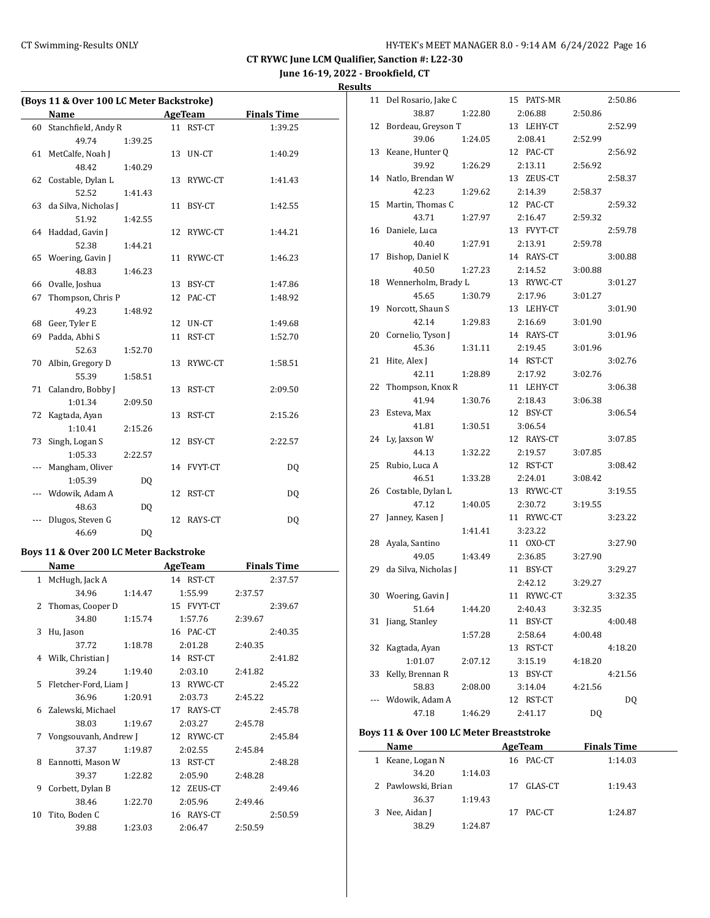## CT Swimming-Results ONLY **EXAMPLE 19 CONCRET MANAGER 8.0 - 9:14 AM 6/24/2022** Page 16

**CT RYWC June LCM Qualifier, Sanction #: L22-30**

**June 16-19, 2022 - Brookfield, CT**

**Results**

|     |                                        |         |    | (Boys 11 & Over 100 LC Meter Backstroke) |                    |
|-----|----------------------------------------|---------|----|------------------------------------------|--------------------|
|     | Name                                   |         |    | AgeTeam                                  | <b>Finals Time</b> |
| 60  | Stanchfield, Andy R                    |         |    | 11 RST-CT                                | 1:39.25            |
|     | 49.74                                  | 1:39.25 |    |                                          |                    |
| 61  | MetCalfe, Noah J                       |         | 13 | UN-CT                                    | 1:40.29            |
|     | 48.42                                  | 1:40.29 |    |                                          |                    |
| 62  | Costable, Dylan L                      |         | 13 | RYWC-CT                                  | 1:41.43            |
|     | 52.52                                  | 1:41.43 |    |                                          |                    |
| 63  | da Silva, Nicholas J                   |         | 11 | BSY-CT                                   | 1:42.55            |
|     | 51.92                                  | 1:42.55 |    |                                          |                    |
| 64  | Haddad, Gavin J                        |         | 12 | RYWC-CT                                  | 1:44.21            |
|     | 52.38                                  | 1:44.21 |    |                                          |                    |
|     | 65 Woering, Gavin J                    |         | 11 | RYWC-CT                                  | 1:46.23            |
|     | 48.83                                  | 1:46.23 |    |                                          |                    |
| 66  | Ovalle, Joshua                         |         | 13 | BSY-CT                                   | 1:47.86            |
| 67  | Thompson, Chris P                      |         | 12 | PAC-CT                                   | 1:48.92            |
|     | 49.23                                  | 1:48.92 |    |                                          |                    |
| 68  | Geer, Tyler E                          |         | 12 | UN-CT                                    | 1:49.68            |
| 69  | Padda, Abhi S                          |         | 11 | RST-CT                                   | 1:52.70            |
|     | 52.63                                  | 1:52.70 |    |                                          |                    |
| 70  | Albin, Gregory D                       |         | 13 | RYWC-CT                                  | 1:58.51            |
|     | 55.39                                  | 1:58.51 |    |                                          |                    |
| 71  | Calandro, Bobby J                      |         | 13 | RST-CT                                   | 2:09.50            |
|     | 1:01.34                                | 2:09.50 |    |                                          |                    |
| 72  | Kagtada, Ayan                          |         | 13 | RST-CT                                   | 2:15.26            |
|     | 1:10.41                                | 2:15.26 |    |                                          |                    |
| 73  | Singh, Logan S                         |         | 12 | BSY-CT                                   | 2:22.57            |
|     | 1:05.33                                | 2:22.57 |    |                                          |                    |
| --- | Mangham, Oliver                        |         |    | 14 FVYT-CT                               | DQ                 |
|     | 1:05.39                                | DQ      |    |                                          |                    |
| --- | Wdowik, Adam A                         |         | 12 | RST-CT                                   | DQ                 |
|     | 48.63                                  | DQ      |    |                                          |                    |
|     | Dlugos, Steven G                       |         | 12 | RAYS-CT                                  | DQ                 |
|     | 46.69                                  | DQ      |    |                                          |                    |
|     | Boys 11 & Over 200 LC Meter Backstroke |         |    |                                          |                    |

|    | Name                    |         | AgeTeam |            | <b>Finals Time</b> |         |
|----|-------------------------|---------|---------|------------|--------------------|---------|
|    | 1 McHugh, Jack A        |         |         | 14 RST-CT  |                    | 2:37.57 |
|    | 34.96                   | 1:14.47 |         | 1:55.99    | 2:37.57            |         |
| 2  | Thomas, Cooper D        |         |         | 15 FVYT-CT |                    | 2:39.67 |
|    | 34.80                   | 1:15.74 |         | 1:57.76    | 2:39.67            |         |
| 3  | Hu, Jason               |         |         | 16 PAC-CT  |                    | 2:40.35 |
|    | 37.72                   | 1:18.78 |         | 2:01.28    | 2:40.35            |         |
|    | 4 Wilk, Christian J     |         |         | 14 RST-CT  |                    | 2:41.82 |
|    | 39.24                   | 1:19.40 |         | 2:03.10    | 2:41.82            |         |
|    | 5 Fletcher-Ford, Liam J |         |         | 13 RYWC-CT |                    | 2:45.22 |
|    | 36.96                   | 1:20.91 |         | 2:03.73    | 2:45.22            |         |
| 6  | Zalewski, Michael       |         |         | 17 RAYS-CT |                    | 2:45.78 |
|    | 38.03                   | 1:19.67 |         | 2:03.27    | 2:45.78            |         |
| 7  | Vongsouvanh, Andrew J   |         |         | 12 RYWC-CT |                    | 2:45.84 |
|    | 37.37                   | 1:19.87 |         | 2:02.55    | 2:45.84            |         |
| 8  | Eannotti, Mason W       |         |         | 13 RST-CT  |                    | 2:48.28 |
|    | 39.37                   | 1:22.82 |         | 2:05.90    | 2:48.28            |         |
| 9  | Corbett, Dylan B        |         |         | 12 ZEUS-CT |                    | 2:49.46 |
|    | 38.46                   | 1:22.70 |         | 2:05.96    | 2:49.46            |         |
| 10 | Tito, Boden C           |         |         | 16 RAYS-CT |                    | 2:50.59 |
|    | 39.88                   | 1:23.03 |         | 2:06.47    | 2:50.59            |         |

| 11 | Del Rosario, Jake C  |         |    | 15 PATS-MR |         | 2:50.86 |
|----|----------------------|---------|----|------------|---------|---------|
|    | 38.87                | 1:22.80 |    | 2:06.88    | 2:50.86 |         |
| 12 | Bordeau, Greyson T   |         |    | 13 LEHY-CT |         | 2:52.99 |
|    | 39.06                | 1:24.05 |    | 2:08.41    | 2:52.99 |         |
| 13 | Keane, Hunter Q      |         |    | 12 PAC-CT  |         | 2:56.92 |
|    | 39.92                | 1:26.29 |    | 2:13.11    | 2:56.92 |         |
| 14 | Natlo, Brendan W     |         |    | 13 ZEUS-CT |         | 2:58.37 |
|    | 42.23                | 1:29.62 |    | 2:14.39    | 2:58.37 |         |
| 15 | Martin, Thomas C     |         |    | 12 PAC-CT  |         | 2:59.32 |
|    | 43.71                | 1:27.97 |    | 2:16.47    | 2:59.32 |         |
| 16 | Daniele, Luca        |         |    | 13 FVYT-CT |         | 2:59.78 |
|    | 40.40                | 1:27.91 |    | 2:13.91    | 2:59.78 |         |
| 17 | Bishop, Daniel K     |         |    | 14 RAYS-CT |         | 3:00.88 |
|    | 40.50                | 1:27.23 |    | 2:14.52    | 3:00.88 |         |
| 18 | Wennerholm, Brady L  |         |    | 13 RYWC-CT |         | 3:01.27 |
|    | 45.65                | 1:30.79 |    | 2:17.96    | 3:01.27 |         |
| 19 | Norcott, Shaun S     |         |    | 13 LEHY-CT |         | 3:01.90 |
|    | 42.14                | 1:29.83 |    | 2:16.69    | 3:01.90 |         |
| 20 | Cornelio, Tyson J    |         |    | 14 RAYS-CT |         | 3:01.96 |
|    | 45.36                | 1:31.11 |    | 2:19.45    | 3:01.96 |         |
| 21 | Hite, Alex J         |         |    | 14 RST-CT  |         | 3:02.76 |
|    | 42.11                | 1:28.89 |    | 2:17.92    | 3:02.76 |         |
| 22 | Thompson, Knox R     |         |    | 11 LEHY-CT |         | 3:06.38 |
|    | 41.94                | 1:30.76 |    | 2:18.43    | 3:06.38 |         |
| 23 | Esteva, Max          |         |    | 12 BSY-CT  |         | 3:06.54 |
|    | 41.81                | 1:30.51 |    | 3:06.54    |         |         |
| 24 | Ly, Jaxson W         |         |    | 12 RAYS-CT |         | 3:07.85 |
|    | 44.13                | 1:32.22 |    | 2:19.57    | 3:07.85 |         |
| 25 | Rubio, Luca A        |         |    | 12 RST-CT  |         | 3:08.42 |
|    | 46.51                | 1:33.28 |    | 2:24.01    | 3:08.42 |         |
| 26 | Costable, Dylan L    |         |    | 13 RYWC-CT |         | 3:19.55 |
|    | 47.12                | 1:40.05 |    | 2:30.72    | 3:19.55 |         |
| 27 | Janney, Kasen J      |         |    | 11 RYWC-CT |         | 3:23.22 |
|    |                      | 1:41.41 |    | 3:23.22    |         |         |
| 28 | Ayala, Santino       |         |    | 11 OXO-CT  |         | 3:27.90 |
|    | 49.05                | 1:43.49 |    | 2:36.85    | 3:27.90 |         |
| 29 | da Silva, Nicholas J |         |    | 11 BSY-CT  |         | 3:29.27 |
|    |                      |         |    | 2:42.12    | 3:29.27 |         |
| 30 | Woering, Gavin J     |         | 11 | RYWC-CT    |         | 3:32.35 |
|    | 51.64                | 1:44.20 |    | 2:40.43    | 3:32.35 |         |
| 31 | Jiang, Stanley       |         |    | 11 BSY-CT  |         | 4:00.48 |
|    |                      | 1:57.28 |    | 2:58.64    | 4:00.48 |         |
| 32 | Kagtada, Ayan        |         | 13 | RST-CT     |         | 4:18.20 |
|    | 1:01.07              | 2:07.12 |    | 3:15.19    | 4:18.20 |         |
| 33 | Kelly, Brennan R     |         | 13 | BSY-CT     |         | 4:21.56 |
|    | 58.83                | 2:08.00 |    | 3:14.04    | 4:21.56 |         |
|    | Wdowik, Adam A       |         | 12 | RST-CT     |         | DQ      |
|    | 47.18                | 1:46.29 |    | 2:41.17    | DQ      |         |

### **Boys 11 & Over 100 LC Meter Breaststroke**

| Name               |         |     | AgeTeam   | <b>Finals Time</b> |  |
|--------------------|---------|-----|-----------|--------------------|--|
| 1 Keane, Logan N   |         |     | 16 PAC-CT | 1:14.03            |  |
| 34.20              | 1:14.03 |     |           |                    |  |
| 2 Pawlowski, Brian |         | 17  | GLAS-CT   | 1:19.43            |  |
| 36.37              | 1:19.43 |     |           |                    |  |
| 3 Nee, Aidan J     |         | 17. | PAC-CT    | 1:24.87            |  |
| 38.29              | 1:24.87 |     |           |                    |  |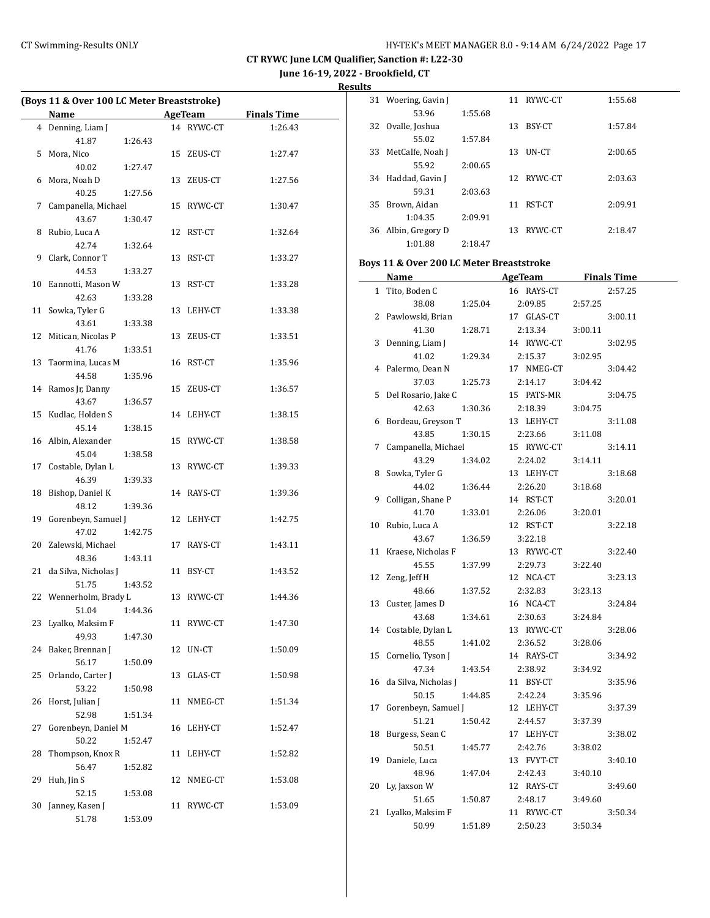**June 16-19, 2022 - Brookfield, CT**

**Results**

 $\equiv$ 

| (Boys 11 & Over 100 LC Meter Breaststroke) |                          |         |         |            |                    |  |
|--------------------------------------------|--------------------------|---------|---------|------------|--------------------|--|
|                                            | Name                     |         | AgeTeam |            | <b>Finals Time</b> |  |
|                                            | 4 Denning, Liam J        |         |         | 14 RYWC-CT | 1:26.43            |  |
|                                            | 41.87                    | 1:26.43 |         |            |                    |  |
| 5                                          | Mora, Nico               |         |         | 15 ZEUS-CT | 1:27.47            |  |
|                                            | 40.02                    | 1:27.47 |         |            |                    |  |
| 6                                          | Mora, Noah D             |         |         | 13 ZEUS-CT | 1:27.56            |  |
|                                            | 40.25                    | 1:27.56 |         |            |                    |  |
|                                            | 7 Campanella, Michael    |         |         | 15 RYWC-CT | 1:30.47            |  |
|                                            | 43.67                    | 1:30.47 |         |            |                    |  |
| 8                                          | Rubio, Luca A            |         |         | 12 RST-CT  | 1:32.64            |  |
|                                            | 42.74                    | 1:32.64 |         |            |                    |  |
| 9                                          | Clark, Connor T          |         |         | 13 RST-CT  | 1:33.27            |  |
|                                            | 44.53                    | 1:33.27 |         |            |                    |  |
|                                            | 10 Eannotti, Mason W     |         |         | 13 RST-CT  | 1:33.28            |  |
|                                            | 42.63                    | 1:33.28 |         |            |                    |  |
| 11                                         | Sowka, Tyler G           |         |         | 13 LEHY-CT | 1:33.38            |  |
|                                            | 43.61                    | 1:33.38 |         |            |                    |  |
| 12                                         | Mitican, Nicolas P       |         |         | 13 ZEUS-CT | 1:33.51            |  |
|                                            | 41.76                    | 1:33.51 |         |            |                    |  |
| 13                                         | Taormina, Lucas M        |         |         | 16 RST-CT  | 1:35.96            |  |
|                                            | 44.58                    | 1:35.96 |         |            |                    |  |
|                                            | 14 Ramos Jr, Danny       |         |         | 15 ZEUS-CT | 1:36.57            |  |
|                                            | 43.67                    | 1:36.57 |         |            |                    |  |
|                                            | 15 Kudlac, Holden S      |         |         | 14 LEHY-CT | 1:38.15            |  |
|                                            | 45.14                    | 1:38.15 |         |            |                    |  |
|                                            | 16 Albin, Alexander      |         |         | 15 RYWC-CT | 1:38.58            |  |
|                                            | 45.04                    | 1:38.58 |         |            |                    |  |
|                                            | 17 Costable, Dylan L     |         |         | 13 RYWC-CT | 1:39.33            |  |
|                                            | 46.39                    | 1:39.33 |         |            |                    |  |
| 18                                         | Bishop, Daniel K         |         |         | 14 RAYS-CT | 1:39.36            |  |
|                                            | 48.12                    | 1:39.36 |         |            |                    |  |
| 19                                         | Gorenbeyn, Samuel J      |         |         | 12 LEHY-CT | 1:42.75            |  |
|                                            | 47.02                    | 1:42.75 |         |            |                    |  |
| 20                                         | Zalewski, Michael        |         |         | 17 RAYS-CT | 1:43.11            |  |
|                                            | 48.36                    | 1:43.11 |         |            |                    |  |
| 21                                         | da Silva, Nicholas J     |         |         | 11 BSY-CT  | 1:43.52            |  |
|                                            | 51.75                    | 1:43.52 |         |            |                    |  |
|                                            | 22 Wennerholm, Brady L   |         |         | 13 RYWC-CT | 1:44.36            |  |
|                                            | 51.04 1:44.36            |         |         |            |                    |  |
| 23                                         | Lyalko, Maksim F         |         |         | 11 RYWC-CT | 1:47.30            |  |
|                                            | 49.93                    | 1:47.30 |         |            |                    |  |
| 24                                         | Baker, Brennan J         |         |         | 12 UN-CT   | 1:50.09            |  |
|                                            | 56.17                    | 1:50.09 |         |            |                    |  |
| 25                                         | Orlando, Carter J        |         |         | 13 GLAS-CT | 1:50.98            |  |
|                                            | 53.22                    | 1:50.98 |         |            |                    |  |
| 26                                         | Horst, Julian J          |         | 11      | NMEG-CT    | 1:51.34            |  |
|                                            | 52.98                    | 1:51.34 |         |            |                    |  |
| 27                                         | Gorenbeyn, Daniel M      |         |         | 16 LEHY-CT | 1:52.47            |  |
|                                            | 50.22                    | 1:52.47 |         |            |                    |  |
| 28                                         | Thompson, Knox R         |         |         | 11 LEHY-CT | 1:52.82            |  |
|                                            | 56.47                    | 1:52.82 |         |            |                    |  |
| 29                                         | Huh, Jin S               |         |         | 12 NMEG-CT | 1:53.08            |  |
| 30                                         | 52.15<br>Janney, Kasen J | 1:53.08 |         | 11 RYWC-CT | 1:53.09            |  |
|                                            | 51.78                    | 1:53.09 |         |            |                    |  |
|                                            |                          |         |         |            |                    |  |

| 31 | Woering, Gavin J |         | 11  | RYWC-CT | 1:55.68 |
|----|------------------|---------|-----|---------|---------|
|    | 53.96            | 1:55.68 |     |         |         |
| 32 | Ovalle, Joshua   |         | 13  | BSY-CT  | 1:57.84 |
|    | 55.02            | 1:57.84 |     |         |         |
| 33 | MetCalfe, Noah J |         | 13  | UN-CT   | 2:00.65 |
|    | 55.92            | 2:00.65 |     |         |         |
| 34 | Haddad, Gavin J  |         | 12. | RYWC-CT | 2:03.63 |
|    | 59.31            | 2:03.63 |     |         |         |
| 35 | Brown, Aidan     |         | 11  | RST-CT  | 2:09.91 |
|    | 1:04.35          | 2:09.91 |     |         |         |
| 36 | Albin, Gregory D |         | 13. | RYWC-CT | 2:18.47 |
|    | 1:01.88          | 2:18.47 |     |         |         |

#### **Boys 11 & Over 200 LC Meter Breaststroke**

|    | Name                 |         | <b>AgeTeam</b> |         | <b>Finals Time</b> |
|----|----------------------|---------|----------------|---------|--------------------|
| 1  | Tito, Boden C        |         | 16 RAYS-CT     |         | 2:57.25            |
|    | 38.08                | 1:25.04 | 2:09.85        | 2:57.25 |                    |
| 2  | Pawlowski, Brian     |         | 17 GLAS-CT     |         | 3:00.11            |
|    | 41.30                | 1:28.71 | 2:13.34        | 3:00.11 |                    |
| 3  | Denning, Liam J      |         | 14 RYWC-CT     |         | 3:02.95            |
|    | 41.02                | 1:29.34 | 2:15.37        | 3:02.95 |                    |
| 4  | Palermo, Dean N      |         | 17 NMEG-CT     |         | 3:04.42            |
|    | 37.03                | 1:25.73 | 2:14.17        | 3:04.42 |                    |
| 5  | Del Rosario, Jake C  |         | 15 PATS-MR     |         | 3:04.75            |
|    | 42.63                | 1:30.36 | 2:18.39        | 3:04.75 |                    |
| 6  | Bordeau, Greyson T   |         | 13 LEHY-CT     |         | 3:11.08            |
|    | 43.85                | 1:30.15 | 2:23.66        | 3:11.08 |                    |
| 7  | Campanella, Michael  |         | 15 RYWC-CT     |         | 3:14.11            |
|    | 43.29                | 1:34.02 | 2:24.02        | 3:14.11 |                    |
| 8  | Sowka, Tyler G       |         | 13 LEHY-CT     |         | 3:18.68            |
|    | 44.02                | 1:36.44 | 2:26.20        | 3:18.68 |                    |
| 9  | Colligan, Shane P    |         | 14 RST-CT      |         | 3:20.01            |
|    | 41.70                | 1:33.01 | 2:26.06        | 3:20.01 |                    |
| 10 | Rubio, Luca A        |         | 12 RST-CT      |         | 3:22.18            |
|    | 43.67                | 1:36.59 | 3:22.18        |         |                    |
| 11 | Kraese, Nicholas F   |         | 13 RYWC-CT     |         | 3:22.40            |
|    | 45.55                | 1:37.99 | 2:29.73        | 3:22.40 |                    |
| 12 | Zeng, Jeff H         |         | 12 NCA-CT      |         | 3:23.13            |
|    | 48.66                | 1:37.52 | 2:32.83        | 3:23.13 |                    |
| 13 | Custer, James D      |         | 16 NCA-CT      |         | 3:24.84            |
|    | 43.68                | 1:34.61 | 2:30.63        | 3:24.84 |                    |
| 14 | Costable, Dylan L    |         | 13 RYWC-CT     |         | 3:28.06            |
|    | 48.55                | 1:41.02 | 2:36.52        | 3:28.06 |                    |
| 15 | Cornelio, Tyson J    |         | 14 RAYS-CT     |         | 3:34.92            |
|    | 47.34                | 1:43.54 | 2:38.92        | 3:34.92 |                    |
| 16 | da Silva, Nicholas J |         | 11 BSY-CT      |         | 3:35.96            |
|    | 50.15                | 1:44.85 | 2:42.24        | 3:35.96 |                    |
| 17 | Gorenbeyn, Samuel J  |         | 12 LEHY-CT     |         | 3:37.39            |
|    | 51.21                | 1:50.42 | 2:44.57        | 3:37.39 |                    |
| 18 | Burgess, Sean C      |         | 17 LEHY-CT     |         | 3:38.02            |
|    | 50.51                | 1:45.77 | 2:42.76        | 3:38.02 |                    |
| 19 | Daniele, Luca        |         | 13 FVYT-CT     |         | 3:40.10            |
|    | 48.96                | 1:47.04 | 2:42.43        | 3:40.10 |                    |
| 20 | Ly, Jaxson W         |         | 12 RAYS-CT     |         | 3:49.60            |
|    | 51.65                | 1:50.87 | 2:48.17        | 3:49.60 |                    |
| 21 | Lyalko, Maksim F     |         | 11 RYWC-CT     |         | 3:50.34            |
|    | 50.99                | 1:51.89 | 2:50.23        | 3:50.34 |                    |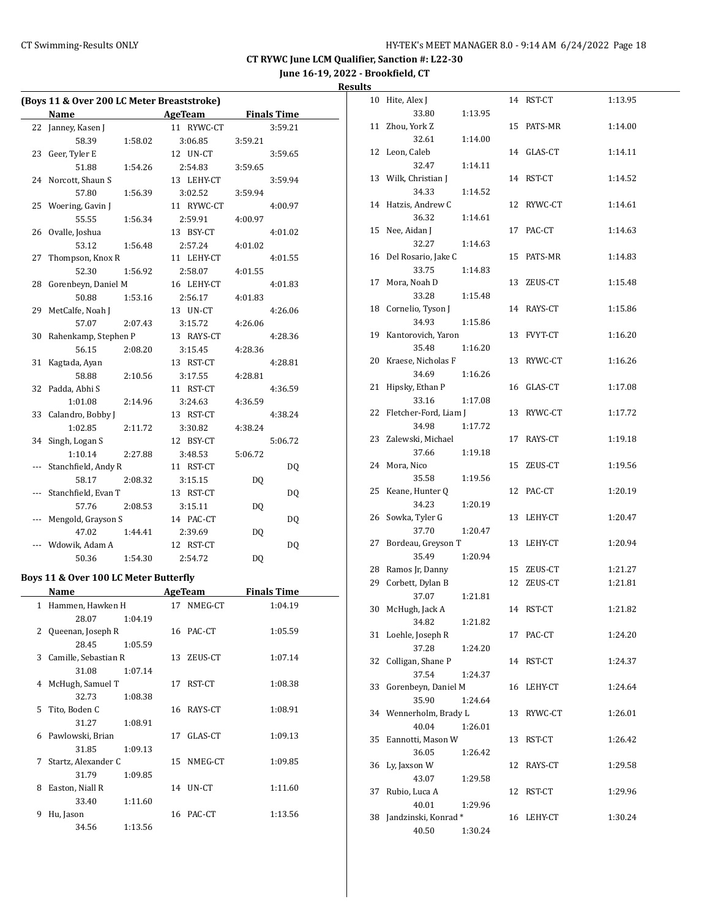**June 16-19, 2022 - Brookfield, CT**

| esun |  |
|------|--|
|      |  |

| (Boys 11 & Over 200 LC Meter Breaststroke) |                                       |         |  |                          |         |                    |  |
|--------------------------------------------|---------------------------------------|---------|--|--------------------------|---------|--------------------|--|
|                                            | Name                                  |         |  | <b>Example 2</b> AgeTeam |         | <b>Finals Time</b> |  |
|                                            | 22 Janney, Kasen J                    |         |  | 11 RYWC-CT               |         | 3:59.21            |  |
|                                            | 58.39                                 | 1:58.02 |  | 3:06.85                  | 3:59.21 |                    |  |
|                                            | 23 Geer, Tyler E                      |         |  | 12 UN-CT                 |         | 3:59.65            |  |
|                                            | 51.88                                 | 1:54.26 |  | 2:54.83                  | 3:59.65 |                    |  |
|                                            | 24 Norcott, Shaun S                   |         |  | 13 LEHY-CT               |         | 3:59.94            |  |
|                                            | 57.80                                 | 1:56.39 |  | 3:02.52                  | 3:59.94 |                    |  |
|                                            | 25 Woering, Gavin J                   |         |  | 11 RYWC-CT               |         | 4:00.97            |  |
|                                            | 55.55                                 | 1:56.34 |  | 2:59.91                  | 4:00.97 |                    |  |
| 26                                         | Ovalle, Joshua                        |         |  | 13 BSY-CT                |         | 4:01.02            |  |
|                                            | 53.12                                 | 1:56.48 |  | 2:57.24                  | 4:01.02 |                    |  |
| 27                                         | Thompson, Knox R                      |         |  | 11 LEHY-CT               |         | 4:01.55            |  |
|                                            | 52.30                                 | 1:56.92 |  | 2:58.07                  | 4:01.55 |                    |  |
| 28                                         | Gorenbeyn, Daniel M                   |         |  | 16 LEHY-CT               |         | 4:01.83            |  |
|                                            | 50.88                                 | 1:53.16 |  | 2:56.17                  | 4:01.83 |                    |  |
| 29                                         | MetCalfe, Noah J                      |         |  | 13 UN-CT                 |         | 4:26.06            |  |
|                                            | 57.07                                 | 2:07.43 |  | 3:15.72                  | 4:26.06 |                    |  |
| 30                                         | Rahenkamp, Stephen P                  |         |  | 13 RAYS-CT               |         | 4:28.36            |  |
|                                            | 56.15                                 | 2:08.20 |  | 3:15.45                  | 4:28.36 |                    |  |
| 31                                         | Kagtada, Ayan                         |         |  | 13 RST-CT                |         | 4:28.81            |  |
|                                            | 58.88                                 | 2:10.56 |  | 3:17.55                  | 4:28.81 |                    |  |
|                                            | 32 Padda, Abhi S                      |         |  | 11 RST-CT                |         | 4:36.59            |  |
|                                            | 1:01.08                               | 2:14.96 |  | 3:24.63                  | 4:36.59 |                    |  |
| 33                                         | Calandro, Bobby J                     |         |  | 13 RST-CT                |         | 4:38.24            |  |
|                                            | 1:02.85                               | 2:11.72 |  | 3:30.82                  | 4:38.24 |                    |  |
| 34                                         | Singh, Logan S                        |         |  | 12 BSY-CT                |         | 5:06.72            |  |
|                                            | 1:10.14                               | 2:27.88 |  | 3:48.53                  | 5:06.72 |                    |  |
|                                            | Stanchfield, Andy R                   |         |  | 11 RST-CT                |         | DQ                 |  |
|                                            | 58.17                                 | 2:08.32 |  | 3:15.15                  | DQ      |                    |  |
| ---                                        | Stanchfield, Evan T                   |         |  | 13 RST-CT                |         | DQ                 |  |
|                                            | 57.76                                 | 2:08.53 |  | 3:15.11                  | DQ      |                    |  |
| ---                                        | Mengold, Grayson S                    |         |  | 14 PAC-CT                |         | DQ                 |  |
|                                            | 47.02                                 | 1:44.41 |  | 2:39.69                  | DQ      |                    |  |
|                                            | Wdowik, Adam A                        |         |  | 12 RST-CT                |         | DQ                 |  |
|                                            | 50.36                                 | 1:54.30 |  | 2:54.72                  | DQ      |                    |  |
|                                            | Boys 11 & Over 100 LC Meter Butterfly |         |  |                          |         |                    |  |
|                                            | Name                                  |         |  | AgeTeam                  |         | <b>Finals Time</b> |  |
|                                            | 1 Hammen, Hawken H                    |         |  | 17 NMEG-CT               |         | 1:04.19            |  |
|                                            | 28.07                                 | 1:04.19 |  |                          |         |                    |  |
| 2                                          | Queenan, Joseph R                     |         |  | 16 PAC-CT                |         | 1:05.59            |  |
|                                            | 28.45                                 | 1:05.59 |  |                          |         |                    |  |
|                                            | 3 Camille, Sebastian R                |         |  | 13 ZEUS-CT               |         | 1:07.14            |  |
|                                            | 31.08                                 | 1:07.14 |  |                          |         |                    |  |
| 4                                          | McHugh, Samuel T                      |         |  | 17 RST-CT                |         | 1:08.38            |  |
|                                            | 32.73                                 | 1:08.38 |  |                          |         |                    |  |
| 5                                          | Tito, Boden C                         |         |  | 16 RAYS-CT               |         | 1:08.91            |  |
|                                            | 31.27                                 | 1:08.91 |  |                          |         |                    |  |
| 6                                          | Pawlowski, Brian                      |         |  | 17 GLAS-CT               |         | 1:09.13            |  |
|                                            | 31.85                                 | 1:09.13 |  |                          |         |                    |  |
| 7                                          | Startz, Alexander C                   |         |  | 15 NMEG-CT               |         | 1:09.85            |  |
|                                            | 31.79                                 | 1:09.85 |  |                          |         |                    |  |
| 8                                          | Easton, Niall R                       |         |  | 14 UN-CT                 |         | 1:11.60            |  |
|                                            | 33.40                                 | 1:11.60 |  |                          |         |                    |  |
| 9                                          | Hu, Jason                             |         |  | 16 PAC-CT                |         | 1:13.56            |  |
|                                            | 34.56                                 | 1:13.56 |  |                          |         |                    |  |

| 10 | Hite, Alex J          |         | 14 | RST-CT     | 1:13.95 |
|----|-----------------------|---------|----|------------|---------|
|    | 33.80                 | 1:13.95 |    |            |         |
| 11 | Zhou, York Z          |         | 15 | PATS-MR    | 1:14.00 |
|    | 32.61                 | 1:14.00 |    |            |         |
| 12 | Leon, Caleb           |         |    | 14 GLAS-CT | 1:14.11 |
|    | 32.47                 | 1:14.11 |    |            |         |
| 13 | Wilk, Christian J     |         | 14 | RST-CT     | 1:14.52 |
|    | 34.33                 | 1:14.52 |    |            |         |
| 14 | Hatzis, Andrew C      |         | 12 | RYWC-CT    | 1:14.61 |
|    | 36.32                 | 1:14.61 |    |            |         |
| 15 | Nee, Aidan J          |         | 17 | PAC-CT     | 1:14.63 |
|    | 32.27                 | 1:14.63 |    |            |         |
| 16 | Del Rosario, Jake C   |         | 15 | PATS-MR    | 1:14.83 |
|    | 33.75                 | 1:14.83 |    |            |         |
| 17 | Mora, Noah D          |         | 13 | ZEUS-CT    | 1:15.48 |
|    | 33.28                 | 1:15.48 |    |            |         |
| 18 | Cornelio, Tyson J     |         | 14 | RAYS-CT    | 1:15.86 |
|    | 34.93                 | 1:15.86 |    |            |         |
| 19 | Kantorovich, Yaron    |         | 13 | FVYT-CT    | 1:16.20 |
|    |                       |         |    |            |         |
|    | 35.48                 | 1:16.20 |    |            |         |
| 20 | Kraese, Nicholas F    |         | 13 | RYWC-CT    | 1:16.26 |
|    | 34.69                 | 1:16.26 |    |            |         |
| 21 | Hipsky, Ethan P       |         | 16 | GLAS-CT    | 1:17.08 |
|    | 33.16                 | 1:17.08 |    |            |         |
| 22 | Fletcher-Ford, Liam J |         | 13 | RYWC-CT    | 1:17.72 |
|    | 34.98                 | 1:17.72 |    |            |         |
| 23 | Zalewski, Michael     |         | 17 | RAYS-CT    | 1:19.18 |
|    | 37.66                 | 1:19.18 |    |            |         |
| 24 | Mora, Nico            |         | 15 | ZEUS-CT    | 1:19.56 |
|    | 35.58                 | 1:19.56 |    |            |         |
| 25 | Keane, Hunter Q       |         | 12 | PAC-CT     | 1:20.19 |
|    | 34.23                 | 1:20.19 |    |            |         |
| 26 | Sowka, Tyler G        |         | 13 | LEHY-CT    | 1:20.47 |
|    | 37.70                 | 1:20.47 |    |            |         |
| 27 | Bordeau, Greyson T    |         | 13 | LEHY-CT    | 1:20.94 |
|    | 35.49                 | 1:20.94 |    |            |         |
| 28 | Ramos Jr, Danny       |         | 15 | ZEUS-CT    | 1:21.27 |
| 29 | Corbett, Dylan B      |         | 12 | ZEUS-CT    | 1:21.81 |
|    | 37.07                 | 1:21.81 |    |            |         |
|    | 30 McHugh, Jack A     |         |    | 14 RST-CT  | 1:21.82 |
|    | 34.82                 | 1:21.82 |    |            |         |
| 31 | Loehle, Joseph R      |         | 17 | PAC-CT     | 1:24.20 |
|    | 37.28                 | 1:24.20 |    |            |         |
| 32 | Colligan, Shane P     |         | 14 | RST-CT     | 1:24.37 |
|    | 37.54                 | 1:24.37 |    |            |         |
| 33 | Gorenbeyn, Daniel M   |         | 16 | LEHY-CT    | 1:24.64 |
|    | 35.90                 | 1:24.64 |    |            |         |
| 34 | Wennerholm, Brady L   |         | 13 | RYWC-CT    | 1:26.01 |
|    | 40.04                 | 1:26.01 |    |            |         |
| 35 | Eannotti, Mason W     |         | 13 | RST-CT     | 1:26.42 |
|    | 36.05                 | 1:26.42 |    |            |         |
| 36 | Ly, Jaxson W          |         | 12 | RAYS-CT    | 1:29.58 |
|    | 43.07                 | 1:29.58 |    |            |         |
| 37 | Rubio, Luca A         |         | 12 | RST-CT     | 1:29.96 |
|    | 40.01                 | 1:29.96 |    |            |         |
| 38 | Jandzinski, Konrad*   |         | 16 | LEHY-CT    | 1:30.24 |
|    | 40.50                 | 1:30.24 |    |            |         |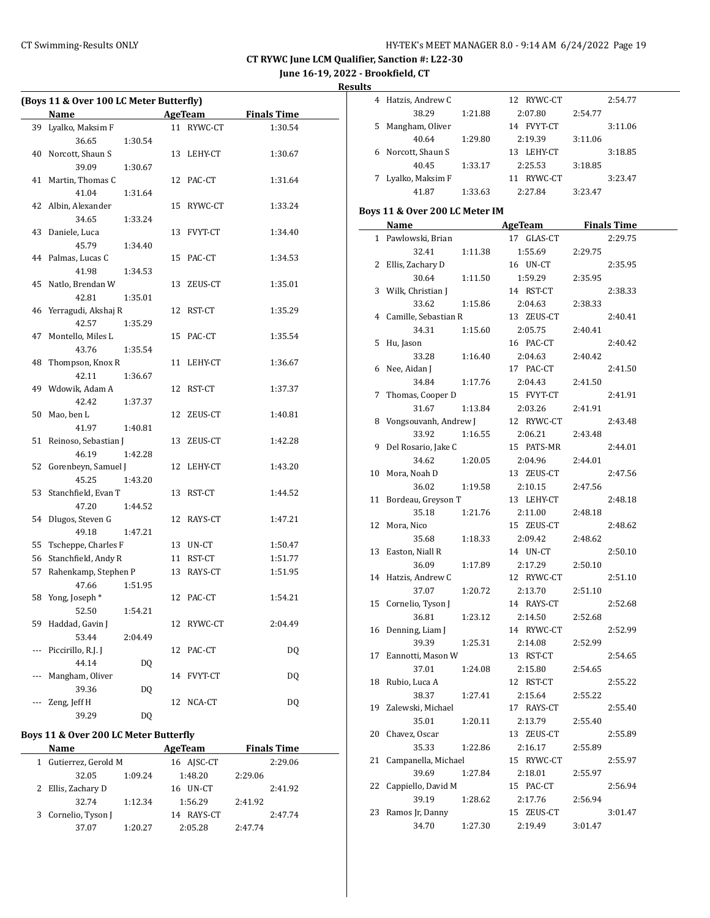**June 16-19, 2022 - Brookfield, CT**

**Results**

L.

|     | (Boys 11 & Over 100 LC Meter Butterfly) |         |    |            |                     |  |
|-----|-----------------------------------------|---------|----|------------|---------------------|--|
|     | Name                                    |         |    |            | AgeTeam Finals Time |  |
|     | 39 Lyalko, Maksim F                     |         |    | 11 RYWC-CT | 1:30.54             |  |
|     | 36.65                                   | 1:30.54 |    |            |                     |  |
|     | 40 Norcott, Shaun S                     |         |    | 13 LEHY-CT | 1:30.67             |  |
|     | 39.09                                   | 1:30.67 |    |            |                     |  |
| 41  | Martin, Thomas C                        |         |    | 12 PAC-CT  | 1:31.64             |  |
|     | 41.04                                   | 1:31.64 |    |            |                     |  |
|     | 42 Albin, Alexander                     |         |    | 15 RYWC-CT | 1:33.24             |  |
|     | 34.65                                   | 1:33.24 |    |            |                     |  |
|     | 43 Daniele, Luca                        |         |    | 13 FVYT-CT | 1:34.40             |  |
|     | 45.79                                   | 1:34.40 |    |            |                     |  |
|     | 44 Palmas, Lucas C                      |         |    | 15 PAC-CT  | 1:34.53             |  |
|     | 41.98                                   | 1:34.53 |    |            |                     |  |
|     | 45 Natlo, Brendan W                     |         |    | 13 ZEUS-CT | 1:35.01             |  |
|     | 42.81                                   | 1:35.01 |    |            |                     |  |
|     | 46 Yerragudi, Akshaj R                  |         |    | 12 RST-CT  | 1:35.29             |  |
|     | 42.57                                   | 1:35.29 |    |            |                     |  |
| 47  | Montello, Miles L                       |         |    | 15 PAC-CT  | 1:35.54             |  |
|     | 43.76                                   | 1:35.54 |    |            |                     |  |
| 48  | Thompson, Knox R                        |         |    | 11 LEHY-CT | 1:36.67             |  |
|     | 42.11                                   | 1:36.67 |    |            |                     |  |
|     | 49 Wdowik, Adam A                       |         |    | 12 RST-CT  | 1:37.37             |  |
|     | 42.42                                   | 1:37.37 |    |            |                     |  |
|     | 50 Mao, ben L                           |         |    | 12 ZEUS-CT | 1:40.81             |  |
|     | 41.97                                   | 1:40.81 |    |            |                     |  |
|     | 51 Reinoso, Sebastian J                 |         |    | 13 ZEUS-CT | 1:42.28             |  |
|     | 46.19                                   | 1:42.28 |    |            |                     |  |
| 52  | Gorenbeyn, Samuel J                     |         |    | 12 LEHY-CT | 1:43.20             |  |
|     | 45.25                                   | 1:43.20 |    |            |                     |  |
| 53  | Stanchfield, Evan T                     |         |    | 13 RST-CT  | 1:44.52             |  |
|     | 47.20                                   | 1:44.52 |    |            |                     |  |
| 54  | Dlugos, Steven G                        |         |    | 12 RAYS-CT | 1:47.21             |  |
|     | 49.18                                   | 1:47.21 |    |            |                     |  |
| 55  | Tscheppe, Charles F                     |         |    | 13 UN-CT   | 1:50.47             |  |
| 56  | Stanchfield, Andy R                     |         |    | 11 RST-CT  | 1:51.77             |  |
| 57  | Rahenkamp, Stephen P                    |         |    | 13 RAYS-CT | 1:51.95             |  |
|     | 47.66                                   | 1:51.95 |    |            |                     |  |
| 58  | Yong, Joseph *                          |         |    | 12 PAC-CT  | 1:54.21             |  |
|     | 52.50                                   | 1:54.21 |    |            |                     |  |
| 59  | Haddad, Gavin J                         |         | 12 | RYWC-CT    | 2:04.49             |  |
|     | 53.44                                   | 2:04.49 |    |            |                     |  |
| --- | Piccirillo, R.J. J                      |         | 12 | PAC-CT     | DQ                  |  |
|     | 44.14                                   | DQ      |    |            |                     |  |
| --- | Mangham, Oliver                         |         | 14 | FVYT-CT    | DQ                  |  |
|     | 39.36                                   | DQ      |    |            |                     |  |
|     | Zeng, Jeff H                            |         | 12 | NCA-CT     | DQ                  |  |
|     | 39.29                                   | DQ      |    |            |                     |  |

### **Boys 11 & Over 200 LC Meter Butterfly**

| Name                  |         | AgeTeam       |         | <b>Finals Time</b> |
|-----------------------|---------|---------------|---------|--------------------|
| 1 Gutierrez, Gerold M |         | 16 AJSC-CT    |         | 2:29.06            |
| 32.05                 | 1:09.24 | 1:48.20       | 2:29.06 |                    |
| 2 Ellis, Zachary D    |         | 16 UN-CT      |         | 2:41.92            |
| 32.74                 | 1:12.34 | 1:56.29       | 2:41.92 |                    |
| 3 Cornelio, Tyson J   |         | RAYS-CT<br>14 |         | 2:47.74            |
| 37.07                 | 1:20.27 | 2:05.28       | 2.47.74 |                    |

|    | Hatzis, Andrew C |         | 12 RYWC-CT     |         | 2:54.77 |
|----|------------------|---------|----------------|---------|---------|
|    | 38.29            | 1:21.88 | 2:07.80        | 2:54.77 |         |
| 5. | Mangham, Oliver  |         | FVYT-CT<br>14  |         | 3:11.06 |
|    | 40.64            | 1:29.80 | 2:19.39        | 3:11.06 |         |
|    | Norcott, Shaun S |         | LEHY-CT<br>13. |         | 3:18.85 |
|    | 40.45            | 1:33.17 | 2:25.53        | 3:18.85 |         |
|    | Lyalko, Maksim F |         | RYWC-CT<br>11  |         | 3:23.47 |
|    | 41.87            | 1:33.63 | 2:27.84        | 3:23.47 |         |

## **Boys 11 & Over 200 LC Meter IM**

|              | <b>Name</b>                |         | AgeTeam               |         | <b>Finals Time</b> |
|--------------|----------------------------|---------|-----------------------|---------|--------------------|
| $\mathbf{1}$ | Pawlowski, Brian           |         | 17 GLAS-CT            |         | 2:29.75            |
|              | 32.41                      | 1:11.38 | 1:55.69               | 2:29.75 |                    |
| 2            | Ellis, Zachary D           |         | 16 UN-CT              |         | 2:35.95            |
|              | 30.64                      | 1:11.50 | 1:59.29               | 2:35.95 |                    |
|              | 3 Wilk, Christian J        |         | 14 RST-CT             |         | 2:38.33            |
|              | 33.62                      | 1:15.86 | 2:04.63               | 2:38.33 |                    |
|              | 4 Camille, Sebastian R     |         | 13 ZEUS-CT            |         | 2:40.41            |
|              | 34.31                      | 1:15.60 | 2:05.75               | 2:40.41 |                    |
| 5            | Hu, Jason                  |         | 16 PAC-CT             |         | 2:40.42            |
|              | 33.28                      | 1:16.40 | 2:04.63               | 2:40.42 |                    |
| 6            | Nee, Aidan J               |         | 17 PAC-CT             |         | 2:41.50            |
|              | 34.84                      | 1:17.76 | 2:04.43               | 2:41.50 |                    |
| 7            | Thomas, Cooper D           |         | 15 FVYT-CT            |         | 2:41.91            |
|              | 31.67                      | 1:13.84 | 2:03.26               | 2:41.91 |                    |
| 8            | Vongsouvanh, Andrew J      |         | 12 RYWC-CT            |         | 2:43.48            |
|              | 33.92                      | 1:16.55 | 2:06.21               | 2:43.48 |                    |
| 9            | Del Rosario, Jake C        |         | 15 PATS-MR            |         | 2:44.01            |
|              | 34.62                      | 1:20.05 | 2:04.96               | 2:44.01 |                    |
| 10           | Mora, Noah D               |         | 13 ZEUS-CT            |         | 2:47.56            |
|              | 36.02                      | 1:19.58 | 2:10.15               | 2:47.56 |                    |
| 11           | Bordeau, Greyson T         |         | 13 LEHY-CT            |         | 2:48.18            |
|              | 35.18                      | 1:21.76 | 2:11.00               | 2:48.18 |                    |
| 12           | Mora, Nico                 |         | 15 ZEUS-CT            |         | 2:48.62            |
|              | 35.68                      | 1:18.33 | 2:09.42               | 2:48.62 |                    |
| 13           | Easton, Niall R            |         | 14 UN-CT              |         | 2:50.10            |
|              | 36.09                      | 1:17.89 | 2:17.29               | 2:50.10 |                    |
| 14           | Hatzis, Andrew C           |         | 12 RYWC-CT            |         | 2:51.10            |
|              | 37.07                      | 1:20.72 | 2:13.70               | 2:51.10 |                    |
| 15           | Cornelio, Tyson J          |         | 14 RAYS-CT            |         | 2:52.68            |
|              | 36.81                      | 1:23.12 | 2:14.50               | 2:52.68 |                    |
| 16           | Denning, Liam J            |         | 14 RYWC-CT            |         | 2:52.99            |
|              | 39.39                      | 1:25.31 | 2:14.08               | 2:52.99 |                    |
| 17           | Eannotti, Mason W          |         | 13 RST-CT             |         | 2:54.65            |
|              | 37.01                      | 1:24.08 | 2:15.80               | 2:54.65 |                    |
| 18           | Rubio, Luca A<br>38.37     |         | 12 RST-CT             |         | 2:55.22            |
|              |                            | 1:27.41 | 2:15.64               | 2:55.22 |                    |
| 19           | Zalewski, Michael<br>35.01 |         | 17 RAYS-CT<br>2:13.79 | 2:55.40 | 2:55.40            |
| 20           | Chavez, Oscar              | 1:20.11 | 13 ZEUS-CT            |         | 2:55.89            |
|              | 35.33                      | 1:22.86 | 2:16.17               | 2:55.89 |                    |
| 21           | Campanella, Michael        |         | 15 RYWC-CT            |         | 2:55.97            |
|              | 39.69                      | 1:27.84 | 2:18.01               | 2:55.97 |                    |
| 22           | Cappiello, David M         |         | 15 PAC-CT             |         | 2:56.94            |
|              | 39.19                      | 1:28.62 | 2:17.76               | 2:56.94 |                    |
| 23           | Ramos Jr, Danny            |         | 15<br>ZEUS-CT         |         | 3:01.47            |
|              | 34.70                      | 1:27.30 | 2:19.49               | 3:01.47 |                    |